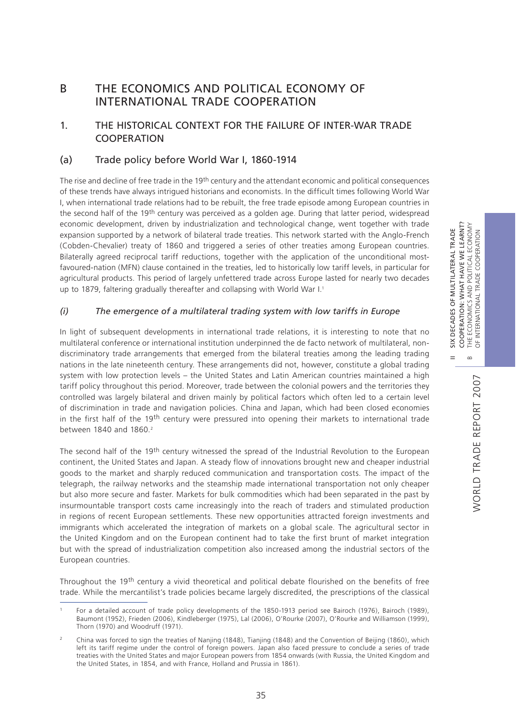II SIX DECADES OF MULTILATERAL TRADE COOPERATION: WHAT HAVE WE LEARNT?

 $\frac{X}{2}$ 

DECADES OF MULTILATERAL TRADE

COOPERATION: WHAT HAVE WE LEARNT?

POLITICAL ECONOMY

# B THE ECONOMICS AND POLITICAL ECONOMY OF INTERNATIONAL TRADE COOPERATION

## 1. THE HISTORICAL CONTEXT FOR THE FAILURE OF INTER-WAR TRADE COOPERATION

## (a) Trade policy before World War I, 1860-1914

The rise and decline of free trade in the 19<sup>th</sup> century and the attendant economic and political consequences of these trends have always intrigued historians and economists. In the difficult times following World War I, when international trade relations had to be rebuilt, the free trade episode among European countries in the second half of the 19<sup>th</sup> century was perceived as a golden age. During that latter period, widespread economic development, driven by industrialization and technological change, went together with trade expansion supported by a network of bilateral trade treaties. This network started with the Anglo-French (Cobden-Chevalier) treaty of 1860 and triggered a series of other treaties among European countries. Bilaterally agreed reciprocal tariff reductions, together with the application of the unconditional mostfavoured-nation (MFN) clause contained in the treaties, led to historically low tariff levels, in particular for agricultural products. This period of largely unfettered trade across Europe lasted for nearly two decades up to 1879, faltering gradually thereafter and collapsing with World War I.<sup>1</sup>

## *(i) The emergence of a multilateral trading system with low tariffs in Europe*

In light of subsequent developments in international trade relations, it is interesting to note that no multilateral conference or international institution underpinned the de facto network of multilateral, nondiscriminatory trade arrangements that emerged from the bilateral treaties among the leading trading nations in the late nineteenth century. These arrangements did not, however, constitute a global trading system with low protection levels – the United States and Latin American countries maintained a high tariff policy throughout this period. Moreover, trade between the colonial powers and the territories they controlled was largely bilateral and driven mainly by political factors which often led to a certain level of discrimination in trade and navigation policies. China and Japan, which had been closed economies in the first half of the 19th century were pressured into opening their markets to international trade between 1840 and 1860.2

The second half of the 19<sup>th</sup> century witnessed the spread of the Industrial Revolution to the European continent, the United States and Japan. A steady flow of innovations brought new and cheaper industrial goods to the market and sharply reduced communication and transportation costs. The impact of the telegraph, the railway networks and the steamship made international transportation not only cheaper but also more secure and faster. Markets for bulk commodities which had been separated in the past by insurmountable transport costs came increasingly into the reach of traders and stimulated production in regions of recent European settlements. These new opportunities attracted foreign investments and immigrants which accelerated the integration of markets on a global scale. The agricultural sector in the United Kingdom and on the European continent had to take the first brunt of market integration but with the spread of industrialization competition also increased among the industrial sectors of the European countries.

Throughout the 19th century a vivid theoretical and political debate flourished on the benefits of free trade. While the mercantilist's trade policies became largely discredited, the prescriptions of the classical

For a detailed account of trade policy developments of the 1850-1913 period see Bairoch (1976), Bairoch (1989), Baumont (1952), Frieden (2006), Kindleberger (1975), Lal (2006), O'Rourke (2007), O'Rourke and Williamson (1999), Thorn (1970) and Woodruff (1971).

<sup>&</sup>lt;sup>2</sup> China was forced to sign the treaties of Nanjing (1848), Tianjing (1848) and the Convention of Beijing (1860), which left its tariff regime under the control of foreign powers. Japan also faced pressure to conclude a series of trade treaties with the United States and major European powers from 1854 onwards (with Russia, the United Kingdom and the United States, in 1854, and with France, Holland and Prussia in 1861).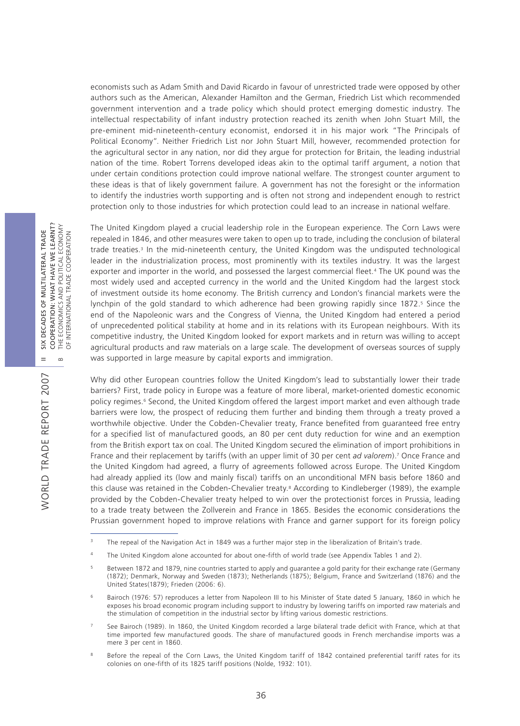economists such as Adam Smith and David Ricardo in favour of unrestricted trade were opposed by other authors such as the American, Alexander Hamilton and the German, Friedrich List which recommended government intervention and a trade policy which should protect emerging domestic industry. The intellectual respectability of infant industry protection reached its zenith when John Stuart Mill, the pre-eminent mid-nineteenth-century economist, endorsed it in his major work "The Principals of Political Economy". Neither Friedrich List nor John Stuart Mill, however, recommended protection for the agricultural sector in any nation, nor did they argue for protection for Britain, the leading industrial nation of the time. Robert Torrens developed ideas akin to the optimal tariff argument, a notion that under certain conditions protection could improve national welfare. The strongest counter argument to these ideas is that of likely government failure. A government has not the foresight or the information to identify the industries worth supporting and is often not strong and independent enough to restrict protection only to those industries for which protection could lead to an increase in national welfare.

The United Kingdom played a crucial leadership role in the European experience. The Corn Laws were repealed in 1846, and other measures were taken to open up to trade, including the conclusion of bilateral trade treaties.3 In the mid-nineteenth century, the United Kingdom was the undisputed technological leader in the industrialization process, most prominently with its textiles industry. It was the largest exporter and importer in the world, and possessed the largest commercial fleet.4 The UK pound was the most widely used and accepted currency in the world and the United Kingdom had the largest stock of investment outside its home economy. The British currency and London's financial markets were the lynchpin of the gold standard to which adherence had been growing rapidly since 1872.<sup>5</sup> Since the end of the Napoleonic wars and the Congress of Vienna, the United Kingdom had entered a period of unprecedented political stability at home and in its relations with its European neighbours. With its competitive industry, the United Kingdom looked for export markets and in return was willing to accept agricultural products and raw materials on a large scale. The development of overseas sources of supply was supported in large measure by capital exports and immigration.

Why did other European countries follow the United Kingdom's lead to substantially lower their trade barriers? First, trade policy in Europe was a feature of more liberal, market-oriented domestic economic policy regimes.<sup>6</sup> Second, the United Kingdom offered the largest import market and even although trade barriers were low, the prospect of reducing them further and binding them through a treaty proved a worthwhile objective. Under the Cobden-Chevalier treaty, France benefited from guaranteed free entry for a specified list of manufactured goods, an 80 per cent duty reduction for wine and an exemption from the British export tax on coal. The United Kingdom secured the elimination of import prohibitions in France and their replacement by tariffs (with an upper limit of 30 per cent *ad valorem*).7 Once France and the United Kingdom had agreed, a flurry of agreements followed across Europe. The United Kingdom had already applied its (low and mainly fiscal) tariffs on an unconditional MFN basis before 1860 and this clause was retained in the Cobden-Chevalier treaty.8 According to Kindleberger (1989), the example provided by the Cobden-Chevalier treaty helped to win over the protectionist forces in Prussia, leading to a trade treaty between the Zollverein and France in 1865. Besides the economic considerations the Prussian government hoped to improve relations with France and garner support for its foreign policy

- 4 The United Kingdom alone accounted for about one-fifth of world trade (see Appendix Tables 1 and 2).
- <sup>5</sup> Between 1872 and 1879, nine countries started to apply and guarantee a gold parity for their exchange rate (Germany (1872); Denmark, Norway and Sweden (1873); Netherlands (1875); Belgium, France and Switzerland (1876) and the United States(1879); Frieden (2006: 6).
- <sup>6</sup> Bairoch (1976: 57) reproduces a letter from Napoleon III to his Minister of State dated 5 January, 1860 in which he exposes his broad economic program including support to industry by lowering tariffs on imported raw materials and the stimulation of competition in the industrial sector by lifting various domestic restrictions.
- See Bairoch (1989). In 1860, the United Kingdom recorded a large bilateral trade deficit with France, which at that time imported few manufactured goods. The share of manufactured goods in French merchandise imports was a mere 3 per cent in 1860.
- <sup>8</sup> Before the repeal of the Corn Laws, the United Kingdom tariff of 1842 contained preferential tariff rates for its colonies on one-fifth of its 1825 tariff positions (Nolde, 1932: 101).

WORLD TRADE REPORT 2007

**NORLD TRADE REPORT 2007** 

<sup>&</sup>lt;sup>3</sup> The repeal of the Navigation Act in 1849 was a further major step in the liberalization of Britain's trade.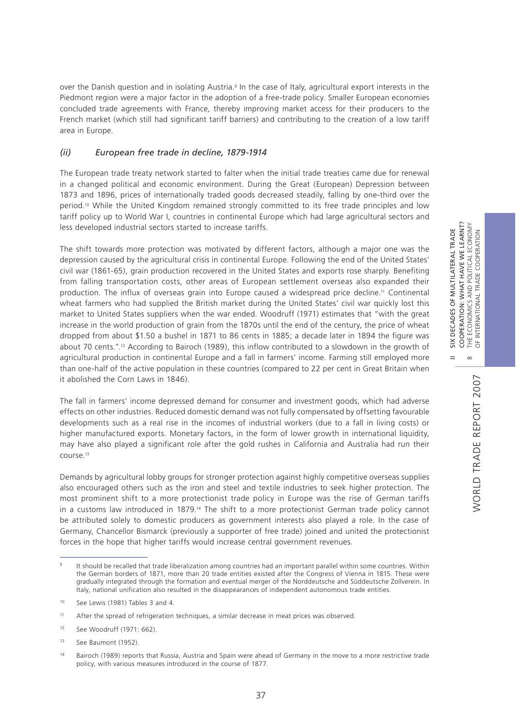II SIX DECADES OF MULTILATERAL TRADE COOPERATION: WHAT HAVE WE LEARNT? B THE ECONOMICS AND POLITICAL ECONOMY OF INTERNATIONAL TRADE COOPERATION

 $\frac{1}{2}$  $=$ 

COOPERATION: WHAT HAVE WE LEARNT?<br>THE ECONOMICS AND POLITICAL ECONOMY<br>OF INTERNATIONAL TRADE COOPERATION DECADES OF MULTILATERAL TRADE

 $\bf \infty$ 

over the Danish question and in isolating Austria.9 In the case of Italy, agricultural export interests in the Piedmont region were a major factor in the adoption of a free-trade policy. Smaller European economies concluded trade agreements with France, thereby improving market access for their producers to the French market (which still had significant tariff barriers) and contributing to the creation of a low tariff area in Europe.

### *(ii) European free trade in decline, 1879-1914*

The European trade treaty network started to falter when the initial trade treaties came due for renewal in a changed political and economic environment. During the Great (European) Depression between 1873 and 1896, prices of internationally traded goods decreased steadily, falling by one-third over the period.10 While the United Kingdom remained strongly committed to its free trade principles and low tariff policy up to World War I, countries in continental Europe which had large agricultural sectors and less developed industrial sectors started to increase tariffs.

The shift towards more protection was motivated by different factors, although a major one was the depression caused by the agricultural crisis in continental Europe. Following the end of the United States' civil war (1861-65), grain production recovered in the United States and exports rose sharply. Benefiting from falling transportation costs, other areas of European settlement overseas also expanded their production. The influx of overseas grain into Europe caused a widespread price decline.11 Continental wheat farmers who had supplied the British market during the United States' civil war quickly lost this market to United States suppliers when the war ended. Woodruff (1971) estimates that "with the great increase in the world production of grain from the 1870s until the end of the century, the price of wheat dropped from about \$1.50 a bushel in 1871 to 86 cents in 1885; a decade later in 1894 the figure was about 70 cents.".<sup>12</sup> According to Bairoch (1989), this inflow contributed to a slowdown in the growth of agricultural production in continental Europe and a fall in farmers' income. Farming still employed more than one-half of the active population in these countries (compared to 22 per cent in Great Britain when it abolished the Corn Laws in 1846).

The fall in farmers' income depressed demand for consumer and investment goods, which had adverse effects on other industries. Reduced domestic demand was not fully compensated by offsetting favourable developments such as a real rise in the incomes of industrial workers (due to a fall in living costs) or higher manufactured exports. Monetary factors, in the form of lower growth in international liquidity, may have also played a significant role after the gold rushes in California and Australia had run their course.13

Demands by agricultural lobby groups for stronger protection against highly competitive overseas supplies also encouraged others such as the iron and steel and textile industries to seek higher protection. The most prominent shift to a more protectionist trade policy in Europe was the rise of German tariffs in a customs law introduced in 1879.14 The shift to a more protectionist German trade policy cannot be attributed solely to domestic producers as government interests also played a role. In the case of Germany, Chancellor Bismarck (previously a supporter of free trade) joined and united the protectionist forces in the hope that higher tariffs would increase central government revenues.

<sup>&</sup>lt;sup>9</sup> It should be recalled that trade liberalization among countries had an important parallel within some countries. Within the German borders of 1871, more than 20 trade entities existed after the Congress of Vienna in 1815. These were gradually integrated through the formation and eventual merger of the Norddeutsche and Süddeutsche Zollverein. In Italy, national unification also resulted in the disappearances of independent autonomous trade entities.

<sup>10</sup> See Lewis (1981) Tables 3 and 4.

<sup>&</sup>lt;sup>11</sup> After the spread of refrigeration techniques, a similar decrease in meat prices was observed.

<sup>12</sup> See Woodruff (1971: 662).

<sup>13</sup> See Baumont (1952).

<sup>14</sup> Bairoch (1989) reports that Russia, Austria and Spain were ahead of Germany in the move to a more restrictive trade policy, with various measures introduced in the course of 1877.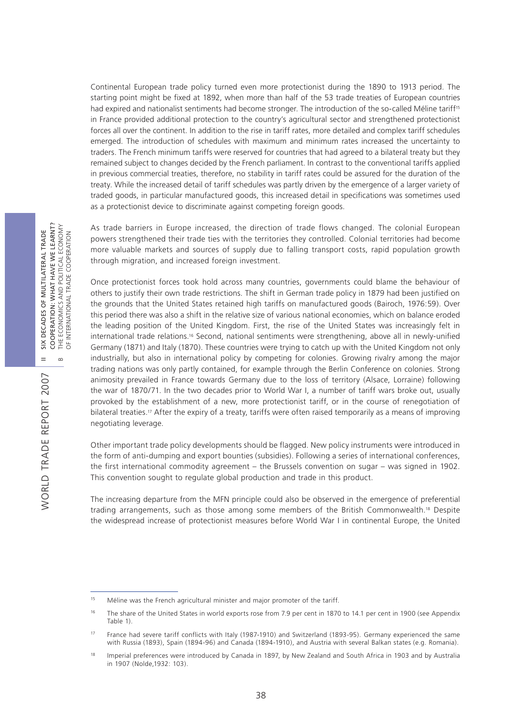Continental European trade policy turned even more protectionist during the 1890 to 1913 period. The starting point might be fixed at 1892, when more than half of the 53 trade treaties of European countries had expired and nationalist sentiments had become stronger. The introduction of the so-called Méline tariff<sup>15</sup> in France provided additional protection to the country's agricultural sector and strengthened protectionist forces all over the continent. In addition to the rise in tariff rates, more detailed and complex tariff schedules emerged. The introduction of schedules with maximum and minimum rates increased the uncertainty to traders. The French minimum tariffs were reserved for countries that had agreed to a bilateral treaty but they remained subject to changes decided by the French parliament. In contrast to the conventional tariffs applied in previous commercial treaties, therefore, no stability in tariff rates could be assured for the duration of the treaty. While the increased detail of tariff schedules was partly driven by the emergence of a larger variety of traded goods, in particular manufactured goods, this increased detail in specifications was sometimes used as a protectionist device to discriminate against competing foreign goods.

As trade barriers in Europe increased, the direction of trade flows changed. The colonial European powers strengthened their trade ties with the territories they controlled. Colonial territories had become more valuable markets and sources of supply due to falling transport costs, rapid population growth through migration, and increased foreign investment.

Once protectionist forces took hold across many countries, governments could blame the behaviour of others to justify their own trade restrictions. The shift in German trade policy in 1879 had been justified on the grounds that the United States retained high tariffs on manufactured goods (Bairoch, 1976:59). Over this period there was also a shift in the relative size of various national economies, which on balance eroded the leading position of the United Kingdom. First, the rise of the United States was increasingly felt in international trade relations.16 Second, national sentiments were strengthening, above all in newly-unified Germany (1871) and Italy (1870). These countries were trying to catch up with the United Kingdom not only industrially, but also in international policy by competing for colonies. Growing rivalry among the major trading nations was only partly contained, for example through the Berlin Conference on colonies. Strong animosity prevailed in France towards Germany due to the loss of territory (Alsace, Lorraine) following the war of 1870/71. In the two decades prior to World War I, a number of tariff wars broke out, usually provoked by the establishment of a new, more protectionist tariff, or in the course of renegotiation of bilateral treaties.<sup>17</sup> After the expiry of a treaty, tariffs were often raised temporarily as a means of improving negotiating leverage.

Other important trade policy developments should be flagged. New policy instruments were introduced in the form of anti-dumping and export bounties (subsidies). Following a series of international conferences, the first international commodity agreement – the Brussels convention on sugar – was signed in 1902. This convention sought to regulate global production and trade in this product.

The increasing departure from the MFN principle could also be observed in the emergence of preferential trading arrangements, such as those among some members of the British Commonwealth.18 Despite the widespread increase of protectionist measures before World War I in continental Europe, the United

WORLD TRADE REPORT 2007

WORLD TRADE REPORT 2007

<sup>&</sup>lt;sup>15</sup> Méline was the French agricultural minister and major promoter of the tariff.

<sup>&</sup>lt;sup>16</sup> The share of the United States in world exports rose from 7.9 per cent in 1870 to 14.1 per cent in 1900 (see Appendix Table 1).

<sup>&</sup>lt;sup>17</sup> France had severe tariff conflicts with Italy (1987-1910) and Switzerland (1893-95). Germany experienced the same with Russia (1893), Spain (1894-96) and Canada (1894-1910), and Austria with several Balkan states (e.g. Romania).

<sup>&</sup>lt;sup>18</sup> Imperial preferences were introduced by Canada in 1897, by New Zealand and South Africa in 1903 and by Australia in 1907 (Nolde,1932: 103).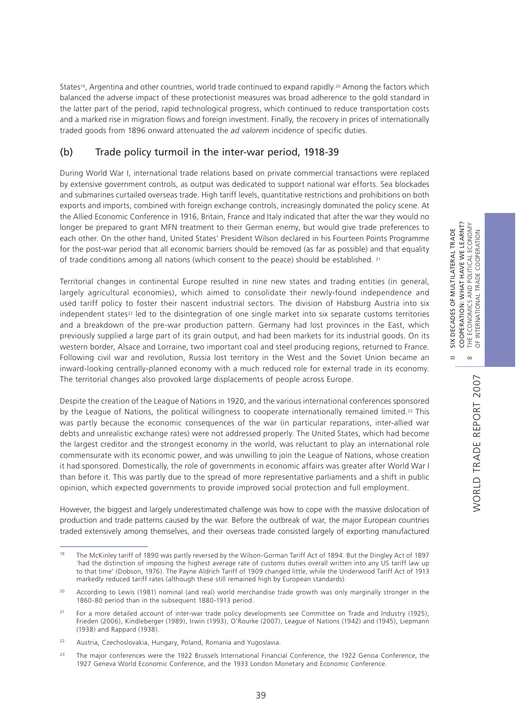II SIX DECADES OF MULTILATERAL TRADE COOPERATION: WHAT HAVE WE LEARNT?

 $\frac{1}{2}$  $=$ 

DECADES OF MULTILATERAL TRADE

COOPERATION: WHAT HAVE WE LEARNT? THE ECONOMICS AND POLITICAL ECONOMY<br>OF INTERNATIONAL TRADE COOPERATION

OF INTERNATIONAL TRADE COOPERATION

States<sup>19</sup>, Argentina and other countries, world trade continued to expand rapidly.<sup>20</sup> Among the factors which balanced the adverse impact of these protectionist measures was broad adherence to the gold standard in the latter part of the period, rapid technological progress, which continued to reduce transportation costs and a marked rise in migration flows and foreign investment. Finally, the recovery in prices of internationally traded goods from 1896 onward attenuated the *ad valorem* incidence of specific duties.

## (b) Trade policy turmoil in the inter-war period, 1918-39

During World War I, international trade relations based on private commercial transactions were replaced by extensive government controls, as output was dedicated to support national war efforts. Sea blockades and submarines curtailed overseas trade. High tariff levels, quantitative restrictions and prohibitions on both exports and imports, combined with foreign exchange controls, increasingly dominated the policy scene. At the Allied Economic Conference in 1916, Britain, France and Italy indicated that after the war they would no longer be prepared to grant MFN treatment to their German enemy, but would give trade preferences to each other. On the other hand, United States' President Wilson declared in his Fourteen Points Programme for the post-war period that all economic barriers should be removed (as far as possible) and that equality of trade conditions among all nations (which consent to the peace) should be established. 21

Territorial changes in continental Europe resulted in nine new states and trading entities (in general, largely agricultural economies), which aimed to consolidate their newly-found independence and used tariff policy to foster their nascent industrial sectors. The division of Habsburg Austria into six independent states<sup>22</sup> led to the disintegration of one single market into six separate customs territories and a breakdown of the pre-war production pattern. Germany had lost provinces in the East, which previously supplied a large part of its grain output, and had been markets for its industrial goods. On its western border, Alsace and Lorraine, two important coal and steel producing regions, returned to France. Following civil war and revolution, Russia lost territory in the West and the Soviet Union became an inward-looking centrally-planned economy with a much reduced role for external trade in its economy. The territorial changes also provoked large displacements of people across Europe.

Despite the creation of the League of Nations in 1920, and the various international conferences sponsored by the League of Nations, the political willingness to cooperate internationally remained limited.<sup>23</sup> This was partly because the economic consequences of the war (in particular reparations, inter-allied war debts and unrealistic exchange rates) were not addressed properly. The United States, which had become the largest creditor and the strongest economy in the world, was reluctant to play an international role commensurate with its economic power, and was unwilling to join the League of Nations, whose creation it had sponsored. Domestically, the role of governments in economic affairs was greater after World War I than before it. This was partly due to the spread of more representative parliaments and a shift in public opinion, which expected governments to provide improved social protection and full employment.

However, the biggest and largely underestimated challenge was how to cope with the massive dislocation of production and trade patterns caused by the war. Before the outbreak of war, the major European countries traded extensively among themselves, and their overseas trade consisted largely of exporting manufactured

<sup>&</sup>lt;sup>19</sup> The McKinley tariff of 1890 was partly reversed by the Wilson-Gorman Tariff Act of 1894. But the Dingley Act of 1897 'had the distinction of imposing the highest average rate of customs duties overall written into any US tariff law up to that time' (Dobson, 1976). The Payne Aldrich Tariff of 1909 changed little, while the Underwood Tariff Act of 1913 markedly reduced tariff rates (although these still remained high by European standards).

<sup>&</sup>lt;sup>20</sup> According to Lewis (1981) nominal (and real) world merchandise trade growth was only marginally stronger in the 1860-80 period than in the subsequent 1880-1913 period.

<sup>&</sup>lt;sup>21</sup> For a more detailed account of inter-war trade policy developments see Committee on Trade and Industry (1925), Frieden (2006), Kindleberger (1989), Irwin (1993), O'Rourke (2007), League of Nations (1942) and (1945), Liepmann (1938) and Rappard (1938).

<sup>&</sup>lt;sup>22</sup> Austria, Czechoslovakia, Hungary, Poland, Romania and Yugoslavia.

<sup>&</sup>lt;sup>23</sup> The major conferences were the 1922 Brussels International Financial Conference, the 1922 Genoa Conference, the 1927 Geneva World Economic Conference, and the 1933 London Monetary and Economic Conference.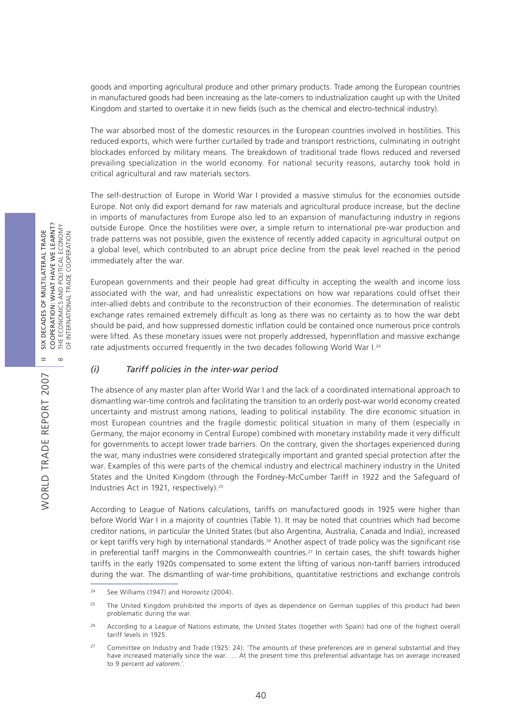goods and importing agricultural produce and other primary products. Trade among the European countries in manufactured goods had been increasing as the late-comers to industrialization caught up with the United Kingdom and started to overtake it in new fields (such as the chemical and electro-technical industry).

The war absorbed most of the domestic resources in the European countries involved in hostilities. This reduced exports, which were further curtailed by trade and transport restrictions, culminating in outright blockades enforced by military means. The breakdown of traditional trade flows reduced and reversed prevailing specialization in the world economy. For national security reasons, autarchy took hold in critical agricultural and raw materials sectors.

The self-destruction of Europe in World War I provided a massive stimulus for the economies outside Europe. Not only did export demand for raw materials and agricultural produce increase, but the decline in imports of manufactures from Europe also led to an expansion of manufacturing industry in regions outside Europe. Once the hostilities were over, a simple return to international pre-war production and trade patterns was not possible, given the existence of recently added capacity in agricultural output on a global level, which contributed to an abrupt price decline from the peak level reached in the period immediately after the war.

European governments and their people had great difficulty in accepting the wealth and income loss associated with the war, and had unrealistic expectations on how war reparations could offset their inter-allied debts and contribute to the reconstruction of their economies. The determination of realistic exchange rates remained extremely difficult as long as there was no certainty as to how the war debt should be paid, and how suppressed domestic inflation could be contained once numerous price controls were lifted. As these monetary issues were not properly addressed, hyperinflation and massive exchange rate adjustments occurred frequently in the two decades following World War I.<sup>24</sup>

## *(i) Tariff policies in the inter-war period*

The absence of any master plan after World War I and the lack of a coordinated international approach to dismantling war-time controls and facilitating the transition to an orderly post-war world economy created uncertainty and mistrust among nations, leading to political instability. The dire economic situation in most European countries and the fragile domestic political situation in many of them (especially in Germany, the major economy in Central Europe) combined with monetary instability made it very difficult for governments to accept lower trade barriers. On the contrary, given the shortages experienced during the war, many industries were considered strategically important and granted special protection after the war. Examples of this were parts of the chemical industry and electrical machinery industry in the United States and the United Kingdom (through the Fordney-McCumber Tariff in 1922 and the Safeguard of Industries Act in 1921, respectively).25

According to League of Nations calculations, tariffs on manufactured goods in 1925 were higher than before World War I in a majority of countries (Table 1). It may be noted that countries which had become creditor nations, in particular the United States (but also Argentina, Australia, Canada and India), increased or kept tariffs very high by international standards.26 Another aspect of trade policy was the significant rise in preferential tariff margins in the Commonwealth countries.<sup>27</sup> In certain cases, the shift towards higher tariffs in the early 1920s compensated to some extent the lifting of various non-tariff barriers introduced during the war. The dismantling of war-time prohibitions, quantitative restrictions and exchange controls

<sup>&</sup>lt;sup>24</sup> See Williams (1947) and Horowitz (2004).

<sup>&</sup>lt;sup>25</sup> The United Kingdom prohibited the imports of dyes as dependence on German supplies of this product had been problematic during the war.

<sup>26</sup> According to a League of Nations estimate, the United States (together with Spain) had one of the highest overall tariff levels in 1925.

<sup>&</sup>lt;sup>27</sup> Committee on Industry and Trade (1925: 24): 'The amounts of these preferences are in general substantial and they have increased materially since the war.. ... At the present time this preferential advantage has on average increased to 9 percent *ad valorem*.'.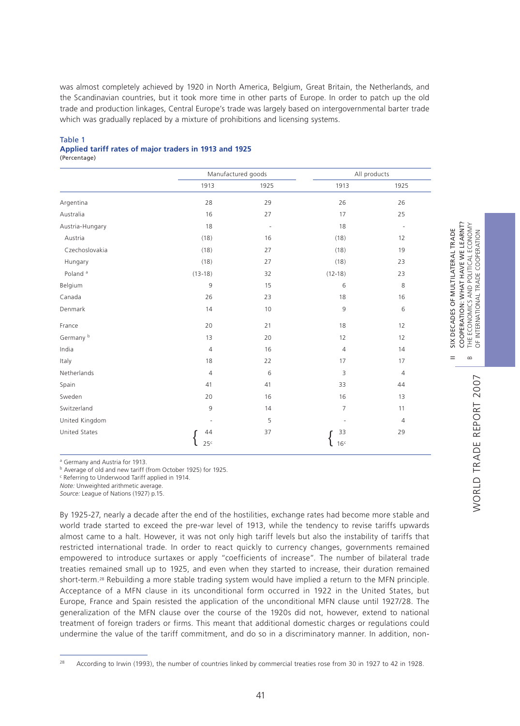was almost completely achieved by 1920 in North America, Belgium, Great Britain, the Netherlands, and the Scandinavian countries, but it took more time in other parts of Europe. In order to patch up the old trade and production linkages, Central Europe's trade was largely based on intergovernmental barter trade which was gradually replaced by a mixture of prohibitions and licensing systems.

## Table 1 **Applied tariff rates of major traders in 1913 and 1925**

(Percentage)

|                      |                 | Manufactured goods       |                          | All products             |
|----------------------|-----------------|--------------------------|--------------------------|--------------------------|
|                      | 1913            | 1925                     | 1913                     | 1925                     |
| Argentina            | 28              | 29                       | 26                       | 26                       |
| Australia            | 16              | 27                       | 17                       | 25                       |
| Austria-Hungary      | 18              | $\overline{\phantom{a}}$ | 18                       | $\overline{\phantom{a}}$ |
| Austria              | (18)            | 16                       | (18)                     | 12                       |
| Czechoslovakia       | (18)            | 27                       | (18)                     | 19                       |
| Hungary              | (18)            | 27                       | (18)                     | 23                       |
| Poland <sup>a</sup>  | $(13-18)$       | 32                       | $(12-18)$                | 23                       |
| Belgium              | 9               | 15                       | 6                        | 8                        |
| Canada               | 26              | 23                       | 18                       | 16                       |
| Denmark              | 14              | 10                       | 9                        | 6                        |
| France               | 20              | 21                       | 18                       | 12                       |
| Germany <sup>b</sup> | 13              | 20                       | 12                       | 12                       |
| India                | $\overline{4}$  | 16                       | $\overline{4}$           | 14                       |
| Italy                | 18              | 22                       | 17                       | 17                       |
| Netherlands          | $\overline{4}$  | 6                        | 3                        | $\overline{4}$           |
| Spain                | 41              | 41                       | 33                       | 44                       |
| Sweden               | 20              | 16                       | 16                       | 13                       |
| Switzerland          | 9               | 14                       | $\overline{7}$           | 11                       |
| United Kingdom       | $\frac{1}{2}$   | 5                        | $\overline{\phantom{a}}$ | $\overline{4}$           |
| United States        | 44              | 37                       | 33                       | 29                       |
|                      | 25 <sup>c</sup> |                          | 16 <sup>c</sup>          |                          |

<sup>a</sup> Germany and Austria for 1913.

<sup>b</sup> Average of old and new tariff (from October 1925) for 1925.

<sup>c</sup> Referring to Underwood Tariff applied in 1914.

*Note:* Unweighted arithmetic average.

*Source:* League of Nations (1927) p.15.

By 1925-27, nearly a decade after the end of the hostilities, exchange rates had become more stable and world trade started to exceed the pre-war level of 1913, while the tendency to revise tariffs upwards almost came to a halt. However, it was not only high tariff levels but also the instability of tariffs that restricted international trade. In order to react quickly to currency changes, governments remained empowered to introduce surtaxes or apply "coefficients of increase". The number of bilateral trade treaties remained small up to 1925, and even when they started to increase, their duration remained short-term.<sup>28</sup> Rebuilding a more stable trading system would have implied a return to the MFN principle. Acceptance of a MFN clause in its unconditional form occurred in 1922 in the United States, but Europe, France and Spain resisted the application of the unconditional MFN clause until 1927/28. The generalization of the MFN clause over the course of the 1920s did not, however, extend to national treatment of foreign traders or firms. This meant that additional domestic charges or regulations could undermine the value of the tariff commitment, and do so in a discriminatory manner. In addition, nonII SIX DECADES OF MULTILATERAL TRADE COOPERATION: WHAT HAVE WE LEARNT?

 $=$ 

SIX DECADES OF MULTILATERAL TRADE

COOPERATION: WHAT HAVE WE LEARNT?

<sup>&</sup>lt;sup>28</sup> According to Irwin (1993), the number of countries linked by commercial treaties rose from 30 in 1927 to 42 in 1928.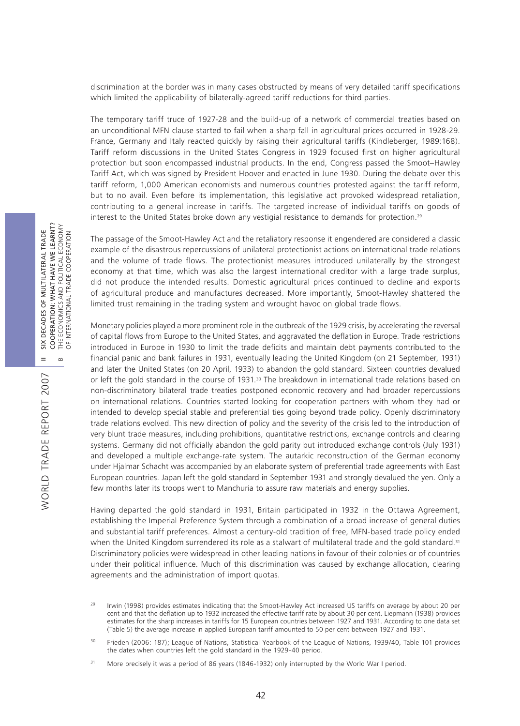discrimination at the border was in many cases obstructed by means of very detailed tariff specifications which limited the applicability of bilaterally-agreed tariff reductions for third parties.

The temporary tariff truce of 1927-28 and the build-up of a network of commercial treaties based on an unconditional MFN clause started to fail when a sharp fall in agricultural prices occurred in 1928-29. France, Germany and Italy reacted quickly by raising their agricultural tariffs (Kindleberger, 1989:168). Tariff reform discussions in the United States Congress in 1929 focused first on higher agricultural protection but soon encompassed industrial products. In the end, Congress passed the Smoot–Hawley Tariff Act, which was signed by President Hoover and enacted in June 1930. During the debate over this tariff reform, 1,000 American economists and numerous countries protested against the tariff reform, but to no avail. Even before its implementation, this legislative act provoked widespread retaliation, contributing to a general increase in tariffs. The targeted increase of individual tariffs on goods of interest to the United States broke down any vestigial resistance to demands for protection.<sup>29</sup>

The passage of the Smoot-Hawley Act and the retaliatory response it engendered are considered a classic example of the disastrous repercussions of unilateral protectionist actions on international trade relations and the volume of trade flows. The protectionist measures introduced unilaterally by the strongest economy at that time, which was also the largest international creditor with a large trade surplus, did not produce the intended results. Domestic agricultural prices continued to decline and exports of agricultural produce and manufactures decreased. More importantly, Smoot-Hawley shattered the limited trust remaining in the trading system and wrought havoc on global trade flows.

Monetary policies played a more prominent role in the outbreak of the 1929 crisis, by accelerating the reversal of capital flows from Europe to the United States, and aggravated the deflation in Europe. Trade restrictions introduced in Europe in 1930 to limit the trade deficits and maintain debt payments contributed to the financial panic and bank failures in 1931, eventually leading the United Kingdom (on 21 September, 1931) and later the United States (on 20 April, 1933) to abandon the gold standard. Sixteen countries devalued or left the gold standard in the course of 1931.<sup>30</sup> The breakdown in international trade relations based on non-discriminatory bilateral trade treaties postponed economic recovery and had broader repercussions on international relations. Countries started looking for cooperation partners with whom they had or intended to develop special stable and preferential ties going beyond trade policy. Openly discriminatory trade relations evolved. This new direction of policy and the severity of the crisis led to the introduction of very blunt trade measures, including prohibitions, quantitative restrictions, exchange controls and clearing systems. Germany did not officially abandon the gold parity but introduced exchange controls (July 1931) and developed a multiple exchange-rate system. The autarkic reconstruction of the German economy under Hjalmar Schacht was accompanied by an elaborate system of preferential trade agreements with East European countries. Japan left the gold standard in September 1931 and strongly devalued the yen. Only a few months later its troops went to Manchuria to assure raw materials and energy supplies.

Having departed the gold standard in 1931, Britain participated in 1932 in the Ottawa Agreement, establishing the Imperial Preference System through a combination of a broad increase of general duties and substantial tariff preferences. Almost a century-old tradition of free, MFN-based trade policy ended when the United Kingdom surrendered its role as a stalwart of multilateral trade and the gold standard.<sup>31</sup> Discriminatory policies were widespread in other leading nations in favour of their colonies or of countries under their political influence. Much of this discrimination was caused by exchange allocation, clearing agreements and the administration of import quotas.

42

WORLD TRADE REPORT 2007

WORLD TRADE REPORT 2007

<sup>&</sup>lt;sup>29</sup> Irwin (1998) provides estimates indicating that the Smoot-Hawley Act increased US tariffs on average by about 20 per cent and that the deflation up to 1932 increased the effective tariff rate by about 30 per cent. Liepmann (1938) provides estimates for the sharp increases in tariffs for 15 European countries between 1927 and 1931. According to one data set (Table 5) the average increase in applied European tariff amounted to 50 per cent between 1927 and 1931.

<sup>&</sup>lt;sup>30</sup> Frieden (2006: 187); League of Nations, Statistical Yearbook of the League of Nations, 1939/40, Table 101 provides the dates when countries left the gold standard in the 1929-40 period.

<sup>&</sup>lt;sup>31</sup> More precisely it was a period of 86 years (1846-1932) only interrupted by the World War I period.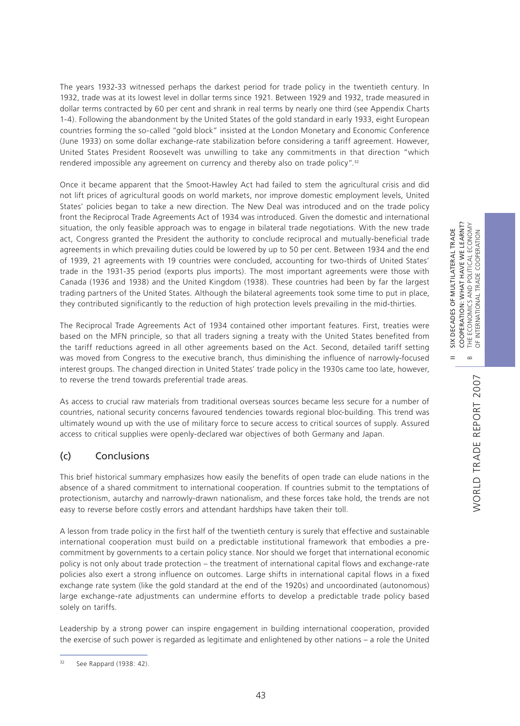$\frac{X}{S}$  $=$ 

 $\infty$ 

WORLD TRADE REPORT 2007

WORLD TRADE REPORT 2007

The years 1932-33 witnessed perhaps the darkest period for trade policy in the twentieth century. In 1932, trade was at its lowest level in dollar terms since 1921. Between 1929 and 1932, trade measured in dollar terms contracted by 60 per cent and shrank in real terms by nearly one third (see Appendix Charts 1-4). Following the abandonment by the United States of the gold standard in early 1933, eight European countries forming the so-called "gold block" insisted at the London Monetary and Economic Conference (June 1933) on some dollar exchange-rate stabilization before considering a tariff agreement. However, United States President Roosevelt was unwilling to take any commitments in that direction "which rendered impossible any agreement on currency and thereby also on trade policy".<sup>32</sup>

Once it became apparent that the Smoot-Hawley Act had failed to stem the agricultural crisis and did not lift prices of agricultural goods on world markets, nor improve domestic employment levels, United States' policies began to take a new direction. The New Deal was introduced and on the trade policy front the Reciprocal Trade Agreements Act of 1934 was introduced. Given the domestic and international situation, the only feasible approach was to engage in bilateral trade negotiations. With the new trade act, Congress granted the President the authority to conclude reciprocal and mutually-beneficial trade agreements in which prevailing duties could be lowered by up to 50 per cent. Between 1934 and the end of 1939, 21 agreements with 19 countries were concluded, accounting for two-thirds of United States' trade in the 1931-35 period (exports plus imports). The most important agreements were those with Canada (1936 and 1938) and the United Kingdom (1938). These countries had been by far the largest trading partners of the United States. Although the bilateral agreements took some time to put in place, they contributed significantly to the reduction of high protection levels prevailing in the mid-thirties.

The Reciprocal Trade Agreements Act of 1934 contained other important features. First, treaties were based on the MFN principle, so that all traders signing a treaty with the United States benefited from the tariff reductions agreed in all other agreements based on the Act. Second, detailed tariff setting was moved from Congress to the executive branch, thus diminishing the influence of narrowly-focused interest groups. The changed direction in United States' trade policy in the 1930s came too late, however, to reverse the trend towards preferential trade areas.

As access to crucial raw materials from traditional overseas sources became less secure for a number of countries, national security concerns favoured tendencies towards regional bloc-building. This trend was ultimately wound up with the use of military force to secure access to critical sources of supply. Assured access to critical supplies were openly-declared war objectives of both Germany and Japan.

# (c) Conclusions

This brief historical summary emphasizes how easily the benefits of open trade can elude nations in the absence of a shared commitment to international cooperation. If countries submit to the temptations of protectionism, autarchy and narrowly-drawn nationalism, and these forces take hold, the trends are not easy to reverse before costly errors and attendant hardships have taken their toll.

A lesson from trade policy in the first half of the twentieth century is surely that effective and sustainable international cooperation must build on a predictable institutional framework that embodies a precommitment by governments to a certain policy stance. Nor should we forget that international economic policy is not only about trade protection – the treatment of international capital flows and exchange-rate policies also exert a strong influence on outcomes. Large shifts in international capital flows in a fixed exchange rate system (like the gold standard at the end of the 1920s) and uncoordinated (autonomous) large exchange-rate adjustments can undermine efforts to develop a predictable trade policy based solely on tariffs.

Leadership by a strong power can inspire engagement in building international cooperation, provided the exercise of such power is regarded as legitimate and enlightened by other nations – a role the United

<sup>32</sup> See Rappard (1938: 42).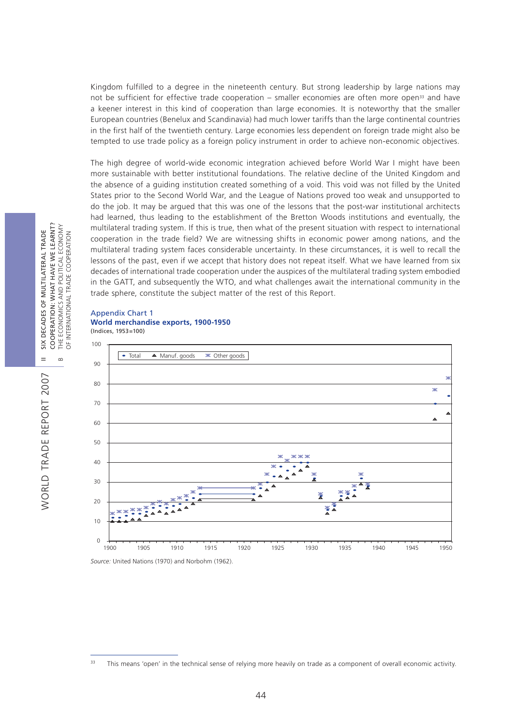Kingdom fulfilled to a degree in the nineteenth century. But strong leadership by large nations may not be sufficient for effective trade cooperation – smaller economies are often more open<sup>33</sup> and have a keener interest in this kind of cooperation than large economies. It is noteworthy that the smaller European countries (Benelux and Scandinavia) had much lower tariffs than the large continental countries in the first half of the twentieth century. Large economies less dependent on foreign trade might also be tempted to use trade policy as a foreign policy instrument in order to achieve non-economic objectives.

The high degree of world-wide economic integration achieved before World War I might have been more sustainable with better institutional foundations. The relative decline of the United Kingdom and the absence of a guiding institution created something of a void. This void was not filled by the United States prior to the Second World War, and the League of Nations proved too weak and unsupported to do the job. It may be argued that this was one of the lessons that the post-war institutional architects had learned, thus leading to the establishment of the Bretton Woods institutions and eventually, the multilateral trading system. If this is true, then what of the present situation with respect to international cooperation in the trade field? We are witnessing shifts in economic power among nations, and the multilateral trading system faces considerable uncertainty. In these circumstances, it is well to recall the lessons of the past, even if we accept that history does not repeat itself. What we have learned from six decades of international trade cooperation under the auspices of the multilateral trading system embodied in the GATT, and subsequently the WTO, and what challenges await the international community in the trade sphere, constitute the subject matter of the rest of this Report.

#### Appendix Chart 1 **World merchandise exports, 1900-1950** (Indices, 1953=100)



*Source:* United Nations (1970) and Norbohm (1962).

WORLD TRADE REPORT 2007

WORLD TRADE REPORT 2007

<sup>&</sup>lt;sup>33</sup> This means 'open' in the technical sense of relying more heavily on trade as a component of overall economic activity.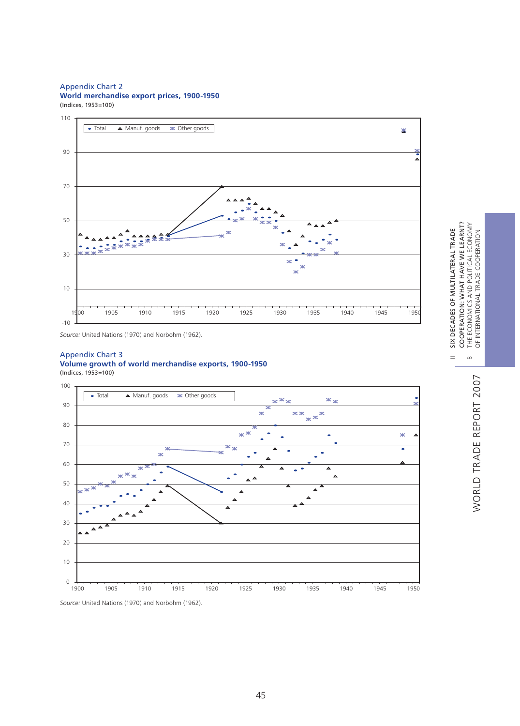#### Appendix Chart 2

**World merchandise export prices, 1900-1950**  (Indices, 1953=100)



*Source:* United Nations (1970) and Norbohm (1962).

#### Appendix Chart 3

#### **Volume growth of world merchandise exports, 1900-1950**  (Indices, 1953=100)





 $=$ 

 $\infty$ 

*Source:* United Nations (1970) and Norbohm (1962).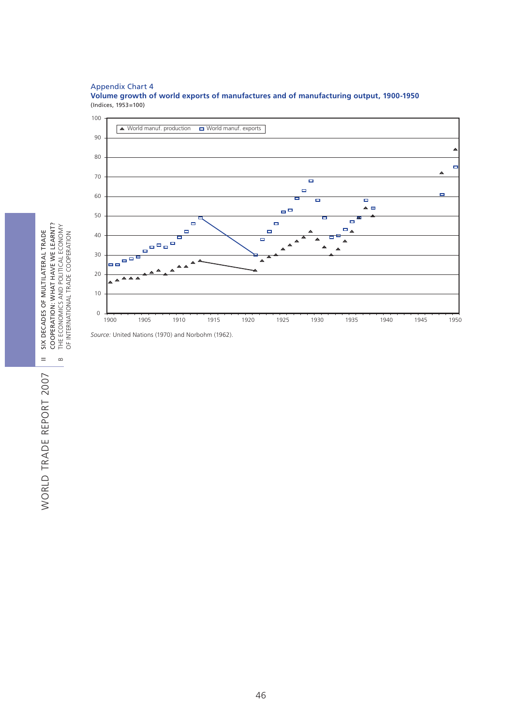#### Appendix Chart 4

**Volume growth of world exports of manufactures and of manufacturing output, 1900-1950**  (Indices, 1953=100)



*Source:* United Nations (1970) and Norbohm (1962).

SIX DECADES OF MULTILATERAL TRADE<br>COOPERATION: WHAT HAVE WE LEARNT?<br>THE ECONOMICS AND POLITICAL ECONOMY<br>OF INTERNATIONAL TRADE COOPERATION COOPERATION: WHAT HAVE WE LEARNT? B THE ECONOMICS AND POLITICAL ECONOMY II SIX DECADES OF MULTILATERAL TRADE OF INTERNATIONAL TRADE COOPERATION

WORLD TRADE REPORT 2007 WORLD TRADE REPORT 2007

 $=$ 

 $\, \underline{\mathrm{m}}$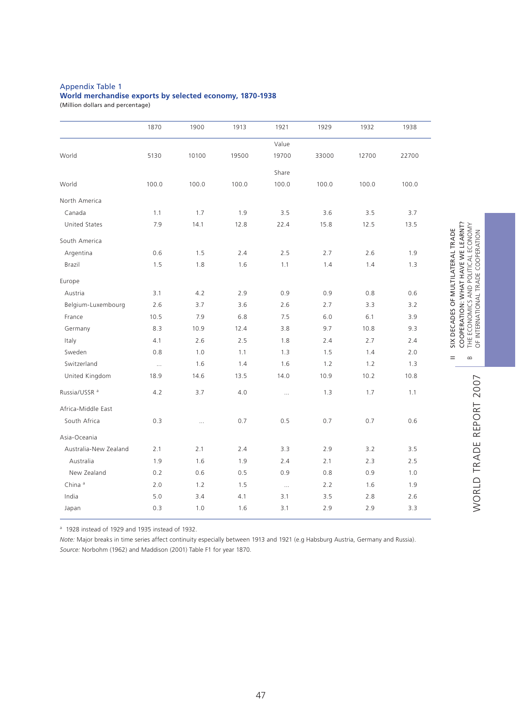#### Appendix Table 1

## **World merchandise exports by selected economy, 1870-1938**

(Million dollars and percentage)

|                          | 1870     | 1900     | 1913  | 1921     | 1929  | 1932  | 1938  |
|--------------------------|----------|----------|-------|----------|-------|-------|-------|
|                          |          |          |       | Value    |       |       |       |
| World                    | 5130     | 10100    | 19500 | 19700    | 33000 | 12700 | 22700 |
|                          |          |          |       | Share    |       |       |       |
| World                    | 100.0    | 100.0    | 100.0 | 100.0    | 100.0 | 100.0 | 100.0 |
| North America            |          |          |       |          |       |       |       |
| Canada                   | 1.1      | 1.7      | 1.9   | 3.5      | 3.6   | 3.5   | 3.7   |
| United States            | 7.9      | 14.1     | 12.8  | 22.4     | 15.8  | 12.5  | 13.5  |
| South America            |          |          |       |          |       |       |       |
| Argentina                | 0.6      | 1.5      | 2.4   | 2.5      | 2.7   | 2.6   | 1.9   |
| Brazil                   | 1.5      | 1.8      | 1.6   | 1.1      | 1.4   | 1.4   | 1.3   |
| Europe                   |          |          |       |          |       |       |       |
| Austria                  | 3.1      | 4.2      | 2.9   | 0.9      | 0.9   | 0.8   | 0.6   |
| Belgium-Luxembourg       | 2.6      | 3.7      | 3.6   | 2.6      | 2.7   | 3.3   | 3.2   |
| France                   | 10.5     | 7.9      | 6.8   | 7.5      | 6.0   | 6.1   | 3.9   |
| Germany                  | 8.3      | 10.9     | 12.4  | 3.8      | 9.7   | 10.8  | 9.3   |
| Italy                    | 4.1      | 2.6      | 2.5   | 1.8      | 2.4   | 2.7   | 2.4   |
| Sweden                   | 0.8      | 1.0      | 1.1   | 1.3      | 1.5   | 1.4   | 2.0   |
| Switzerland              | $\ldots$ | 1.6      | 1.4   | 1.6      | 1.2   | 1.2   | 1.3   |
| United Kingdom           | 18.9     | 14.6     | 13.5  | 14.0     | 10.9  | 10.2  | 10.8  |
| Russia/USSR <sup>a</sup> | 4.2      | 3.7      | 4.0   | $\ldots$ | 1.3   | 1.7   | 1.1   |
| Africa-Middle East       |          |          |       |          |       |       |       |
| South Africa             | 0.3      | $\ldots$ | 0.7   | 0.5      | 0.7   | 0.7   | 0.6   |
| Asia-Oceania             |          |          |       |          |       |       |       |
| Australia-New Zealand    | 2.1      | 2.1      | 2.4   | 3.3      | 2.9   | 3.2   | 3.5   |
| Australia                | 1.9      | 1.6      | 1.9   | 2.4      | 2.1   | 2.3   | 2.5   |
| New Zealand              | 0.2      | 0.6      | 0.5   | 0.9      | 0.8   | 0.9   | 1.0   |
| China <sup>a</sup>       | 2.0      | 1.2      | 1.5   | $\ldots$ | 2.2   | 1.6   | 1.9   |
| India                    | 5.0      | 3.4      | 4.1   | 3.1      | 3.5   | 2.8   | 2.6   |
| Japan                    | 0.3      | 1.0      | 1.6   | 3.1      | 2.9   | 2.9   | 3.3   |

<sup>a</sup> 1928 instead of 1929 and 1935 instead of 1932.

*Note:* Major breaks in time series affect continuity especially between 1913 and 1921 (e.g Habsburg Austria, Germany and Russia). *Source:* Norbohm (1962) and Maddison (2001) Table F1 for year 1870.

 $=$ 

 $\infty$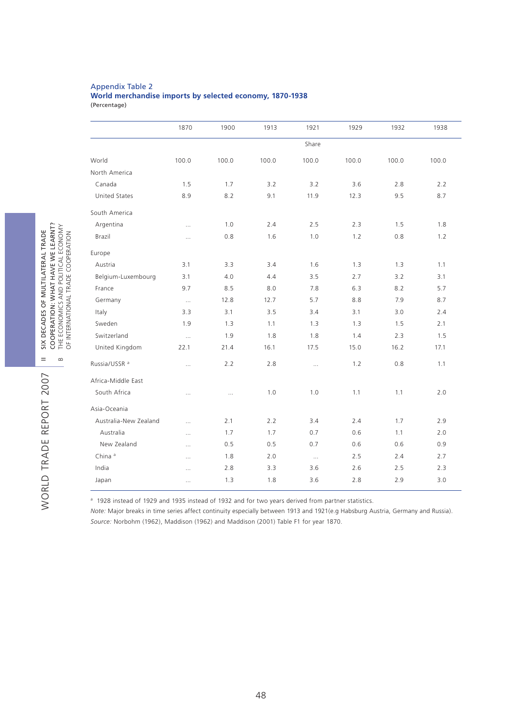#### Appendix Table 2

# **World merchandise imports by selected economy, 1870-1938**

(Percentage)

|                          | 1870      | 1900     | 1913  | 1921     | 1929  | 1932  | 1938  |
|--------------------------|-----------|----------|-------|----------|-------|-------|-------|
|                          |           |          |       | Share    |       |       |       |
| World                    | 100.0     | 100.0    | 100.0 | 100.0    | 100.0 | 100.0 | 100.0 |
| North America            |           |          |       |          |       |       |       |
| Canada                   | 1.5       | 1.7      | 3.2   | 3.2      | 3.6   | 2.8   | 2.2   |
| <b>United States</b>     | 8.9       | 8.2      | 9.1   | 11.9     | 12.3  | 9.5   | 8.7   |
| South America            |           |          |       |          |       |       |       |
| Argentina                | $\ldots$  | 1.0      | 2.4   | 2.5      | 2.3   | 1.5   | 1.8   |
| Brazil                   | $\cdots$  | 0.8      | 1.6   | 1.0      | 1.2   | 0.8   | 1.2   |
| Europe                   |           |          |       |          |       |       |       |
| Austria                  | 3.1       | 3.3      | 3.4   | 1.6      | 1.3   | 1.3   | 1.1   |
| Belgium-Luxembourg       | 3.1       | 4.0      | 4.4   | 3.5      | 2.7   | 3.2   | 3.1   |
| France                   | 9.7       | 8.5      | 8.0   | 7.8      | 6.3   | 8.2   | 5.7   |
| Germany                  | $\ddotsc$ | 12.8     | 12.7  | 5.7      | 8.8   | 7.9   | 8.7   |
| Italy                    | 3.3       | 3.1      | 3.5   | 3.4      | 3.1   | 3.0   | 2.4   |
| Sweden                   | 1.9       | 1.3      | 1.1   | 1.3      | 1.3   | 1.5   | 2.1   |
| Switzerland              | $\ldots$  | 1.9      | 1.8   | 1.8      | 1.4   | 2.3   | 1.5   |
| United Kingdom           | 22.1      | 21.4     | 16.1  | 17.5     | 15.0  | 16.2  | 17.1  |
| Russia/USSR <sup>a</sup> | $\cdots$  | 2.2      | 2.8   | $\cdots$ | 1.2   | 0.8   | 1.1   |
| Africa-Middle East       |           |          |       |          |       |       |       |
| South Africa             | $\cdots$  | $\cdots$ | 1.0   | 1.0      | 1.1   | 1.1   | 2.0   |
| Asia-Oceania             |           |          |       |          |       |       |       |
| Australia-New Zealand    | $\cdots$  | 2.1      | 2.2   | 3.4      | 2.4   | 1.7   | 2.9   |
| Australia                | $\cdots$  | 1.7      | 1.7   | 0.7      | 0.6   | 1.1   | 2.0   |
| New Zealand              | $\cdots$  | 0.5      | 0.5   | 0.7      | 0.6   | 0.6   | 0.9   |
| China <sup>a</sup>       | $\cdots$  | 1.8      | 2.0   | $\ldots$ | 2.5   | 2.4   | 2.7   |
| India                    | $\cdots$  | 2.8      | 3.3   | 3.6      | 2.6   | 2.5   | 2.3   |
| Japan                    | $\cdots$  | 1.3      | 1.8   | 3.6      | 2.8   | 2.9   | 3.0   |
|                          |           |          |       |          |       |       |       |

<sup>a</sup> 1928 instead of 1929 and 1935 instead of 1932 and for two years derived from partner statistics.

*Note:* Major breaks in time series affect continuity especially between 1913 and 1921(e.g Habsburg Austria, Germany and Russia). *Source:* Norbohm (1962), Maddison (1962) and Maddison (2001) Table F1 for year 1870.

OF INTERNATIONAL TRADE COOPERATION

 $=$ 

 $\, \underline{\mathrm{m}}$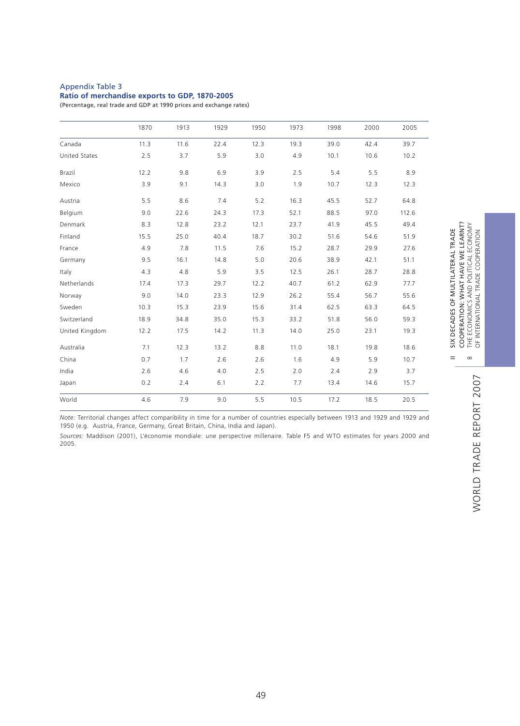#### Appendix Table 3

#### **Ratio of merchandise exports to GDP, 1870-2005**

(Percentage, real trade and GDP at 1990 prices and exchange rates)

|                      | 1870 | 1913 | 1929 | 1950 | 1973 | 1998 | 2000 | 2005  |
|----------------------|------|------|------|------|------|------|------|-------|
| Canada               | 11.3 | 11.6 | 22.4 | 12.3 | 19.3 | 39.0 | 42.4 | 39.7  |
| <b>United States</b> | 2.5  | 3.7  | 5.9  | 3.0  | 4.9  | 10.1 | 10.6 | 10.2  |
| Brazil               | 12.2 | 9.8  | 6.9  | 3.9  | 2.5  | 5.4  | 5.5  | 8.9   |
| Mexico               | 3.9  | 9.1  | 14.3 | 3.0  | 1.9  | 10.7 | 12.3 | 12.3  |
| Austria              | 5.5  | 8.6  | 7.4  | 5.2  | 16.3 | 45.5 | 52.7 | 64.8  |
| Belgium              | 9.0  | 22.6 | 24.3 | 17.3 | 52.1 | 88.5 | 97.0 | 112.6 |
| Denmark              | 8.3  | 12.8 | 23.2 | 12.1 | 23.7 | 41.9 | 45.5 | 49.4  |
| Finland              | 15.5 | 25.0 | 40.4 | 18.7 | 30.2 | 51.6 | 54.6 | 51.9  |
| France               | 4.9  | 7.8  | 11.5 | 7.6  | 15.2 | 28.7 | 29.9 | 27.6  |
| Germany              | 9.5  | 16.1 | 14.8 | 5.0  | 20.6 | 38.9 | 42.1 | 51.1  |
| Italy                | 4.3  | 4.8  | 5.9  | 3.5  | 12.5 | 26.1 | 28.7 | 28.8  |
| Netherlands          | 17.4 | 17.3 | 29.7 | 12.2 | 40.7 | 61.2 | 62.9 | 77.7  |
| Norway               | 9.0  | 14.0 | 23.3 | 12.9 | 26.2 | 55.4 | 56.7 | 55.6  |
| Sweden               | 10.3 | 15.3 | 23.9 | 15.6 | 31.4 | 62.5 | 63.3 | 64.5  |
| Switzerland          | 18.9 | 34.8 | 35.0 | 15.3 | 33.2 | 51.8 | 56.0 | 59.3  |
| United Kingdom       | 12.2 | 17.5 | 14.2 | 11.3 | 14.0 | 25.0 | 23.1 | 19.3  |
| Australia            | 7.1  | 12.3 | 13.2 | 8.8  | 11.0 | 18.1 | 19.8 | 18.6  |
| China                | 0.7  | 1.7  | 2.6  | 2.6  | 1.6  | 4.9  | 5.9  | 10.7  |
| India                | 2.6  | 4.6  | 4.0  | 2.5  | 2.0  | 2.4  | 2.9  | 3.7   |
| Japan                | 0.2  | 2.4  | 6.1  | 2.2  | 7.7  | 13.4 | 14.6 | 15.7  |
| World                | 4.6  | 7.9  | 9.0  | 5.5  | 10.5 | 17.2 | 18.5 | 20.5  |

*Note:* Territorial changes affect comparibility in time for a number of countries especially between 1913 and 1929 and 1929 and 1950 (e.g. Austria, France, Germany, Great Britain, China, India and Japan).

*Sources:* Maddison (2001), L'économie mondiale: une perspective millenaire. Table F5 and WTO estimates for years 2000 and 2005.

 $=$ 

 $\infty$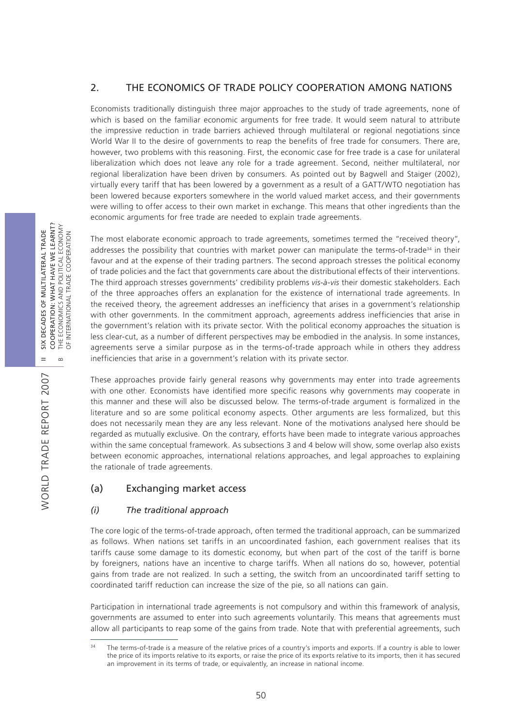## 2. THE ECONOMICS OF TRADE POLICY COOPERATION AMONG NATIONS

Economists traditionally distinguish three major approaches to the study of trade agreements, none of which is based on the familiar economic arguments for free trade. It would seem natural to attribute the impressive reduction in trade barriers achieved through multilateral or regional negotiations since World War II to the desire of governments to reap the benefits of free trade for consumers. There are, however, two problems with this reasoning. First, the economic case for free trade is a case for unilateral liberalization which does not leave any role for a trade agreement. Second, neither multilateral, nor regional liberalization have been driven by consumers. As pointed out by Bagwell and Staiger (2002), virtually every tariff that has been lowered by a government as a result of a GATT/WTO negotiation has been lowered because exporters somewhere in the world valued market access, and their governments were willing to offer access to their own market in exchange. This means that other ingredients than the economic arguments for free trade are needed to explain trade agreements.

The most elaborate economic approach to trade agreements, sometimes termed the "received theory", addresses the possibility that countries with market power can manipulate the terms-of-trade<sup>34</sup> in their favour and at the expense of their trading partners. The second approach stresses the political economy of trade policies and the fact that governments care about the distributional effects of their interventions. The third approach stresses governments' credibility problems *vis-à-vis* their domestic stakeholders. Each of the three approaches offers an explanation for the existence of international trade agreements. In the received theory, the agreement addresses an inefficiency that arises in a government's relationship with other governments. In the commitment approach, agreements address inefficiencies that arise in the government's relation with its private sector. With the political economy approaches the situation is less clear-cut, as a number of different perspectives may be embodied in the analysis. In some instances, agreements serve a similar purpose as in the terms-of-trade approach while in others they address inefficiencies that arise in a government's relation with its private sector.

These approaches provide fairly general reasons why governments may enter into trade agreements with one other. Economists have identified more specific reasons why governments may cooperate in this manner and these will also be discussed below. The terms-of-trade argument is formalized in the literature and so are some political economy aspects. Other arguments are less formalized, but this does not necessarily mean they are any less relevant. None of the motivations analysed here should be regarded as mutually exclusive. On the contrary, efforts have been made to integrate various approaches within the same conceptual framework. As subsections 3 and 4 below will show, some overlap also exists between economic approaches, international relations approaches, and legal approaches to explaining the rationale of trade agreements.

## (a) Exchanging market access

### *(i) The traditional approach*

The core logic of the terms-of-trade approach, often termed the traditional approach, can be summarized as follows. When nations set tariffs in an uncoordinated fashion, each government realises that its tariffs cause some damage to its domestic economy, but when part of the cost of the tariff is borne by foreigners, nations have an incentive to charge tariffs. When all nations do so, however, potential gains from trade are not realized. In such a setting, the switch from an uncoordinated tariff setting to coordinated tariff reduction can increase the size of the pie, so all nations can gain.

Participation in international trade agreements is not compulsory and within this framework of analysis, governments are assumed to enter into such agreements voluntarily. This means that agreements must allow all participants to reap some of the gains from trade. Note that with preferential agreements, such

The terms-of-trade is a measure of the relative prices of a country's imports and exports. If a country is able to lower the price of its imports relative to its exports, or raise the price of its exports relative to its imports, then it has secured an improvement in its terms of trade, or equivalently, an increase in national income.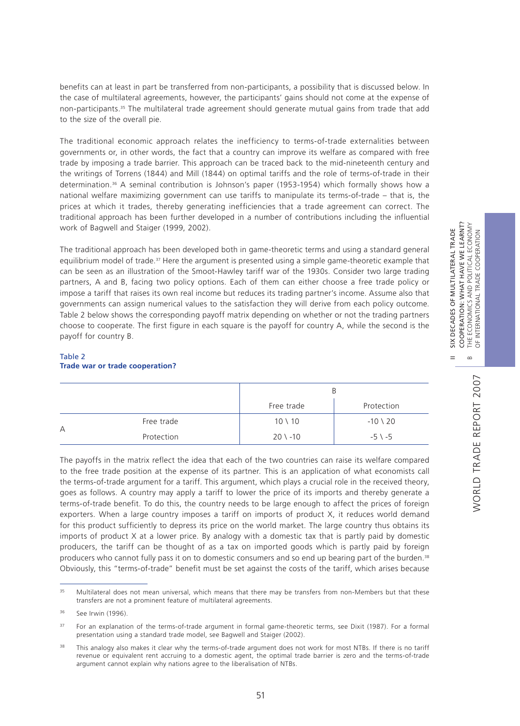$=$ 

 $\infty$ 

WORLD TRADE REPORT 2007

WORLD TRADE REPORT 2007

benefits can at least in part be transferred from non-participants, a possibility that is discussed below. In the case of multilateral agreements, however, the participants' gains should not come at the expense of non-participants.35 The multilateral trade agreement should generate mutual gains from trade that add to the size of the overall pie.

The traditional economic approach relates the inefficiency to terms-of-trade externalities between governments or, in other words, the fact that a country can improve its welfare as compared with free trade by imposing a trade barrier. This approach can be traced back to the mid-nineteenth century and the writings of Torrens (1844) and Mill (1844) on optimal tariffs and the role of terms-of-trade in their determination.36 A seminal contribution is Johnson's paper (1953-1954) which formally shows how a national welfare maximizing government can use tariffs to manipulate its terms-of-trade – that is, the prices at which it trades, thereby generating inefficiencies that a trade agreement can correct. The traditional approach has been further developed in a number of contributions including the influential work of Bagwell and Staiger (1999, 2002).

The traditional approach has been developed both in game-theoretic terms and using a standard general equilibrium model of trade.<sup>37</sup> Here the argument is presented using a simple game-theoretic example that can be seen as an illustration of the Smoot-Hawley tariff war of the 1930s. Consider two large trading partners, A and B, facing two policy options. Each of them can either choose a free trade policy or impose a tariff that raises its own real income but reduces its trading partner's income. Assume also that governments can assign numerical values to the satisfaction they will derive from each policy outcome. Table 2 below shows the corresponding payoff matrix depending on whether or not the trading partners choose to cooperate. The first figure in each square is the payoff for country A, while the second is the payoff for country B.

### Table 2 **Trade war or trade cooperation?**

|   |            | B                  |                   |  |
|---|------------|--------------------|-------------------|--|
|   |            | Free trade         | Protection        |  |
| А | Free trade | $10 \setminus 10$  | $-10 \times 20$   |  |
|   | Protection | $20 \setminus -10$ | $-5 \setminus -5$ |  |

The payoffs in the matrix reflect the idea that each of the two countries can raise its welfare compared to the free trade position at the expense of its partner. This is an application of what economists call the terms-of-trade argument for a tariff. This argument, which plays a crucial role in the received theory, goes as follows. A country may apply a tariff to lower the price of its imports and thereby generate a terms-of-trade benefit. To do this, the country needs to be large enough to affect the prices of foreign exporters. When a large country imposes a tariff on imports of product X, it reduces world demand for this product sufficiently to depress its price on the world market. The large country thus obtains its imports of product X at a lower price. By analogy with a domestic tax that is partly paid by domestic producers, the tariff can be thought of as a tax on imported goods which is partly paid by foreign producers who cannot fully pass it on to domestic consumers and so end up bearing part of the burden.<sup>38</sup> Obviously, this "terms-of-trade" benefit must be set against the costs of the tariff, which arises because

<sup>&</sup>lt;sup>35</sup> Multilateral does not mean universal, which means that there may be transfers from non-Members but that these transfers are not a prominent feature of multilateral agreements.

<sup>36</sup> See Irwin (1996).

<sup>&</sup>lt;sup>37</sup> For an explanation of the terms-of-trade argument in formal game-theoretic terms, see Dixit (1987). For a formal presentation using a standard trade model, see Bagwell and Staiger (2002).

<sup>&</sup>lt;sup>38</sup> This analogy also makes it clear why the terms-of-trade argument does not work for most NTBs. If there is no tariff revenue or equivalent rent accruing to a domestic agent, the optimal trade barrier is zero and the terms-of-trade argument cannot explain why nations agree to the liberalisation of NTBs.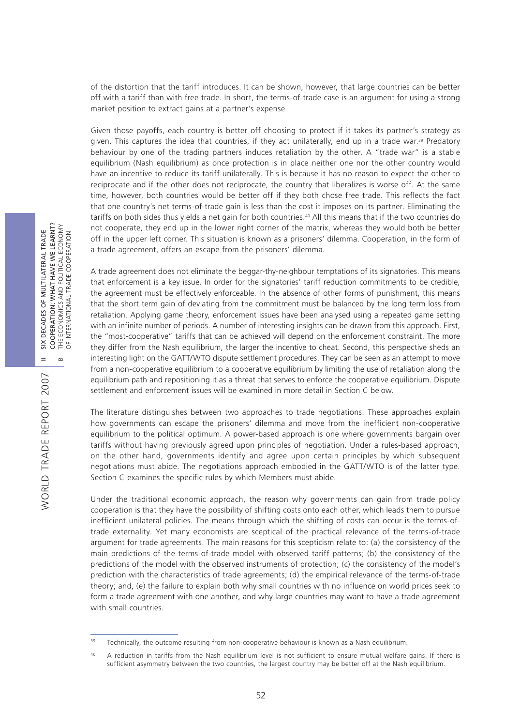of the distortion that the tariff introduces. It can be shown, however, that large countries can be better off with a tariff than with free trade. In short, the terms-of-trade case is an argument for using a strong market position to extract gains at a partner's expense.

Given those payoffs, each country is better off choosing to protect if it takes its partner's strategy as given. This captures the idea that countries, if they act unilaterally, end up in a trade war.<sup>39</sup> Predatory behaviour by one of the trading partners induces retaliation by the other. A "trade war" is a stable equilibrium (Nash equilibrium) as once protection is in place neither one nor the other country would have an incentive to reduce its tariff unilaterally. This is because it has no reason to expect the other to reciprocate and if the other does not reciprocate, the country that liberalizes is worse off. At the same time, however, both countries would be better off if they both chose free trade. This reflects the fact that one country's net terms-of-trade gain is less than the cost it imposes on its partner. Eliminating the tariffs on both sides thus yields a net gain for both countries.<sup>40</sup> All this means that if the two countries do not cooperate, they end up in the lower right corner of the matrix, whereas they would both be better off in the upper left corner. This situation is known as a prisoners' dilemma. Cooperation, in the form of a trade agreement, offers an escape from the prisoners' dilemma.

A trade agreement does not eliminate the beggar-thy-neighbour temptations of its signatories. This means that enforcement is a key issue. In order for the signatories' tariff reduction commitments to be credible, the agreement must be effectively enforceable. In the absence of other forms of punishment, this means that the short term gain of deviating from the commitment must be balanced by the long term loss from retaliation. Applying game theory, enforcement issues have been analysed using a repeated game setting with an infinite number of periods. A number of interesting insights can be drawn from this approach. First, the "most-cooperative" tariffs that can be achieved will depend on the enforcement constraint. The more they differ from the Nash equilibrium, the larger the incentive to cheat. Second, this perspective sheds an interesting light on the GATT/WTO dispute settlement procedures. They can be seen as an attempt to move from a non-cooperative equilibrium to a cooperative equilibrium by limiting the use of retaliation along the equilibrium path and repositioning it as a threat that serves to enforce the cooperative equilibrium. Dispute settlement and enforcement issues will be examined in more detail in Section C below.

The literature distinguishes between two approaches to trade negotiations. These approaches explain how governments can escape the prisoners' dilemma and move from the inefficient non-cooperative equilibrium to the political optimum. A power-based approach is one where governments bargain over tariffs without having previously agreed upon principles of negotiation. Under a rules-based approach, on the other hand, governments identify and agree upon certain principles by which subsequent negotiations must abide. The negotiations approach embodied in the GATT/WTO is of the latter type. Section C examines the specific rules by which Members must abide.

Under the traditional economic approach, the reason why governments can gain from trade policy cooperation is that they have the possibility of shifting costs onto each other, which leads them to pursue inefficient unilateral policies. The means through which the shifting of costs can occur is the terms-oftrade externality. Yet many economists are sceptical of the practical relevance of the terms-of-trade argument for trade agreements. The main reasons for this scepticism relate to: (a) the consistency of the main predictions of the terms-of-trade model with observed tariff patterns; (b) the consistency of the predictions of the model with the observed instruments of protection; (c) the consistency of the model's prediction with the characteristics of trade agreements; (d) the empirical relevance of the terms-of-trade theory; and, (e) the failure to explain both why small countries with no influence on world prices seek to form a trade agreement with one another, and why large countries may want to have a trade agreement with small countries.

<sup>&</sup>lt;sup>39</sup> Technically, the outcome resulting from non-cooperative behaviour is known as a Nash equilibrium.

<sup>40</sup> A reduction in tariffs from the Nash equilibrium level is not sufficient to ensure mutual welfare gains. If there is sufficient asymmetry between the two countries, the largest country may be better off at the Nash equilibrium.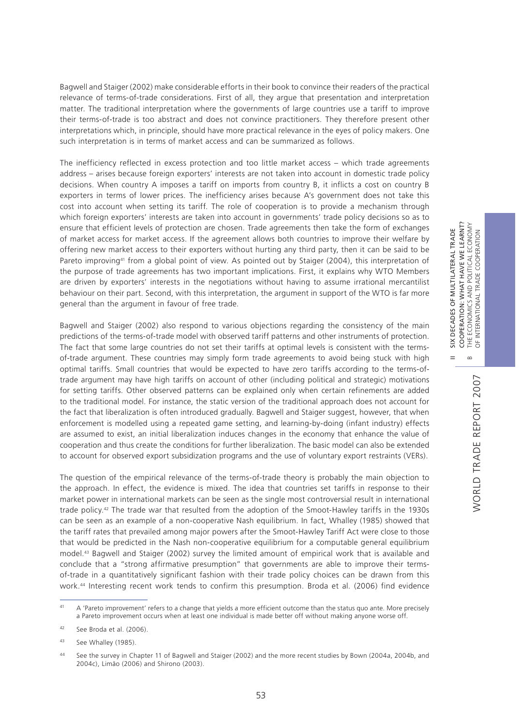Bagwell and Staiger (2002) make considerable efforts in their book to convince their readers of the practical relevance of terms-of-trade considerations. First of all, they argue that presentation and interpretation matter. The traditional interpretation where the governments of large countries use a tariff to improve their terms-of-trade is too abstract and does not convince practitioners. They therefore present other interpretations which, in principle, should have more practical relevance in the eyes of policy makers. One such interpretation is in terms of market access and can be summarized as follows.

The inefficiency reflected in excess protection and too little market access – which trade agreements address – arises because foreign exporters' interests are not taken into account in domestic trade policy decisions. When country A imposes a tariff on imports from country B, it inflicts a cost on country B exporters in terms of lower prices. The inefficiency arises because A's government does not take this cost into account when setting its tariff. The role of cooperation is to provide a mechanism through which foreign exporters' interests are taken into account in governments' trade policy decisions so as to ensure that efficient levels of protection are chosen. Trade agreements then take the form of exchanges of market access for market access. If the agreement allows both countries to improve their welfare by offering new market access to their exporters without hurting any third party, then it can be said to be Pareto improving<sup>41</sup> from a global point of view. As pointed out by Staiger (2004), this interpretation of the purpose of trade agreements has two important implications. First, it explains why WTO Members are driven by exporters' interests in the negotiations without having to assume irrational mercantilist behaviour on their part. Second, with this interpretation, the argument in support of the WTO is far more general than the argument in favour of free trade.

Bagwell and Staiger (2002) also respond to various objections regarding the consistency of the main predictions of the terms-of-trade model with observed tariff patterns and other instruments of protection. The fact that some large countries do not set their tariffs at optimal levels is consistent with the termsof-trade argument. These countries may simply form trade agreements to avoid being stuck with high optimal tariffs. Small countries that would be expected to have zero tariffs according to the terms-oftrade argument may have high tariffs on account of other (including political and strategic) motivations for setting tariffs. Other observed patterns can be explained only when certain refinements are added to the traditional model. For instance, the static version of the traditional approach does not account for the fact that liberalization is often introduced gradually. Bagwell and Staiger suggest, however, that when enforcement is modelled using a repeated game setting, and learning-by-doing (infant industry) effects are assumed to exist, an initial liberalization induces changes in the economy that enhance the value of cooperation and thus create the conditions for further liberalization. The basic model can also be extended to account for observed export subsidization programs and the use of voluntary export restraints (VERs).

The question of the empirical relevance of the terms-of-trade theory is probably the main objection to the approach. In effect, the evidence is mixed. The idea that countries set tariffs in response to their market power in international markets can be seen as the single most controversial result in international trade policy.42 The trade war that resulted from the adoption of the Smoot-Hawley tariffs in the 1930s can be seen as an example of a non-cooperative Nash equilibrium. In fact, Whalley (1985) showed that the tariff rates that prevailed among major powers after the Smoot-Hawley Tariff Act were close to those that would be predicted in the Nash non-cooperative equilibrium for a computable general equilibrium model.43 Bagwell and Staiger (2002) survey the limited amount of empirical work that is available and conclude that a "strong affirmative presumption" that governments are able to improve their termsof-trade in a quantitatively significant fashion with their trade policy choices can be drawn from this work.44 Interesting recent work tends to confirm this presumption. Broda et al. (2006) find evidence II SIX DECADES OF MULTILATERAL TRADE

 $\frac{X}{2}$  $=$ 

DECADES OF MULTILATERAL TRADE

<sup>&</sup>lt;sup>41</sup> A 'Pareto improvement' refers to a change that yields a more efficient outcome than the status quo ante. More precisely a Pareto improvement occurs when at least one individual is made better off without making anyone worse off.

<sup>42</sup> See Broda et al. (2006).

<sup>43</sup> See Whalley (1985).

<sup>44</sup> See the survey in Chapter 11 of Bagwell and Staiger (2002) and the more recent studies by Bown (2004a, 2004b, and 2004c), Limão (2006) and Shirono (2003).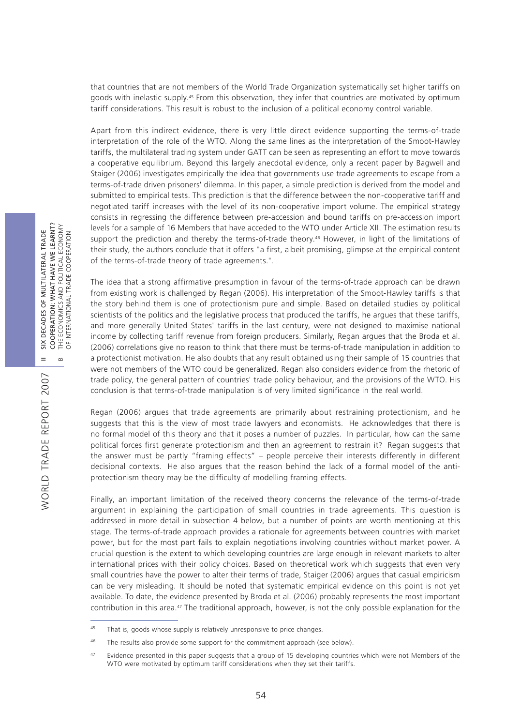that countries that are not members of the World Trade Organization systematically set higher tariffs on goods with inelastic supply.45 From this observation, they infer that countries are motivated by optimum tariff considerations. This result is robust to the inclusion of a political economy control variable.

Apart from this indirect evidence, there is very little direct evidence supporting the terms-of-trade interpretation of the role of the WTO. Along the same lines as the interpretation of the Smoot-Hawley tariffs, the multilateral trading system under GATT can be seen as representing an effort to move towards a cooperative equilibrium. Beyond this largely anecdotal evidence, only a recent paper by Bagwell and Staiger (2006) investigates empirically the idea that governments use trade agreements to escape from a terms-of-trade driven prisoners' dilemma. In this paper, a simple prediction is derived from the model and submitted to empirical tests. This prediction is that the difference between the non-cooperative tariff and negotiated tariff increases with the level of its non-cooperative import volume. The empirical strategy consists in regressing the difference between pre-accession and bound tariffs on pre-accession import levels for a sample of 16 Members that have acceded to the WTO under Article XII. The estimation results support the prediction and thereby the terms-of-trade theory.46 However, in light of the limitations of their study, the authors conclude that it offers "a first, albeit promising, glimpse at the empirical content of the terms-of-trade theory of trade agreements.".

The idea that a strong affirmative presumption in favour of the terms-of-trade approach can be drawn from existing work is challenged by Regan (2006). His interpretation of the Smoot-Hawley tariffs is that the story behind them is one of protectionism pure and simple. Based on detailed studies by political scientists of the politics and the legislative process that produced the tariffs, he argues that these tariffs, and more generally United States' tariffs in the last century, were not designed to maximise national income by collecting tariff revenue from foreign producers. Similarly, Regan argues that the Broda et al. (2006) correlations give no reason to think that there must be terms-of-trade manipulation in addition to a protectionist motivation. He also doubts that any result obtained using their sample of 15 countries that were not members of the WTO could be generalized. Regan also considers evidence from the rhetoric of trade policy, the general pattern of countries' trade policy behaviour, and the provisions of the WTO. His conclusion is that terms-of-trade manipulation is of very limited significance in the real world.

Regan (2006) argues that trade agreements are primarily about restraining protectionism, and he suggests that this is the view of most trade lawyers and economists. He acknowledges that there is no formal model of this theory and that it poses a number of puzzles. In particular, how can the same political forces first generate protectionism and then an agreement to restrain it? Regan suggests that the answer must be partly "framing effects" – people perceive their interests differently in different decisional contexts. He also argues that the reason behind the lack of a formal model of the antiprotectionism theory may be the difficulty of modelling framing effects.

Finally, an important limitation of the received theory concerns the relevance of the terms-of-trade argument in explaining the participation of small countries in trade agreements. This question is addressed in more detail in subsection 4 below, but a number of points are worth mentioning at this stage. The terms-of-trade approach provides a rationale for agreements between countries with market power, but for the most part fails to explain negotiations involving countries without market power. A crucial question is the extent to which developing countries are large enough in relevant markets to alter international prices with their policy choices. Based on theoretical work which suggests that even very small countries have the power to alter their terms of trade, Staiger (2006) argues that casual empiricism can be very misleading. It should be noted that systematic empirical evidence on this point is not yet available. To date, the evidence presented by Broda et al. (2006) probably represents the most important contribution in this area.<sup>47</sup> The traditional approach, however, is not the only possible explanation for the

<sup>&</sup>lt;sup>45</sup> That is, goods whose supply is relatively unresponsive to price changes.

<sup>&</sup>lt;sup>46</sup> The results also provide some support for the commitment approach (see below).

<sup>&</sup>lt;sup>47</sup> Evidence presented in this paper suggests that a group of 15 developing countries which were not Members of the WTO were motivated by optimum tariff considerations when they set their tariffs.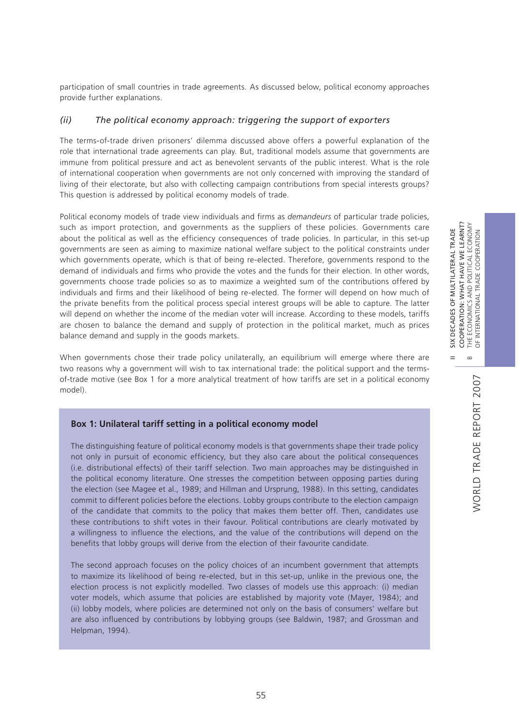II SIX DECADES OF MULTILATERAL TRADE COOPERATION: WHAT HAVE WE LEARNT? B THE ECONOMICS AND POLITICAL ECONOMY OF INTERNATIONAL TRADE COOPERATION

 $=$ 

SIX DECADES OF MULTILATERAL TRADE

COOPERATION: WHAT HAVE WE LEARNT?<br>THE ECONOMICS AND POLITICAL ECONOMY<br>OF INTERNATIONAL TRADE COOPERATION

 $\infty$ 

participation of small countries in trade agreements. As discussed below, political economy approaches provide further explanations.

### *(ii) The political economy approach: triggering the support of exporters*

The terms-of-trade driven prisoners' dilemma discussed above offers a powerful explanation of the role that international trade agreements can play. But, traditional models assume that governments are immune from political pressure and act as benevolent servants of the public interest. What is the role of international cooperation when governments are not only concerned with improving the standard of living of their electorate, but also with collecting campaign contributions from special interests groups? This question is addressed by political economy models of trade.

Political economy models of trade view individuals and firms as *demandeurs* of particular trade policies, such as import protection, and governments as the suppliers of these policies. Governments care about the political as well as the efficiency consequences of trade policies. In particular, in this set-up governments are seen as aiming to maximize national welfare subject to the political constraints under which governments operate, which is that of being re-elected. Therefore, governments respond to the demand of individuals and firms who provide the votes and the funds for their election. In other words, governments choose trade policies so as to maximize a weighted sum of the contributions offered by individuals and firms and their likelihood of being re-elected. The former will depend on how much of the private benefits from the political process special interest groups will be able to capture. The latter will depend on whether the income of the median voter will increase. According to these models, tariffs are chosen to balance the demand and supply of protection in the political market, much as prices balance demand and supply in the goods markets.

When governments chose their trade policy unilaterally, an equilibrium will emerge where there are two reasons why a government will wish to tax international trade: the political support and the termsof-trade motive (see Box 1 for a more analytical treatment of how tariffs are set in a political economy model).

### **Box 1: Unilateral tariff setting in a political economy model**

The distinguishing feature of political economy models is that governments shape their trade policy not only in pursuit of economic efficiency, but they also care about the political consequences (i.e. distributional effects) of their tariff selection. Two main approaches may be distinguished in the political economy literature. One stresses the competition between opposing parties during the election (see Magee et al., 1989; and Hillman and Ursprung, 1988). In this setting, candidates commit to different policies before the elections. Lobby groups contribute to the election campaign of the candidate that commits to the policy that makes them better off. Then, candidates use these contributions to shift votes in their favour. Political contributions are clearly motivated by a willingness to influence the elections, and the value of the contributions will depend on the benefits that lobby groups will derive from the election of their favourite candidate.

The second approach focuses on the policy choices of an incumbent government that attempts to maximize its likelihood of being re-elected, but in this set-up, unlike in the previous one, the election process is not explicitly modelled. Two classes of models use this approach: (i) median voter models, which assume that policies are established by majority vote (Mayer, 1984); and (ii) lobby models, where policies are determined not only on the basis of consumers' welfare but are also influenced by contributions by lobbying groups (see Baldwin, 1987; and Grossman and Helpman, 1994).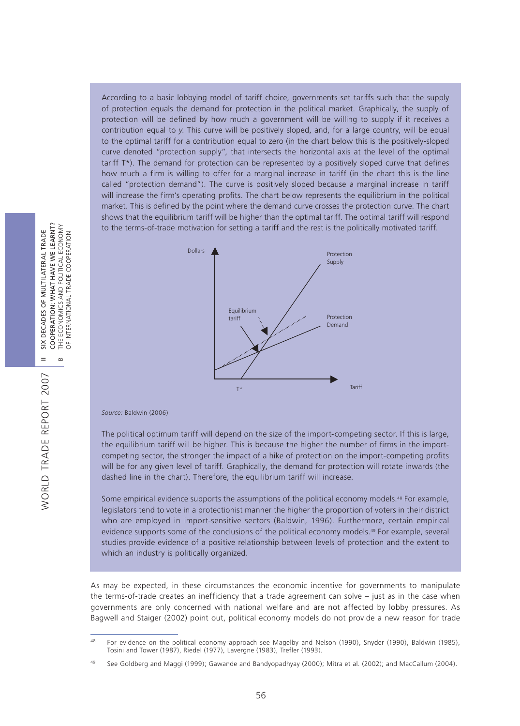According to a basic lobbying model of tariff choice, governments set tariffs such that the supply of protection equals the demand for protection in the political market. Graphically, the supply of protection will be defined by how much a government will be willing to supply if it receives a contribution equal to *y*. This curve will be positively sloped, and, for a large country, will be equal to the optimal tariff for a contribution equal to zero (in the chart below this is the positively-sloped curve denoted "protection supply", that intersects the horizontal axis at the level of the optimal tariff T\*). The demand for protection can be represented by a positively sloped curve that defines how much a firm is willing to offer for a marginal increase in tariff (in the chart this is the line called "protection demand"). The curve is positively sloped because a marginal increase in tariff will increase the firm's operating profits. The chart below represents the equilibrium in the political market. This is defined by the point where the demand curve crosses the protection curve. The chart shows that the equilibrium tariff will be higher than the optimal tariff. The optimal tariff will respond to the terms-of-trade motivation for setting a tariff and the rest is the politically motivated tariff.



*Source:* Baldwin (2006)

The political optimum tariff will depend on the size of the import-competing sector. If this is large, the equilibrium tariff will be higher. This is because the higher the number of firms in the importcompeting sector, the stronger the impact of a hike of protection on the import-competing profits will be for any given level of tariff. Graphically, the demand for protection will rotate inwards (the dashed line in the chart). Therefore, the equilibrium tariff will increase.

Some empirical evidence supports the assumptions of the political economy models.48 For example, legislators tend to vote in a protectionist manner the higher the proportion of voters in their district who are employed in import-sensitive sectors (Baldwin, 1996). Furthermore, certain empirical evidence supports some of the conclusions of the political economy models.49 For example, several studies provide evidence of a positive relationship between levels of protection and the extent to which an industry is politically organized.

As may be expected, in these circumstances the economic incentive for governments to manipulate the terms-of-trade creates an inefficiency that a trade agreement can solve – just as in the case when governments are only concerned with national welfare and are not affected by lobby pressures. As Bagwell and Staiger (2002) point out, political economy models do not provide a new reason for trade

COOPERATION: WHAT HAVE WE LEARNT? COOPERATION: WHAT HAVE WE LEARNT? B THE ECONOMICS AND POLITICAL ECONOMY SIX DECADES OF MULTILATERAL TRADE II SIX DECADES OF MULTILATERAL TRADE OF INTERNATIONAL TRADE COOPERATION  $\equiv$  $\sim$ 

<sup>48</sup> For evidence on the political economy approach see Magelby and Nelson (1990), Snyder (1990), Baldwin (1985), Tosini and Tower (1987), Riedel (1977), Lavergne (1983), Trefler (1993).

<sup>49</sup> See Goldberg and Maggi (1999); Gawande and Bandyopadhyay (2000); Mitra et al. (2002); and MacCallum (2004).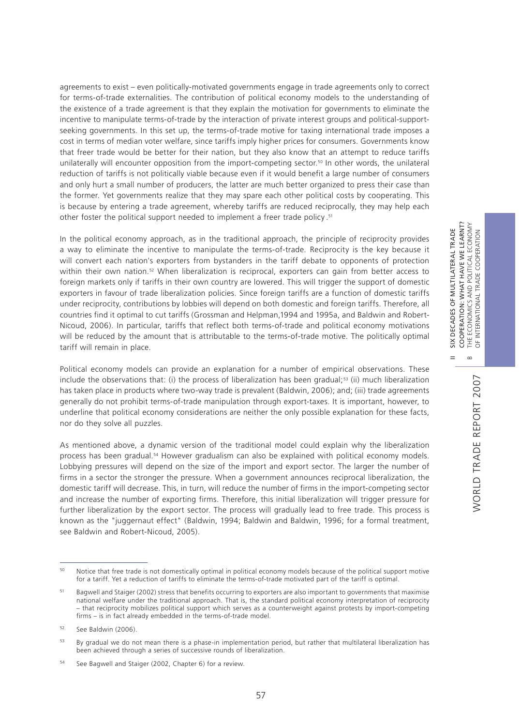agreements to exist – even politically-motivated governments engage in trade agreements only to correct for terms-of-trade externalities. The contribution of political economy models to the understanding of the existence of a trade agreement is that they explain the motivation for governments to eliminate the incentive to manipulate terms-of-trade by the interaction of private interest groups and political-supportseeking governments. In this set up, the terms-of-trade motive for taxing international trade imposes a cost in terms of median voter welfare, since tariffs imply higher prices for consumers. Governments know that freer trade would be better for their nation, but they also know that an attempt to reduce tariffs unilaterally will encounter opposition from the import-competing sector.50 In other words, the unilateral reduction of tariffs is not politically viable because even if it would benefit a large number of consumers and only hurt a small number of producers, the latter are much better organized to press their case than the former. Yet governments realize that they may spare each other political costs by cooperating. This is because by entering a trade agreement, whereby tariffs are reduced reciprocally, they may help each other foster the political support needed to implement a freer trade policy.<sup>51</sup>

In the political economy approach, as in the traditional approach, the principle of reciprocity provides a way to eliminate the incentive to manipulate the terms-of-trade. Reciprocity is the key because it will convert each nation's exporters from bystanders in the tariff debate to opponents of protection within their own nation.<sup>52</sup> When liberalization is reciprocal, exporters can gain from better access to foreign markets only if tariffs in their own country are lowered. This will trigger the support of domestic exporters in favour of trade liberalization policies. Since foreign tariffs are a function of domestic tariffs under reciprocity, contributions by lobbies will depend on both domestic and foreign tariffs. Therefore, all countries find it optimal to cut tariffs (Grossman and Helpman,1994 and 1995a, and Baldwin and Robert-Nicoud, 2006). In particular, tariffs that reflect both terms-of-trade and political economy motivations will be reduced by the amount that is attributable to the terms-of-trade motive. The politically optimal tariff will remain in place.

Political economy models can provide an explanation for a number of empirical observations. These include the observations that: (i) the process of liberalization has been gradual;<sup>53</sup> (ii) much liberalization has taken place in products where two-way trade is prevalent (Baldwin, 2006); and; (iii) trade agreements generally do not prohibit terms-of-trade manipulation through export-taxes. It is important, however, to underline that political economy considerations are neither the only possible explanation for these facts, nor do they solve all puzzles.

As mentioned above, a dynamic version of the traditional model could explain why the liberalization process has been gradual.54 However gradualism can also be explained with political economy models. Lobbying pressures will depend on the size of the import and export sector. The larger the number of firms in a sector the stronger the pressure. When a government announces reciprocal liberalization, the domestic tariff will decrease. This, in turn, will reduce the number of firms in the import-competing sector and increase the number of exporting firms. Therefore, this initial liberalization will trigger pressure for further liberalization by the export sector. The process will gradually lead to free trade. This process is known as the "juggernaut effect" (Baldwin, 1994; Baldwin and Baldwin, 1996; for a formal treatment, see Baldwin and Robert-Nicoud, 2005).

II SIX DECADES OF MULTILATERAL TRADE COOPERATION: WHAT HAVE WE LEARNT?

 $=$ 

SIX DECADES OF MULTILATERAL TRADE

COOPERATION: WHAT HAVE WE LEARNT?

POLITICAL ECONOMY

<sup>&</sup>lt;sup>50</sup> Notice that free trade is not domestically optimal in political economy models because of the political support motive for a tariff. Yet a reduction of tariffs to eliminate the terms-of-trade motivated part of the tariff is optimal.

<sup>&</sup>lt;sup>51</sup> Bagwell and Staiger (2002) stress that benefits occurring to exporters are also important to governments that maximise national welfare under the traditional approach. That is, the standard political economy interpretation of reciprocity – that reciprocity mobilizes political support which serves as a counterweight against protests by import-competing firms – is in fact already embedded in the terms-of-trade model.

<sup>52</sup> See Baldwin (2006).

<sup>53</sup> By gradual we do not mean there is a phase-in implementation period, but rather that multilateral liberalization has been achieved through a series of successive rounds of liberalization.

<sup>54</sup> See Bagwell and Staiger (2002, Chapter 6) for a review.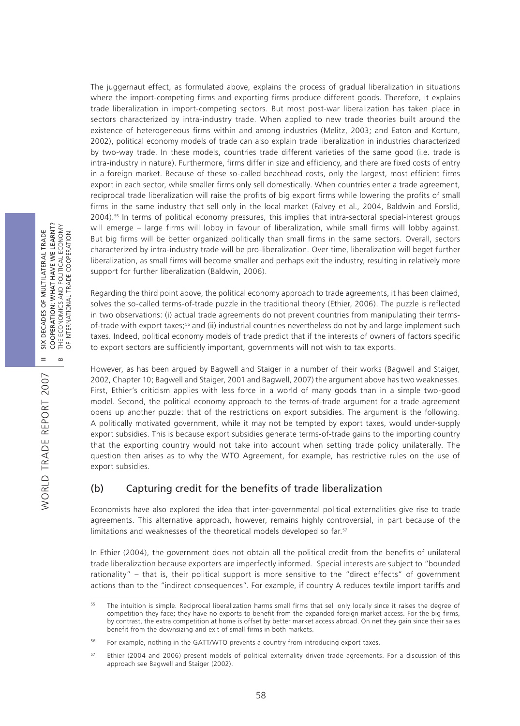The juggernaut effect, as formulated above, explains the process of gradual liberalization in situations where the import-competing firms and exporting firms produce different goods. Therefore, it explains trade liberalization in import-competing sectors. But most post-war liberalization has taken place in sectors characterized by intra-industry trade. When applied to new trade theories built around the existence of heterogeneous firms within and among industries (Melitz, 2003; and Eaton and Kortum, 2002), political economy models of trade can also explain trade liberalization in industries characterized by two-way trade. In these models, countries trade different varieties of the same good (i.e. trade is intra-industry in nature). Furthermore, firms differ in size and efficiency, and there are fixed costs of entry in a foreign market. Because of these so-called beachhead costs, only the largest, most efficient firms export in each sector, while smaller firms only sell domestically. When countries enter a trade agreement, reciprocal trade liberalization will raise the profits of big export firms while lowering the profits of small firms in the same industry that sell only in the local market (Falvey et al., 2004, Baldwin and Forslid, 2004).55 In terms of political economy pressures, this implies that intra-sectoral special-interest groups will emerge – large firms will lobby in favour of liberalization, while small firms will lobby against. But big firms will be better organized politically than small firms in the same sectors. Overall, sectors characterized by intra-industry trade will be pro-liberalization. Over time, liberalization will beget further liberalization, as small firms will become smaller and perhaps exit the industry, resulting in relatively more support for further liberalization (Baldwin, 2006).

Regarding the third point above, the political economy approach to trade agreements, it has been claimed, solves the so-called terms-of-trade puzzle in the traditional theory (Ethier, 2006). The puzzle is reflected in two observations: (i) actual trade agreements do not prevent countries from manipulating their termsof-trade with export taxes;<sup>56</sup> and (ii) industrial countries nevertheless do not by and large implement such taxes. Indeed, political economy models of trade predict that if the interests of owners of factors specific to export sectors are sufficiently important, governments will not wish to tax exports.

However, as has been argued by Bagwell and Staiger in a number of their works (Bagwell and Staiger, 2002, Chapter 10; Bagwell and Staiger, 2001 and Bagwell, 2007) the argument above has two weaknesses. First, Ethier's criticism applies with less force in a world of many goods than in a simple two-good model. Second, the political economy approach to the terms-of-trade argument for a trade agreement opens up another puzzle: that of the restrictions on export subsidies. The argument is the following. A politically motivated government, while it may not be tempted by export taxes, would under-supply export subsidies. This is because export subsidies generate terms-of-trade gains to the importing country that the exporting country would not take into account when setting trade policy unilaterally. The question then arises as to why the WTO Agreement, for example, has restrictive rules on the use of export subsidies.

## (b) Capturing credit for the benefits of trade liberalization

Economists have also explored the idea that inter-governmental political externalities give rise to trade agreements. This alternative approach, however, remains highly controversial, in part because of the limitations and weaknesses of the theoretical models developed so far.<sup>57</sup>

In Ethier (2004), the government does not obtain all the political credit from the benefits of unilateral trade liberalization because exporters are imperfectly informed. Special interests are subject to "bounded rationality" – that is, their political support is more sensitive to the "direct effects" of government actions than to the "indirect consequences". For example, if country A reduces textile import tariffs and

WORLD TRADE REPORT 2007

WORLD TRADE REPORT 2007

<sup>&</sup>lt;sup>55</sup> The intuition is simple. Reciprocal liberalization harms small firms that sell only locally since it raises the degree of competition they face; they have no exports to benefit from the expanded foreign market access. For the big firms, by contrast, the extra competition at home is offset by better market access abroad. On net they gain since their sales benefit from the downsizing and exit of small firms in both markets.

<sup>&</sup>lt;sup>56</sup> For example, nothing in the GATT/WTO prevents a country from introducing export taxes.

<sup>57</sup> Ethier (2004 and 2006) present models of political externality driven trade agreements. For a discussion of this approach see Bagwell and Staiger (2002).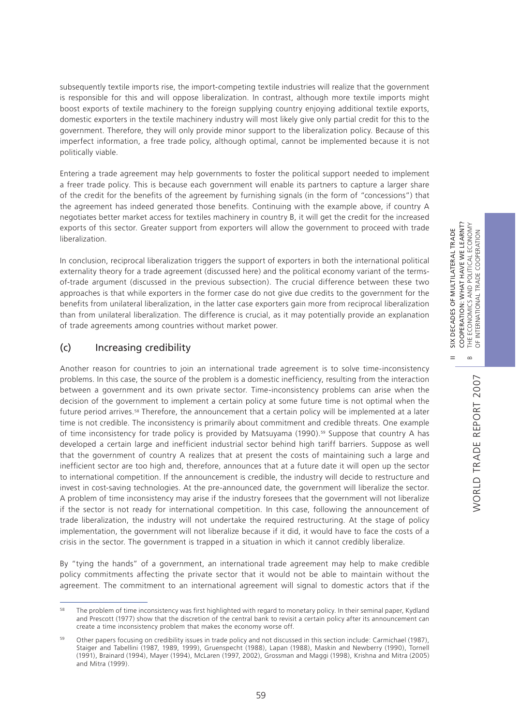subsequently textile imports rise, the import-competing textile industries will realize that the government is responsible for this and will oppose liberalization. In contrast, although more textile imports might boost exports of textile machinery to the foreign supplying country enjoying additional textile exports, domestic exporters in the textile machinery industry will most likely give only partial credit for this to the government. Therefore, they will only provide minor support to the liberalization policy. Because of this imperfect information, a free trade policy, although optimal, cannot be implemented because it is not politically viable.

Entering a trade agreement may help governments to foster the political support needed to implement a freer trade policy. This is because each government will enable its partners to capture a larger share of the credit for the benefits of the agreement by furnishing signals (in the form of "concessions") that the agreement has indeed generated those benefits. Continuing with the example above, if country A negotiates better market access for textiles machinery in country B, it will get the credit for the increased exports of this sector. Greater support from exporters will allow the government to proceed with trade liberalization.

In conclusion, reciprocal liberalization triggers the support of exporters in both the international political externality theory for a trade agreement (discussed here) and the political economy variant of the termsof-trade argument (discussed in the previous subsection). The crucial difference between these two approaches is that while exporters in the former case do not give due credits to the government for the benefits from unilateral liberalization, in the latter case exporters gain more from reciprocal liberalization than from unilateral liberalization. The difference is crucial, as it may potentially provide an explanation of trade agreements among countries without market power.

## (c) Increasing credibility

Another reason for countries to join an international trade agreement is to solve time-inconsistency problems. In this case, the source of the problem is a domestic inefficiency, resulting from the interaction between a government and its own private sector. Time-inconsistency problems can arise when the decision of the government to implement a certain policy at some future time is not optimal when the future period arrives.<sup>58</sup> Therefore, the announcement that a certain policy will be implemented at a later time is not credible. The inconsistency is primarily about commitment and credible threats. One example of time inconsistency for trade policy is provided by Matsuyama (1990).<sup>59</sup> Suppose that country A has developed a certain large and inefficient industrial sector behind high tariff barriers. Suppose as well that the government of country A realizes that at present the costs of maintaining such a large and inefficient sector are too high and, therefore, announces that at a future date it will open up the sector to international competition. If the announcement is credible, the industry will decide to restructure and invest in cost-saving technologies. At the pre-announced date, the government will liberalize the sector. A problem of time inconsistency may arise if the industry foresees that the government will not liberalize if the sector is not ready for international competition. In this case, following the announcement of trade liberalization, the industry will not undertake the required restructuring. At the stage of policy implementation, the government will not liberalize because if it did, it would have to face the costs of a crisis in the sector. The government is trapped in a situation in which it cannot credibly liberalize.

By "tying the hands" of a government, an international trade agreement may help to make credible policy commitments affecting the private sector that it would not be able to maintain without the agreement. The commitment to an international agreement will signal to domestic actors that if the II SIX DECADES OF MULTILATERAL TRADE

<sup>&</sup>lt;sup>58</sup> The problem of time inconsistency was first highlighted with regard to monetary policy. In their seminal paper, Kydland and Prescott (1977) show that the discretion of the central bank to revisit a certain policy after its announcement can create a time inconsistency problem that makes the economy worse off.

<sup>59</sup> Other papers focusing on credibility issues in trade policy and not discussed in this section include: Carmichael (1987), Staiger and Tabellini (1987, 1989, 1999), Gruenspecht (1988), Lapan (1988), Maskin and Newberry (1990), Tornell (1991), Brainard (1994), Mayer (1994), McLaren (1997, 2002), Grossman and Maggi (1998), Krishna and Mitra (2005) and Mitra (1999).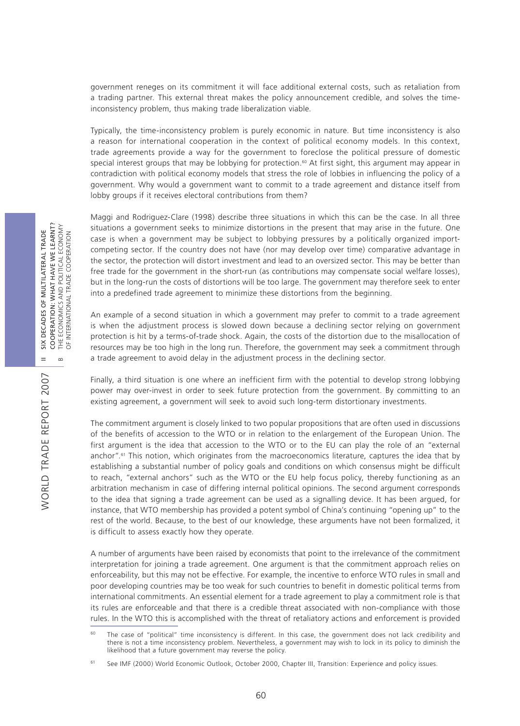government reneges on its commitment it will face additional external costs, such as retaliation from a trading partner. This external threat makes the policy announcement credible, and solves the timeinconsistency problem, thus making trade liberalization viable.

Typically, the time-inconsistency problem is purely economic in nature. But time inconsistency is also a reason for international cooperation in the context of political economy models. In this context, trade agreements provide a way for the government to foreclose the political pressure of domestic special interest groups that may be lobbying for protection.<sup>60</sup> At first sight, this argument may appear in contradiction with political economy models that stress the role of lobbies in influencing the policy of a government. Why would a government want to commit to a trade agreement and distance itself from lobby groups if it receives electoral contributions from them?

Maggi and Rodriguez-Clare (1998) describe three situations in which this can be the case. In all three situations a government seeks to minimize distortions in the present that may arise in the future. One case is when a government may be subject to lobbying pressures by a politically organized importcompeting sector. If the country does not have (nor may develop over time) comparative advantage in the sector, the protection will distort investment and lead to an oversized sector. This may be better than free trade for the government in the short-run (as contributions may compensate social welfare losses), but in the long-run the costs of distortions will be too large. The government may therefore seek to enter into a predefined trade agreement to minimize these distortions from the beginning.

An example of a second situation in which a government may prefer to commit to a trade agreement is when the adjustment process is slowed down because a declining sector relying on government protection is hit by a terms-of-trade shock. Again, the costs of the distortion due to the misallocation of resources may be too high in the long run. Therefore, the government may seek a commitment through a trade agreement to avoid delay in the adjustment process in the declining sector.

Finally, a third situation is one where an inefficient firm with the potential to develop strong lobbying power may over-invest in order to seek future protection from the government. By committing to an existing agreement, a government will seek to avoid such long-term distortionary investments.

The commitment argument is closely linked to two popular propositions that are often used in discussions of the benefits of accession to the WTO or in relation to the enlargement of the European Union. The first argument is the idea that accession to the WTO or to the EU can play the role of an "external anchor".<sup>61</sup> This notion, which originates from the macroeconomics literature, captures the idea that by establishing a substantial number of policy goals and conditions on which consensus might be difficult to reach, "external anchors" such as the WTO or the EU help focus policy, thereby functioning as an arbitration mechanism in case of differing internal political opinions. The second argument corresponds to the idea that signing a trade agreement can be used as a signalling device. It has been argued, for instance, that WTO membership has provided a potent symbol of China's continuing "opening up" to the rest of the world. Because, to the best of our knowledge, these arguments have not been formalized, it is difficult to assess exactly how they operate.

A number of arguments have been raised by economists that point to the irrelevance of the commitment interpretation for joining a trade agreement. One argument is that the commitment approach relies on enforceability, but this may not be effective. For example, the incentive to enforce WTO rules in small and poor developing countries may be too weak for such countries to benefit in domestic political terms from international commitments. An essential element for a trade agreement to play a commitment role is that its rules are enforceable and that there is a credible threat associated with non-compliance with those rules. In the WTO this is accomplished with the threat of retaliatory actions and enforcement is provided

<sup>&</sup>lt;sup>60</sup> The case of "political" time inconsistency is different. In this case, the government does not lack credibility and there is not a time inconsistency problem. Nevertheless, a government may wish to lock in its policy to diminish the likelihood that a future government may reverse the policy.

See IMF (2000) World Economic Outlook, October 2000, Chapter III, Transition: Experience and policy issues.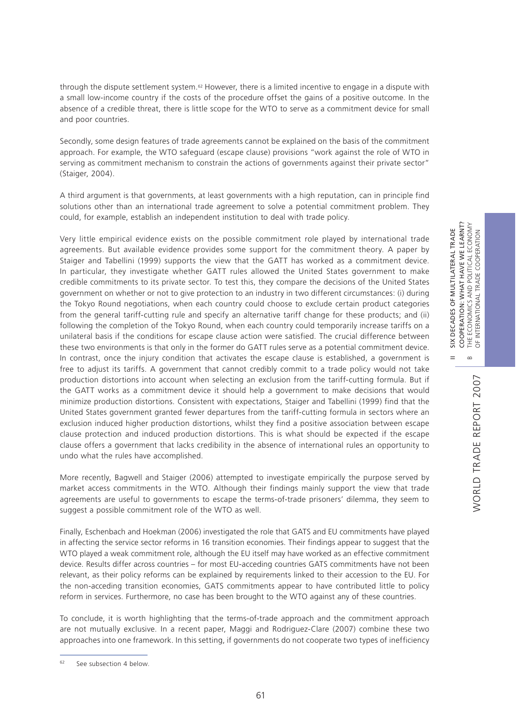II SIX DECADES OF MULTILATERAL TRADE COOPERATION: WHAT HAVE WE LEARNT?

 $\frac{X}{2}$  $=$ 

DECADES OF MULTILATERAL TRADE

COOPERATION: WHAT HAVE WE LEARNT? THE ECONOMICS AND POLITICAL ECONOMY<br>OF INTERNATIONAL TRADE COOPERATION

OF INTERNATIONAL TRADE COOPERATION

through the dispute settlement system.<sup>62</sup> However, there is a limited incentive to engage in a dispute with a small low-income country if the costs of the procedure offset the gains of a positive outcome. In the absence of a credible threat, there is little scope for the WTO to serve as a commitment device for small and poor countries.

Secondly, some design features of trade agreements cannot be explained on the basis of the commitment approach. For example, the WTO safeguard (escape clause) provisions "work against the role of WTO in serving as commitment mechanism to constrain the actions of governments against their private sector" (Staiger, 2004).

A third argument is that governments, at least governments with a high reputation, can in principle find solutions other than an international trade agreement to solve a potential commitment problem. They could, for example, establish an independent institution to deal with trade policy.

Very little empirical evidence exists on the possible commitment role played by international trade agreements. But available evidence provides some support for the commitment theory. A paper by Staiger and Tabellini (1999) supports the view that the GATT has worked as a commitment device. In particular, they investigate whether GATT rules allowed the United States government to make credible commitments to its private sector. To test this, they compare the decisions of the United States government on whether or not to give protection to an industry in two different circumstances: (i) during the Tokyo Round negotiations, when each country could choose to exclude certain product categories from the general tariff-cutting rule and specify an alternative tariff change for these products; and (ii) following the completion of the Tokyo Round, when each country could temporarily increase tariffs on a unilateral basis if the conditions for escape clause action were satisfied. The crucial difference between these two environments is that only in the former do GATT rules serve as a potential commitment device. In contrast, once the injury condition that activates the escape clause is established, a government is free to adjust its tariffs. A government that cannot credibly commit to a trade policy would not take production distortions into account when selecting an exclusion from the tariff-cutting formula. But if the GATT works as a commitment device it should help a government to make decisions that would minimize production distortions. Consistent with expectations, Staiger and Tabellini (1999) find that the United States government granted fewer departures from the tariff-cutting formula in sectors where an exclusion induced higher production distortions, whilst they find a positive association between escape clause protection and induced production distortions. This is what should be expected if the escape clause offers a government that lacks credibility in the absence of international rules an opportunity to undo what the rules have accomplished.

More recently, Bagwell and Staiger (2006) attempted to investigate empirically the purpose served by market access commitments in the WTO. Although their findings mainly support the view that trade agreements are useful to governments to escape the terms-of-trade prisoners' dilemma, they seem to suggest a possible commitment role of the WTO as well.

Finally, Eschenbach and Hoekman (2006) investigated the role that GATS and EU commitments have played in affecting the service sector reforms in 16 transition economies. Their findings appear to suggest that the WTO played a weak commitment role, although the EU itself may have worked as an effective commitment device. Results differ across countries – for most EU-acceding countries GATS commitments have not been relevant, as their policy reforms can be explained by requirements linked to their accession to the EU. For the non-acceding transition economies, GATS commitments appear to have contributed little to policy reform in services. Furthermore, no case has been brought to the WTO against any of these countries.

To conclude, it is worth highlighting that the terms-of-trade approach and the commitment approach are not mutually exclusive. In a recent paper, Maggi and Rodriguez-Clare (2007) combine these two approaches into one framework. In this setting, if governments do not cooperate two types of inefficiency

<sup>62</sup> See subsection 4 below.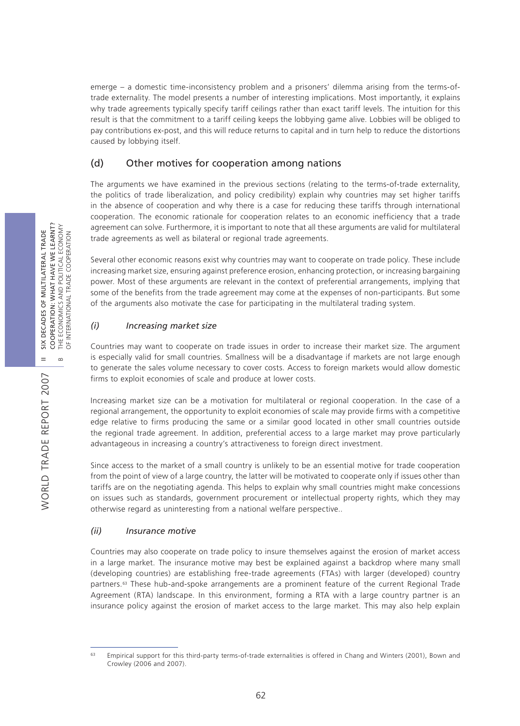emerge – a domestic time-inconsistency problem and a prisoners' dilemma arising from the terms-oftrade externality. The model presents a number of interesting implications. Most importantly, it explains why trade agreements typically specify tariff ceilings rather than exact tariff levels. The intuition for this result is that the commitment to a tariff ceiling keeps the lobbying game alive. Lobbies will be obliged to pay contributions ex-post, and this will reduce returns to capital and in turn help to reduce the distortions caused by lobbying itself.

## (d) Other motives for cooperation among nations

The arguments we have examined in the previous sections (relating to the terms-of-trade externality, the politics of trade liberalization, and policy credibility) explain why countries may set higher tariffs in the absence of cooperation and why there is a case for reducing these tariffs through international cooperation. The economic rationale for cooperation relates to an economic inefficiency that a trade agreement can solve. Furthermore, it is important to note that all these arguments are valid for multilateral trade agreements as well as bilateral or regional trade agreements.

Several other economic reasons exist why countries may want to cooperate on trade policy. These include increasing market size, ensuring against preference erosion, enhancing protection, or increasing bargaining power. Most of these arguments are relevant in the context of preferential arrangements, implying that some of the benefits from the trade agreement may come at the expenses of non-participants. But some of the arguments also motivate the case for participating in the multilateral trading system.

## *(i) Increasing market size*

Countries may want to cooperate on trade issues in order to increase their market size. The argument is especially valid for small countries. Smallness will be a disadvantage if markets are not large enough to generate the sales volume necessary to cover costs. Access to foreign markets would allow domestic firms to exploit economies of scale and produce at lower costs.

Increasing market size can be a motivation for multilateral or regional cooperation. In the case of a regional arrangement, the opportunity to exploit economies of scale may provide firms with a competitive edge relative to firms producing the same or a similar good located in other small countries outside the regional trade agreement. In addition, preferential access to a large market may prove particularly advantageous in increasing a country's attractiveness to foreign direct investment.

Since access to the market of a small country is unlikely to be an essential motive for trade cooperation from the point of view of a large country, the latter will be motivated to cooperate only if issues other than tariffs are on the negotiating agenda. This helps to explain why small countries might make concessions on issues such as standards, government procurement or intellectual property rights, which they may otherwise regard as uninteresting from a national welfare perspective..

## *(ii) Insurance motive*

Countries may also cooperate on trade policy to insure themselves against the erosion of market access in a large market. The insurance motive may best be explained against a backdrop where many small (developing countries) are establishing free-trade agreements (FTAs) with larger (developed) country partners.63 These hub-and-spoke arrangements are a prominent feature of the current Regional Trade Agreement (RTA) landscape. In this environment, forming a RTA with a large country partner is an insurance policy against the erosion of market access to the large market. This may also help explain

<sup>&</sup>lt;sup>63</sup> Empirical support for this third-party terms-of-trade externalities is offered in Chang and Winters (2001), Bown and Crowley (2006 and 2007).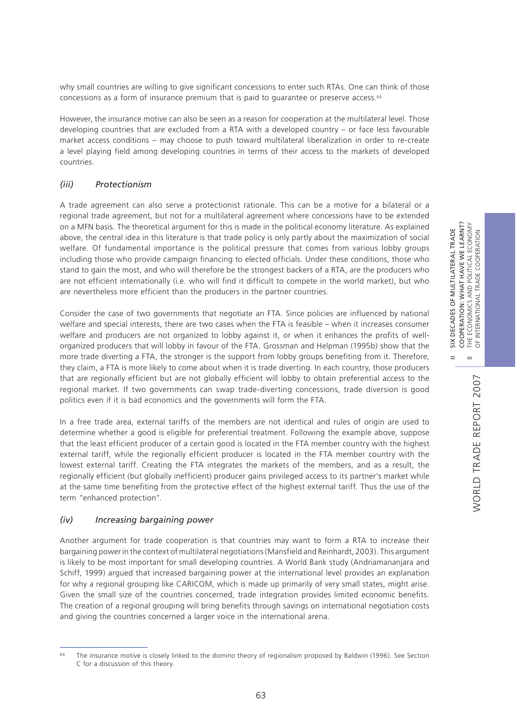II SIX DECADES OF MULTILATERAL TRADE COOPERATION: WHAT HAVE WE LEARNT? B THE ECONOMICS AND POLITICAL ECONOMY OF INTERNATIONAL TRADE COOPERATION

 $\frac{X}{S}$  $=$ 

DECADES OF MULTILATERAL TRADE

COOPERATION: WHAT HAVE WE LEARNT? THE ECONOMICS AND POLITICAL ECONOMY<br>OF INTERNATIONAL TRADE COOPERATION

why small countries are willing to give significant concessions to enter such RTAs. One can think of those concessions as a form of insurance premium that is paid to guarantee or preserve access.<sup>64</sup>

However, the insurance motive can also be seen as a reason for cooperation at the multilateral level. Those developing countries that are excluded from a RTA with a developed country – or face less favourable market access conditions – may choose to push toward multilateral liberalization in order to re-create a level playing field among developing countries in terms of their access to the markets of developed countries.

### *(iii) Protectionism*

A trade agreement can also serve a protectionist rationale. This can be a motive for a bilateral or a regional trade agreement, but not for a multilateral agreement where concessions have to be extended on a MFN basis. The theoretical argument for this is made in the political economy literature. As explained above, the central idea in this literature is that trade policy is only partly about the maximization of social welfare. Of fundamental importance is the political pressure that comes from various lobby groups including those who provide campaign financing to elected officials. Under these conditions, those who stand to gain the most, and who will therefore be the strongest backers of a RTA, are the producers who are not efficient internationally (i.e. who will find it difficult to compete in the world market), but who are nevertheless more efficient than the producers in the partner countries.

Consider the case of two governments that negotiate an FTA. Since policies are influenced by national welfare and special interests, there are two cases when the FTA is feasible – when it increases consumer welfare and producers are not organized to lobby against it, or when it enhances the profits of wellorganized producers that will lobby in favour of the FTA. Grossman and Helpman (1995b) show that the more trade diverting a FTA, the stronger is the support from lobby groups benefiting from it. Therefore, they claim, a FTA is more likely to come about when it is trade diverting. In each country, those producers that are regionally efficient but are not globally efficient will lobby to obtain preferential access to the regional market. If two governments can swap trade-diverting concessions, trade diversion is good politics even if it is bad economics and the governments will form the FTA.

In a free trade area, external tariffs of the members are not identical and rules of origin are used to determine whether a good is eligible for preferential treatment. Following the example above, suppose that the least efficient producer of a certain good is located in the FTA member country with the highest external tariff, while the regionally efficient producer is located in the FTA member country with the lowest external tariff. Creating the FTA integrates the markets of the members, and as a result, the regionally efficient (but globally inefficient) producer gains privileged access to its partner's market while at the same time benefiting from the protective effect of the highest external tariff. Thus the use of the term "enhanced protection".

#### *(iv) Increasing bargaining power*

Another argument for trade cooperation is that countries may want to form a RTA to increase their bargaining power in the context of multilateral negotiations (Mansfield and Reinhardt, 2003). This argument is likely to be most important for small developing countries. A World Bank study (Andriamananjara and Schiff, 1999) argued that increased bargaining power at the international level provides an explanation for why a regional grouping like CARICOM, which is made up primarily of very small states, might arise. Given the small size of the countries concerned, trade integration provides limited economic benefits. The creation of a regional grouping will bring benefits through savings on international negotiation costs and giving the countries concerned a larger voice in the international arena.

<sup>&</sup>lt;sup>64</sup> The insurance motive is closely linked to the domino theory of regionalism proposed by Baldwin (1996). See Section C for a discussion of this theory.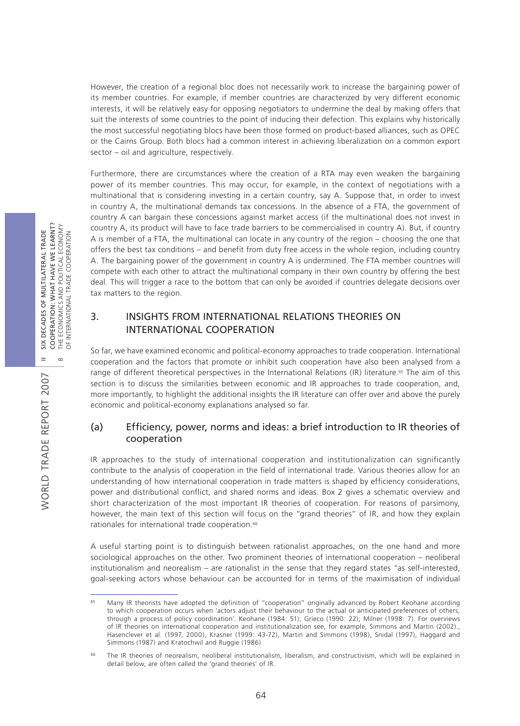However, the creation of a regional bloc does not necessarily work to increase the bargaining power of its member countries. For example, if member countries are characterized by very different economic interests, it will be relatively easy for opposing negotiators to undermine the deal by making offers that suit the interests of some countries to the point of inducing their defection. This explains why historically the most successful negotiating blocs have been those formed on product-based alliances, such as OPEC or the Cairns Group. Both blocs had a common interest in achieving liberalization on a common export sector – oil and agriculture, respectively.

Furthermore, there are circumstances where the creation of a RTA may even weaken the bargaining power of its member countries. This may occur, for example, in the context of negotiations with a multinational that is considering investing in a certain country, say A. Suppose that, in order to invest in country A, the multinational demands tax concessions. In the absence of a FTA, the government of country A can bargain these concessions against market access (if the multinational does not invest in country A, its product will have to face trade barriers to be commercialised in country A). But, if country A is member of a FTA, the multinational can locate in any country of the region – choosing the one that offers the best tax conditions – and benefit from duty free access in the whole region, including country A. The bargaining power of the government in country A is undermined. The FTA member countries will compete with each other to attract the multinational company in their own country by offering the best deal. This will trigger a race to the bottom that can only be avoided if countries delegate decisions over tax matters to the region.

## 3. INSIGHTS FROM INTERNATIONAL RELATIONS THEORIES ON INTERNATIONAL COOPERATION

So far, we have examined economic and political-economy approaches to trade cooperation. International cooperation and the factors that promote or inhibit such cooperation have also been analysed from a range of different theoretical perspectives in the International Relations (IR) literature.<sup>65</sup> The aim of this section is to discuss the similarities between economic and IR approaches to trade cooperation, and, more importantly, to highlight the additional insights the IR literature can offer over and above the purely economic and political-economy explanations analysed so far.

## (a) Efficiency, power, norms and ideas: a brief introduction to IR theories of cooperation

IR approaches to the study of international cooperation and institutionalization can significantly contribute to the analysis of cooperation in the field of international trade. Various theories allow for an understanding of how international cooperation in trade matters is shaped by efficiency considerations, power and distributional conflict, and shared norms and ideas. Box 2 gives a schematic overview and short characterization of the most important IR theories of cooperation. For reasons of parsimony, however, the main text of this section will focus on the "grand theories" of IR, and how they explain rationales for international trade cooperation.<sup>66</sup>

A useful starting point is to distinguish between rationalist approaches, on the one hand and more sociological approaches on the other. Two prominent theories of international cooperation – neoliberal institutionalism and neorealism – are rationalist in the sense that they regard states "as self-interested, goal-seeking actors whose behaviour can be accounted for in terms of the maximisation of individual

<sup>&</sup>lt;sup>65</sup> Many IR theorists have adopted the definition of "cooperation" originally advanced by Robert Keohane according to which cooperation occurs when 'actors adjust their behaviour to the actual or anticipated preferences of others, through a process of policy coordination'. Keohane (1984: 51); Grieco (1990: 22); Milner (1998: 7). For overviews of IR theories on international cooperation and institutionalization see, for example, Simmons and Martin (2002)., Hasenclever et al. (1997, 2000), Krasner (1999: 43-72), Martin and Simmons (1998), Snidal (1997), Haggard and Simmons (1987) and Kratochwil and Ruggie (1986).

<sup>&</sup>lt;sup>66</sup> The IR theories of neorealism, neoliberal institutionalism, liberalism, and constructivism, which will be explained in detail below, are often called the 'grand theories' of IR.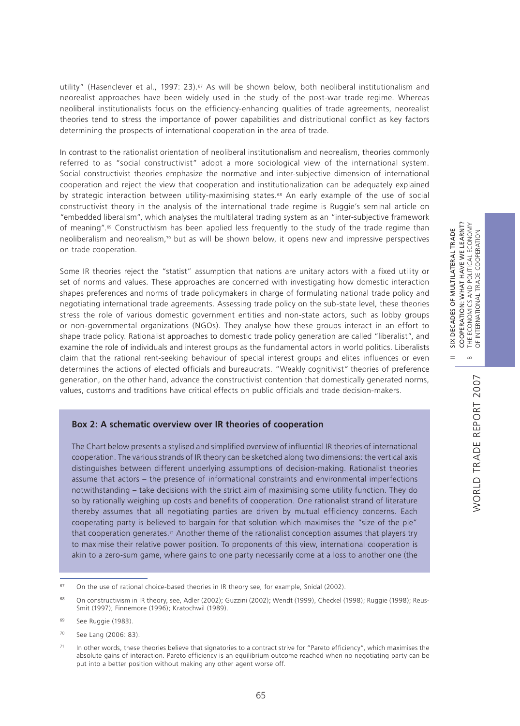II SIX DECADES OF MULTILATERAL TRADE COOPERATION: WHAT HAVE WE LEARNT?

 $\frac{X}{2}$  $=$ 

DECADES OF MULTILATERAL TRADE

COOPERATION: WHAT HAVE WE LEARNT?

POLITICAL ECONOMY

OF INTERNATIONAL TRADE COOPERATION

THE ECONOMICS AND POLITICAL ECONOM<br>OF INTERNATIONAL TRADE COOPERATION

utility" (Hasenclever et al., 1997: 23).<sup>67</sup> As will be shown below, both neoliberal institutionalism and neorealist approaches have been widely used in the study of the post-war trade regime. Whereas neoliberal institutionalists focus on the efficiency-enhancing qualities of trade agreements, neorealist theories tend to stress the importance of power capabilities and distributional conflict as key factors determining the prospects of international cooperation in the area of trade.

In contrast to the rationalist orientation of neoliberal institutionalism and neorealism, theories commonly referred to as "social constructivist" adopt a more sociological view of the international system. Social constructivist theories emphasize the normative and inter-subjective dimension of international cooperation and reject the view that cooperation and institutionalization can be adequately explained by strategic interaction between utility-maximising states.<sup>68</sup> An early example of the use of social constructivist theory in the analysis of the international trade regime is Ruggie's seminal article on "embedded liberalism", which analyses the multilateral trading system as an "inter-subjective framework of meaning".69 Constructivism has been applied less frequently to the study of the trade regime than neoliberalism and neorealism,70 but as will be shown below, it opens new and impressive perspectives on trade cooperation.

Some IR theories reject the "statist" assumption that nations are unitary actors with a fixed utility or set of norms and values. These approaches are concerned with investigating how domestic interaction shapes preferences and norms of trade policymakers in charge of formulating national trade policy and negotiating international trade agreements. Assessing trade policy on the sub-state level, these theories stress the role of various domestic government entities and non-state actors, such as lobby groups or non-governmental organizations (NGOs). They analyse how these groups interact in an effort to shape trade policy. Rationalist approaches to domestic trade policy generation are called "liberalist", and examine the role of individuals and interest groups as the fundamental actors in world politics. Liberalists claim that the rational rent-seeking behaviour of special interest groups and elites influences or even determines the actions of elected officials and bureaucrats. "Weakly cognitivist*"* theories of preference generation, on the other hand, advance the constructivist contention that domestically generated norms, values, customs and traditions have critical effects on public officials and trade decision-makers.

### **Box 2: A schematic overview over IR theories of cooperation**

The Chart below presents a stylised and simplified overview of influential IR theories of international cooperation. The various strands of IR theory can be sketched along two dimensions: the vertical axis distinguishes between different underlying assumptions of decision-making. Rationalist theories assume that actors – the presence of informational constraints and environmental imperfections notwithstanding – take decisions with the strict aim of maximising some utility function. They do so by rationally weighing up costs and benefits of cooperation. One rationalist strand of literature thereby assumes that all negotiating parties are driven by mutual efficiency concerns. Each cooperating party is believed to bargain for that solution which maximises the "size of the pie" that cooperation generates.71 Another theme of the rationalist conception assumes that players try to maximise their relative power position. To proponents of this view, international cooperation is akin to a zero-sum game, where gains to one party necessarily come at a loss to another one (the

 $67$  On the use of rational choice-based theories in IR theory see, for example, Snidal (2002).

<sup>&</sup>lt;sup>68</sup> On constructivism in IR theory, see, Adler (2002); Guzzini (2002); Wendt (1999), Checkel (1998); Ruggie (1998); Reus-Smit (1997); Finnemore (1996); Kratochwil (1989).

<sup>&</sup>lt;sup>69</sup> See Ruggie (1983).

<sup>70</sup> See Lang (2006: 83).

<sup>&</sup>lt;sup>71</sup> In other words, these theories believe that signatories to a contract strive for "Pareto efficiency", which maximises the absolute gains of interaction. Pareto efficiency is an equilibrium outcome reached when no negotiating party can be put into a better position without making any other agent worse off.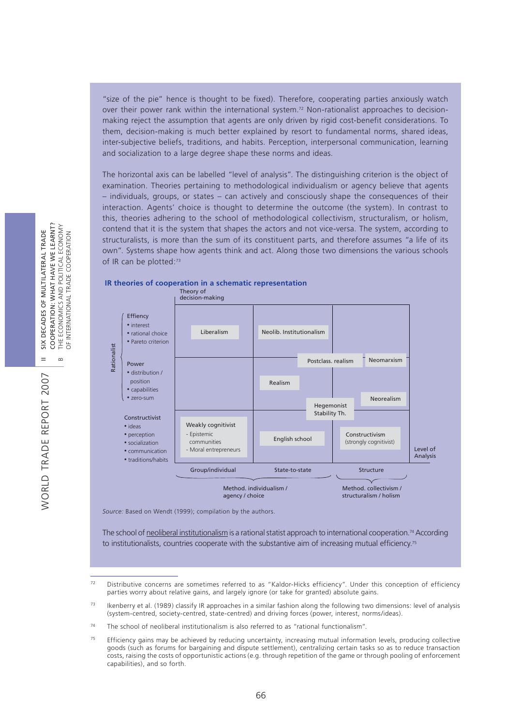"size of the pie" hence is thought to be fixed). Therefore, cooperating parties anxiously watch over their power rank within the international system.<sup>72</sup> Non-rationalist approaches to decisionmaking reject the assumption that agents are only driven by rigid cost-benefit considerations. To them, decision-making is much better explained by resort to fundamental norms, shared ideas, inter-subjective beliefs, traditions, and habits. Perception, interpersonal communication, learning and socialization to a large degree shape these norms and ideas.

The horizontal axis can be labelled "level of analysis". The distinguishing criterion is the object of examination. Theories pertaining to methodological individualism or agency believe that agents – individuals, groups, or states – can actively and consciously shape the consequences of their interaction. Agents' choice is thought to determine the outcome (the system). In contrast to this, theories adhering to the school of methodological collectivism, structuralism, or holism, contend that it is the system that shapes the actors and not vice-versa. The system, according to structuralists, is more than the sum of its constituent parts, and therefore assumes "a life of its own". Systems shape how agents think and act. Along those two dimensions the various schools of IR can be plotted:<sup>73</sup>





*Source:* Based on Wendt (1999); compilation by the authors.

The school of neoliberal institutionalism is a rational statist approach to international cooperation.<sup>74</sup> According to institutionalists, countries cooperate with the substantive aim of increasing mutual efficiency.<sup>75</sup>

 $72$  Distributive concerns are sometimes referred to as "Kaldor-Hicks efficiency". Under this conception of efficiency parties worry about relative gains, and largely ignore (or take for granted) absolute gains.

<sup>&</sup>lt;sup>73</sup> Ikenberry et al. (1989) classify IR approaches in a similar fashion along the following two dimensions: level of analysis (system-centred, society-centred, state-centred) and driving forces (power, interest, norms/ideas).

 $74$  The school of neoliberal institutionalism is also referred to as "rational functionalism".

 $75$  Efficiency gains may be achieved by reducing uncertainty, increasing mutual information levels, producing collective goods (such as forums for bargaining and dispute settlement), centralizing certain tasks so as to reduce transaction costs, raising the costs of opportunistic actions (e.g. through repetition of the game or through pooling of enforcement capabilities), and so forth.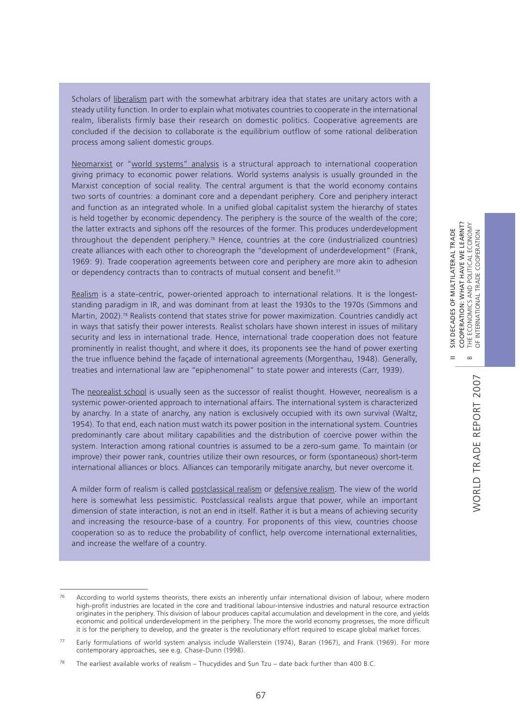Scholars of liberalism part with the somewhat arbitrary idea that states are unitary actors with a steady utility function. In order to explain what motivates countries to cooperate in the international realm, liberalists firmly base their research on domestic politics. Cooperative agreements are concluded if the decision to collaborate is the equilibrium outflow of some rational deliberation process among salient domestic groups.

Neomarxist or "world systems" analysis is a structural approach to international cooperation giving primacy to economic power relations. World systems analysis is usually grounded in the Marxist conception of social reality. The central argument is that the world economy contains two sorts of countries: a dominant core and a dependant periphery. Core and periphery interact and function as an integrated whole. In a unified global capitalist system the hierarchy of states is held together by economic dependency. The periphery is the source of the wealth of the core; the latter extracts and siphons off the resources of the former. This produces underdevelopment throughout the dependent periphery.<sup>76</sup> Hence, countries at the core (industrialized countries) create alliances with each other to choreograph the "development of underdevelopment" (Frank, 1969: 9). Trade cooperation agreements between core and periphery are more akin to adhesion or dependency contracts than to contracts of mutual consent and benefit.<sup>77</sup>

Realism is a state-centric, power-oriented approach to international relations. It is the longeststanding paradigm in IR, and was dominant from at least the 1930s to the 1970s (Simmons and Martin, 2002).<sup>78</sup> Realists contend that states strive for power maximization. Countries candidly act in ways that satisfy their power interests. Realist scholars have shown interest in issues of military security and less in international trade. Hence, international trade cooperation does not feature prominently in realist thought, and where it does, its proponents see the hand of power exerting the true influence behind the façade of international agreements (Morgenthau, 1948). Generally, treaties and international law are "epiphenomenal" to state power and interests (Carr, 1939).

The neorealist school is usually seen as the successor of realist thought. However, neorealism is a systemic power-oriented approach to international affairs. The international system is characterized by anarchy. In a state of anarchy, any nation is exclusively occupied with its own survival (Waltz, 1954). To that end, each nation must watch its power position in the international system. Countries predominantly care about military capabilities and the distribution of coercive power within the system. Interaction among rational countries is assumed to be a zero-sum game. To maintain (or improve) their power rank, countries utilize their own resources, or form (spontaneous) short-term international alliances or blocs. Alliances can temporarily mitigate anarchy, but never overcome it.

A milder form of realism is called postclassical realism or defensive realism. The view of the world here is somewhat less pessimistic. Postclassical realists argue that power, while an important dimension of state interaction, is not an end in itself. Rather it is but a means of achieving security and increasing the resource-base of a country. For proponents of this view, countries choose cooperation so as to reduce the probability of conflict, help overcome international externalities, and increase the welfare of a country.

II SIX DECADES OF MULTILATERAL TRADE

 $=$ 

SIX DECADES OF MULTILATERAL TRADE

 $76$  According to world systems theorists, there exists an inherently unfair international division of labour, where modern high-profit industries are located in the core and traditional labour-intensive industries and natural resource extraction originates in the periphery. This division of labour produces capital accumulation and development in the core, and yields economic and political underdevelopment in the periphery. The more the world economy progresses, the more difficult it is for the periphery to develop, and the greater is the revolutionary effort required to escape global market forces.

<sup>77</sup> Early formulations of world system analysis include Wallerstein (1974), Baran (1967), and Frank (1969). For more contemporary approaches, see e.g. Chase-Dunn (1998).

<sup>&</sup>lt;sup>78</sup> The earliest available works of realism – Thucydides and Sun Tzu – date back further than 400 B.C.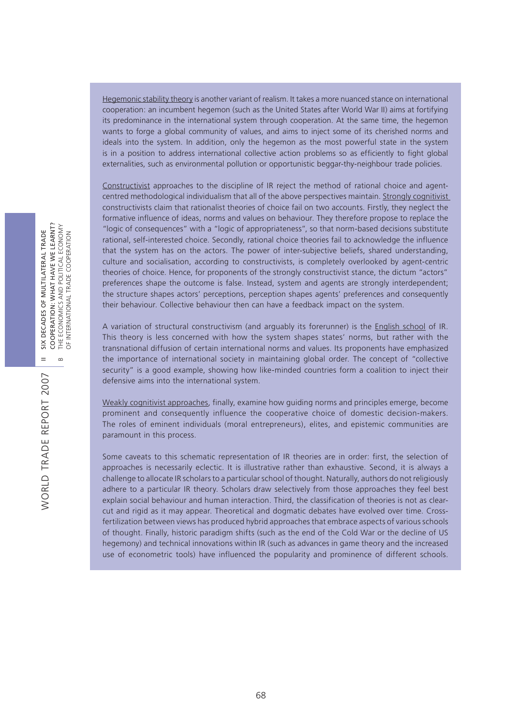Hegemonic stability theory is another variant of realism. It takes a more nuanced stance on international cooperation: an incumbent hegemon (such as the United States after World War II) aims at fortifying its predominance in the international system through cooperation. At the same time, the hegemon wants to forge a global community of values, and aims to inject some of its cherished norms and ideals into the system. In addition, only the hegemon as the most powerful state in the system is in a position to address international collective action problems so as efficiently to fight global externalities, such as environmental pollution or opportunistic beggar-thy-neighbour trade policies.

Constructivist approaches to the discipline of IR reject the method of rational choice and agentcentred methodological individualism that all of the above perspectives maintain. Strongly cognitivist constructivists claim that rationalist theories of choice fail on two accounts. Firstly, they neglect the formative influence of ideas, norms and values on behaviour. They therefore propose to replace the "logic of consequences" with a "logic of appropriateness", so that norm-based decisions substitute rational, self-interested choice. Secondly, rational choice theories fail to acknowledge the influence that the system has on the actors. The power of inter-subjective beliefs, shared understanding, culture and socialisation, according to constructivists, is completely overlooked by agent-centric theories of choice. Hence, for proponents of the strongly constructivist stance, the dictum "actors" preferences shape the outcome is false. Instead, system and agents are strongly interdependent; the structure shapes actors' perceptions, perception shapes agents' preferences and consequently their behaviour. Collective behaviour then can have a feedback impact on the system.

A variation of structural constructivism (and arguably its forerunner) is the English school of IR. This theory is less concerned with how the system shapes states' norms, but rather with the transnational diffusion of certain international norms and values. Its proponents have emphasized the importance of international society in maintaining global order. The concept of "collective security" is a good example, showing how like-minded countries form a coalition to inject their defensive aims into the international system.

Weakly cognitivist approaches, finally, examine how guiding norms and principles emerge, become prominent and consequently influence the cooperative choice of domestic decision-makers. The roles of eminent individuals (moral entrepreneurs), elites, and epistemic communities are paramount in this process.

Some caveats to this schematic representation of IR theories are in order: first, the selection of approaches is necessarily eclectic. It is illustrative rather than exhaustive. Second, it is always a challenge to allocate IR scholars to a particular school of thought. Naturally, authors do not religiously adhere to a particular IR theory. Scholars draw selectively from those approaches they feel best explain social behaviour and human interaction. Third, the classification of theories is not as clearcut and rigid as it may appear. Theoretical and dogmatic debates have evolved over time. Crossfertilization between views has produced hybrid approaches that embrace aspects of various schools of thought. Finally, historic paradigm shifts (such as the end of the Cold War or the decline of US hegemony) and technical innovations within IR (such as advances in game theory and the increased use of econometric tools) have influenced the popularity and prominence of different schools.

WORLD TRADE REPORT 2007

WORLD TRADE REPORT 2007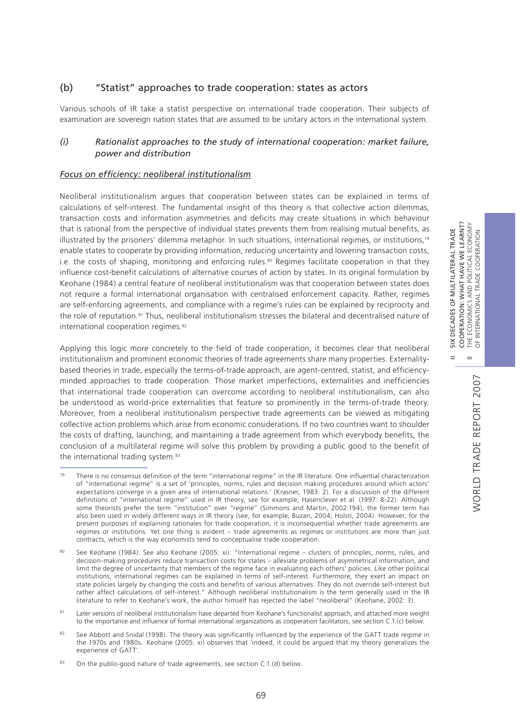II SIX DECADES OF MULTILATERAL TRADE COOPERATION: WHAT HAVE WE LEARNT? B THE ECONOMICS AND POLITICAL ECONOMY OF INTERNATIONAL TRADE COOPERATION

 $=$ 

 $\infty$ 

SIX DECADES OF MULTILATERAL TRADE

COOPERATION: WHAT HAVE WE LEARNT? THE ECONOMICS AND POLITICAL ECONOMY<br>OF INTERNATIONAL TRADE COOPERATION

### (b) "Statist" approaches to trade cooperation: states as actors

Various schools of IR take a statist perspective on international trade cooperation. Their subjects of examination are sovereign nation states that are assumed to be unitary actors in the international system.

### *(i) Rationalist approaches to the study of international cooperation: market failure, power and distribution*

#### *Focus on efficiency: neoliberal institutionalism*

Neoliberal institutionalism argues that cooperation between states can be explained in terms of calculations of self-interest. The fundamental insight of this theory is that collective action dilemmas, transaction costs and information asymmetries and deficits may create situations in which behaviour that is rational from the perspective of individual states prevents them from realising mutual benefits, as illustrated by the prisoners' dilemma metaphor. In such situations, international regimes, or institutions,<sup>79</sup> enable states to cooperate by providing information, reducing uncertainty and lowering transaction costs, i.e. the costs of shaping, monitoring and enforcing rules.<sup>80</sup> Regimes facilitate cooperation in that they influence cost-benefit calculations of alternative courses of action by states. In its original formulation by Keohane (1984) a central feature of neoliberal institutionalism was that cooperation between states does not require a formal international organisation with centralised enforcement capacity. Rather, regimes are self-enforcing agreements, and compliance with a regime's rules can be explained by reciprocity and the role of reputation.81 Thus, neoliberal institutionalism stresses the bilateral and decentralised nature of international cooperation regimes.<sup>82</sup>

Applying this logic more concretely to the field of trade cooperation, it becomes clear that neoliberal institutionalism and prominent economic theories of trade agreements share many properties. Externalitybased theories in trade, especially the terms-of-trade approach, are agent-centred, statist, and efficiencyminded approaches to trade cooperation. Those market imperfections, externalities and inefficiencies that international trade cooperation can overcome according to neoliberal institutionalism, can also be understood as world-price externalities that feature so prominently in the terms-of-trade theory. Moreover, from a neoliberal institutionalism perspective trade agreements can be viewed as mitigating collective action problems which arise from economic considerations. If no two countries want to shoulder the costs of drafting, launching, and maintaining a trade agreement from which everybody benefits, the conclusion of a multilateral regime will solve this problem by providing a public good to the benefit of the international trading system.<sup>83</sup>

 $79$  There is no consensus definition of the term "international regime" in the IR literature. One influential characterization of "international regime" is a set of 'principles, norms, rules and decision making procedures around which actors' expectations converge in a given area of international relations.' (Krasner, 1983: 2). For a discussion of the different definitions of "international regime" used in IR theory, see for example, Hasenclever et al. (1997: 8-22). Although some theorists prefer the term "institution" over "regime" (Simmons and Martin, 2002:194), the former term has also been used in widely different ways in IR theory (see, for example, Buzan, 2004; Holsti, 2004). However, for the present purposes of explaining rationales for trade cooperation, it is inconsequential whether trade agreements are regimes or institutions. Yet one thing is evident – trade agreements as regimes or institutions are more than just contracts, which is the way economists tend to conceptualise trade cooperation.

<sup>80</sup> See Keohane (1984). See also Keohane (2005: xi): "International regime – clusters of principles, norms, rules, and decision-making procedures reduce transaction costs for states – alleviate problems of asymmetrical information, and limit the degree of uncertainty that members of the regime face in evaluating each others' policies. Like other political institutions, international regimes can be explained in terms of self-interest. Furthermore, they exert an impact on state policies largely by changing the costs and benefits of various alternatives. They do not override self-interest but rather affect calculations of self-interest." Although neoliberal institutionalism is the term generally used in the IR literature to refer to Keohane's work, the author himself has rejected the label "neoliberal" (Keohane, 2002: 3).

<sup>81</sup> Later versions of neoliberal institutionalism have departed from Keohane's functionalist approach, and attached more weight to the importance and influence of formal international organizations as cooperation facilitators, see section C.1.(c) below.

<sup>82</sup> See Abbott and Snidal (1998). The theory was significantly influenced by the experience of the GATT trade regime in the 1970s and 1980s. Keohane (2005: xi) observes that 'indeed, it could be argued that my theory generalizes the experience of GATT'.

<sup>83</sup> On the public-good nature of trade agreements, see section C.1.(d) below.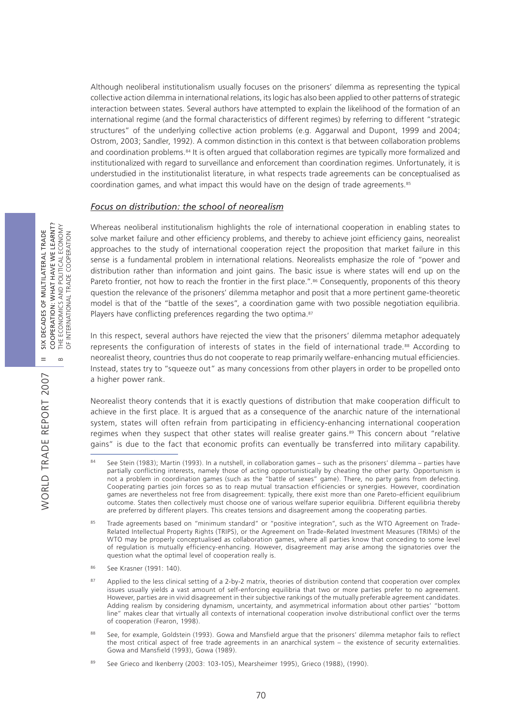Although neoliberal institutionalism usually focuses on the prisoners' dilemma as representing the typical collective action dilemma in international relations, its logic has also been applied to other patterns of strategic interaction between states. Several authors have attempted to explain the likelihood of the formation of an international regime (and the formal characteristics of different regimes) by referring to different "strategic structures" of the underlying collective action problems (e.g. Aggarwal and Dupont, 1999 and 2004; Ostrom, 2003; Sandler, 1992). A common distinction in this context is that between collaboration problems and coordination problems.<sup>84</sup> It is often argued that collaboration regimes are typically more formalized and institutionalized with regard to surveillance and enforcement than coordination regimes. Unfortunately, it is understudied in the institutionalist literature, in what respects trade agreements can be conceptualised as coordination games, and what impact this would have on the design of trade agreements.<sup>85</sup>

#### *Focus on distribution: the school of neorealism*

Whereas neoliberal institutionalism highlights the role of international cooperation in enabling states to solve market failure and other efficiency problems, and thereby to achieve joint efficiency gains, neorealist approaches to the study of international cooperation reject the proposition that market failure in this sense is a fundamental problem in international relations. Neorealists emphasize the role of "power and distribution rather than information and joint gains. The basic issue is where states will end up on the Pareto frontier, not how to reach the frontier in the first place.".<sup>86</sup> Consequently, proponents of this theory question the relevance of the prisoners' dilemma metaphor and posit that a more pertinent game-theoretic model is that of the "battle of the sexes", a coordination game with two possible negotiation equilibria. Players have conflicting preferences regarding the two optima.<sup>87</sup>

In this respect, several authors have rejected the view that the prisoners' dilemma metaphor adequately represents the configuration of interests of states in the field of international trade.88 According to neorealist theory, countries thus do not cooperate to reap primarily welfare-enhancing mutual efficiencies. Instead, states try to "squeeze out" as many concessions from other players in order to be propelled onto a higher power rank.

Neorealist theory contends that it is exactly questions of distribution that make cooperation difficult to achieve in the first place. It is argued that as a consequence of the anarchic nature of the international system, states will often refrain from participating in efficiency-enhancing international cooperation regimes when they suspect that other states will realise greater gains.<sup>89</sup> This concern about "relative gains" is due to the fact that economic profits can eventually be transferred into military capability.

WORLD TRADE REPORT 2007

WORLD TRADE REPORT 2007

See Stein (1983); Martin (1993). In a nutshell, in collaboration games – such as the prisoners' dilemma – parties have partially conflicting interests, namely those of acting opportunistically by cheating the other party. Opportunism is not a problem in coordination games (such as the "battle of sexes" game). There, no party gains from defecting. Cooperating parties join forces so as to reap mutual transaction efficiencies or synergies. However, coordination games are nevertheless not free from disagreement: typically, there exist more than one Pareto-efficient equilibrium outcome. States then collectively must choose one of various welfare superior equilibria. Different equilibria thereby are preferred by different players. This creates tensions and disagreement among the cooperating parties.

<sup>85</sup> Trade agreements based on "minimum standard" or "positive integration", such as the WTO Agreement on Trade-Related Intellectual Property Rights (TRIPS), or the Agreement on Trade-Related Investment Measures (TRIMs) of the WTO may be properly conceptualised as collaboration games, where all parties know that conceding to some level of regulation is mutually efficiency-enhancing. However, disagreement may arise among the signatories over the question what the optimal level of cooperation really is.

<sup>86</sup> See Krasner (1991: 140).

<sup>87</sup> Applied to the less clinical setting of a 2-by-2 matrix, theories of distribution contend that cooperation over complex issues usually yields a vast amount of self-enforcing equilibria that two or more parties prefer to no agreement. However, parties are in vivid disagreement in their subjective rankings of the mutually preferable agreement candidates. Adding realism by considering dynamism, uncertainty, and asymmetrical information about other parties' "bottom line" makes clear that virtually all contexts of international cooperation involve distributional conflict over the terms of cooperation (Fearon, 1998).

See, for example, Goldstein (1993). Gowa and Mansfield argue that the prisoners' dilemma metaphor fails to reflect the most critical aspect of free trade agreements in an anarchical system – the existence of security externalities. Gowa and Mansfield (1993), Gowa (1989).

See Grieco and Ikenberry (2003: 103-105), Mearsheimer 1995), Grieco (1988), (1990).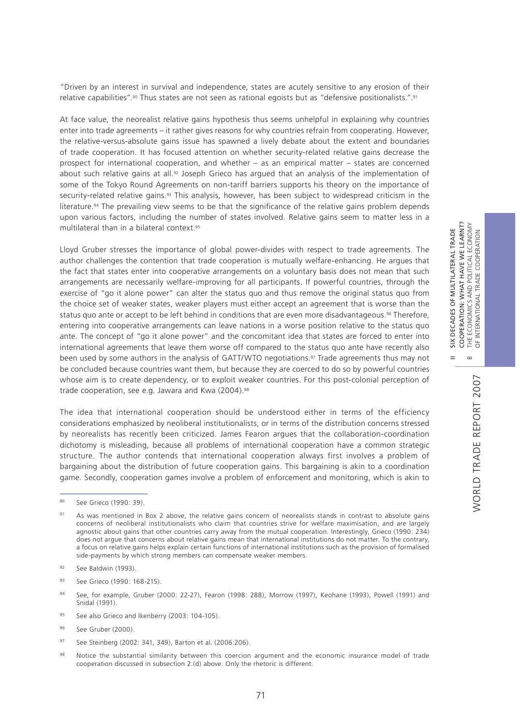II SIX DECADES OF MULTILATERAL TRADE COOPERATION: WHAT HAVE WE LEARNT? B THE ECONOMICS AND POLITICAL ECONOMY OF INTERNATIONAL TRADE COOPERATION

 $\frac{1}{2}$  $=$ 

DECADES OF MULTILATERAL TRADE

COOPERATION: WHAT HAVE WE LEARNT?

POLITICAL ECONOMY

THE ECONOMICS AND POLITICAL ECONOM<br>OF INTERNATIONAL TRADE COOPERATION

"Driven by an interest in survival and independence, states are acutely sensitive to any erosion of their relative capabilities".90 Thus states are not seen as rational egoists but as "defensive positionalists.".91

At face value, the neorealist relative gains hypothesis thus seems unhelpful in explaining why countries enter into trade agreements – it rather gives reasons for why countries refrain from cooperating. However, the relative-versus-absolute gains issue has spawned a lively debate about the extent and boundaries of trade cooperation. It has focused attention on whether security-related relative gains decrease the prospect for international cooperation, and whether – as an empirical matter – states are concerned about such relative gains at all.<sup>92</sup> Joseph Grieco has argued that an analysis of the implementation of some of the Tokyo Round Agreements on non-tariff barriers supports his theory on the importance of security-related relative gains.<sup>93</sup> This analysis, however, has been subject to widespread criticism in the literature.<sup>94</sup> The prevailing view seems to be that the significance of the relative gains problem depends upon various factors, including the number of states involved. Relative gains seem to matter less in a multilateral than in a bilateral context.95

Lloyd Gruber stresses the importance of global power-divides with respect to trade agreements. The author challenges the contention that trade cooperation is mutually welfare-enhancing. He argues that the fact that states enter into cooperative arrangements on a voluntary basis does not mean that such arrangements are necessarily welfare-improving for all participants. If powerful countries, through the exercise of "go it alone power" can alter the status quo and thus remove the original status quo from the choice set of weaker states, weaker players must either accept an agreement that is worse than the status quo ante or accept to be left behind in conditions that are even more disadvantageous.<sup>96</sup> Therefore, entering into cooperative arrangements can leave nations in a worse position relative to the status quo ante. The concept of "go it alone power" and the concomitant idea that states are forced to enter into international agreements that leave them worse off compared to the status quo ante have recently also been used by some authors in the analysis of GATT/WTO negotiations.<sup>97</sup> Trade agreements thus may not be concluded because countries want them, but because they are coerced to do so by powerful countries whose aim is to create dependency, or to exploit weaker countries. For this post-colonial perception of trade cooperation, see e.g. Jawara and Kwa (2004).<sup>98</sup>

The idea that international cooperation should be understood either in terms of the efficiency considerations emphasized by neoliberal institutionalists, or in terms of the distribution concerns stressed by neorealists has recently been criticized. James Fearon argues that the collaboration-coordination dichotomy is misleading, because all problems of international cooperation have a common strategic structure. The author contends that international cooperation always first involves a problem of bargaining about the distribution of future cooperation gains. This bargaining is akin to a coordination game. Secondly, cooperation games involve a problem of enforcement and monitoring, which is akin to

- 93 See Grieco (1990: 168-215).
- 94 See, for example, Gruber (2000: 22-27), Fearon (1998: 288), Morrow (1997), Keohane (1993), Powell (1991) and Snidal (1991).
- 95 See also Grieco and Ikenberry (2003: 104-105).
- <sup>96</sup> See Gruber (2000).
- 97 See Steinberg (2002: 341, 349), Barton et al. (2006:206).
- 98 Notice the substantial similarity between this coercion argument and the economic insurance model of trade cooperation discussed in subsection 2.(d) above. Only the rhetoric is different.

<sup>90</sup> See Grieco (1990: 39).

<sup>91</sup> As was mentioned in Box 2 above, the relative gains concern of neorealists stands in contrast to absolute gains concerns of neoliberal institutionalists who claim that countries strive for welfare maximisation, and are largely agnostic about gains that other countries carry away from the mutual cooperation. Interestingly, Grieco (1990: 234) does not argue that concerns about relative gains mean that international institutions do not matter. To the contrary, a focus on relative gains helps explain certain functions of international institutions such as the provision of formalised side-payments by which strong members can compensate weaker members.

<sup>&</sup>lt;sup>92</sup> See Baldwin (1993).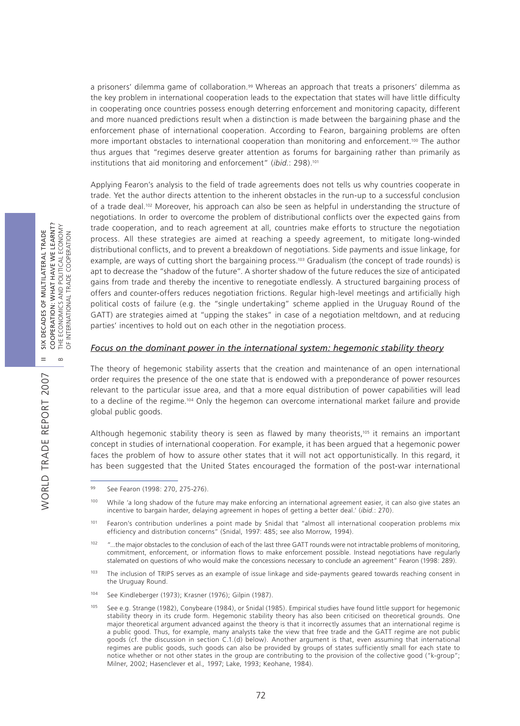a prisoners' dilemma game of collaboration.<sup>99</sup> Whereas an approach that treats a prisoners' dilemma as the key problem in international cooperation leads to the expectation that states will have little difficulty in cooperating once countries possess enough deterring enforcement and monitoring capacity, different and more nuanced predictions result when a distinction is made between the bargaining phase and the enforcement phase of international cooperation. According to Fearon, bargaining problems are often more important obstacles to international cooperation than monitoring and enforcement.100 The author thus argues that "regimes deserve greater attention as forums for bargaining rather than primarily as institutions that aid monitoring and enforcement" (*ibid*.: 298).101

Applying Fearon's analysis to the field of trade agreements does not tells us why countries cooperate in trade. Yet the author directs attention to the inherent obstacles in the run-up to a successful conclusion of a trade deal.<sup>102</sup> Moreover, his approach can also be seen as helpful in understanding the structure of negotiations. In order to overcome the problem of distributional conflicts over the expected gains from trade cooperation, and to reach agreement at all, countries make efforts to structure the negotiation process. All these strategies are aimed at reaching a speedy agreement, to mitigate long-winded distributional conflicts, and to prevent a breakdown of negotiations. Side payments and issue linkage, for example, are ways of cutting short the bargaining process.<sup>103</sup> Gradualism (the concept of trade rounds) is apt to decrease the "shadow of the future". A shorter shadow of the future reduces the size of anticipated gains from trade and thereby the incentive to renegotiate endlessly. A structured bargaining process of offers and counter-offers reduces negotiation frictions. Regular high-level meetings and artificially high political costs of failure (e.g. the "single undertaking" scheme applied in the Uruguay Round of the GATT) are strategies aimed at "upping the stakes" in case of a negotiation meltdown, and at reducing parties' incentives to hold out on each other in the negotiation process.

#### *Focus on the dominant power in the international system: hegemonic stability theory*

The theory of hegemonic stability asserts that the creation and maintenance of an open international order requires the presence of the one state that is endowed with a preponderance of power resources relevant to the particular issue area, and that a more equal distribution of power capabilities will lead to a decline of the regime.104 Only the hegemon can overcome international market failure and provide global public goods.

Although hegemonic stability theory is seen as flawed by many theorists,<sup>105</sup> it remains an important concept in studies of international cooperation. For example, it has been argued that a hegemonic power faces the problem of how to assure other states that it will not act opportunistically. In this regard, it has been suggested that the United States encouraged the formation of the post-war international

WORLD TRADE REPORT 2007

**WORLD TRADE REPORT 2007** 

<sup>99</sup> See Fearon (1998: 270, 275-276).

While 'a long shadow of the future may make enforcing an international agreement easier, it can also give states an incentive to bargain harder, delaying agreement in hopes of getting a better deal.' (*ibid*.: 270).

<sup>&</sup>lt;sup>101</sup> Fearon's contribution underlines a point made by Snidal that "almost all international cooperation problems mix efficiency and distribution concerns" (Snidal, 1997: 485; see also Morrow, 1994).

<sup>102 &</sup>quot;...the major obstacles to the conclusion of each of the last three GATT rounds were not intractable problems of monitoring, commitment, enforcement, or information flows to make enforcement possible. Instead negotiations have regularly stalemated on questions of who would make the concessions necessary to conclude an agreement" Fearon (1998: 289).

<sup>103</sup> The inclusion of TRIPS serves as an example of issue linkage and side-payments geared towards reaching consent in the Uruguay Round.

<sup>104</sup> See Kindleberger (1973); Krasner (1976); Gilpin (1987).

<sup>105</sup> See e.g. Strange (1982), Conybeare (1984), or Snidal (1985). Empirical studies have found little support for hegemonic stability theory in its crude form. Hegemonic stability theory has also been criticised on theoretical grounds. One major theoretical argument advanced against the theory is that it incorrectly assumes that an international regime is a public good. Thus, for example, many analysts take the view that free trade and the GATT regime are not public goods (cf. the discussion in section C.1.(d) below). Another argument is that, even assuming that international regimes are public goods, such goods can also be provided by groups of states sufficiently small for each state to notice whether or not other states in the group are contributing to the provision of the collective good ("k-group"; Milner, 2002; Hasenclever et al.*,* 1997; Lake, 1993; Keohane, 1984).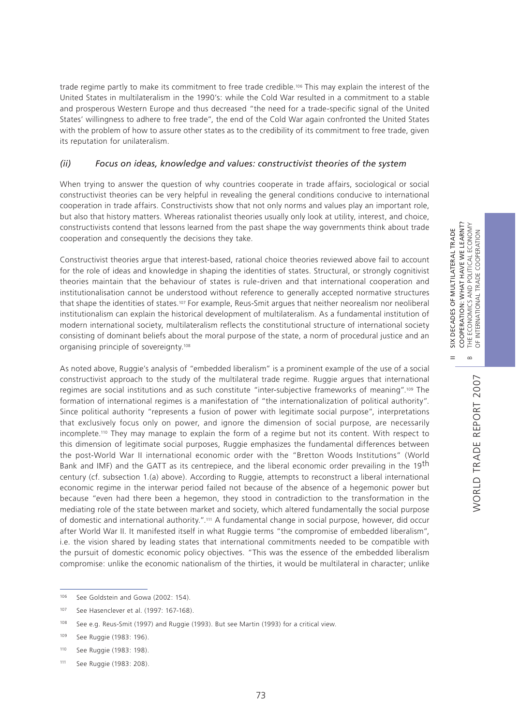trade regime partly to make its commitment to free trade credible.<sup>106</sup> This may explain the interest of the United States in multilateralism in the 1990's: while the Cold War resulted in a commitment to a stable and prosperous Western Europe and thus decreased "the need for a trade-specific signal of the United States' willingness to adhere to free trade", the end of the Cold War again confronted the United States with the problem of how to assure other states as to the credibility of its commitment to free trade, given its reputation for unilateralism.

## *(ii) Focus on ideas, knowledge and values: constructivist theories of the system*

When trying to answer the question of why countries cooperate in trade affairs, sociological or social constructivist theories can be very helpful in revealing the general conditions conducive to international cooperation in trade affairs. Constructivists show that not only norms and values play an important role, but also that history matters. Whereas rationalist theories usually only look at utility, interest, and choice, constructivists contend that lessons learned from the past shape the way governments think about trade cooperation and consequently the decisions they take.

Constructivist theories argue that interest-based, rational choice theories reviewed above fail to account for the role of ideas and knowledge in shaping the identities of states. Structural, or strongly cognitivist theories maintain that the behaviour of states is rule-driven and that international cooperation and institutionalisation cannot be understood without reference to generally accepted normative structures that shape the identities of states.107 For example, Reus-Smit argues that neither neorealism nor neoliberal institutionalism can explain the historical development of multilateralism. As a fundamental institution of modern international society, multilateralism reflects the constitutional structure of international society consisting of dominant beliefs about the moral purpose of the state, a norm of procedural justice and an organising principle of sovereignty.108

As noted above, Ruggie's analysis of "embedded liberalism" is a prominent example of the use of a social constructivist approach to the study of the multilateral trade regime. Ruggie argues that international regimes are social institutions and as such constitute "inter-subjective frameworks of meaning".109 The formation of international regimes is a manifestation of "the internationalization of political authority". Since political authority "represents a fusion of power with legitimate social purpose", interpretations that exclusively focus only on power, and ignore the dimension of social purpose, are necessarily incomplete.110 They may manage to explain the form of a regime but not its content. With respect to this dimension of legitimate social purposes, Ruggie emphasizes the fundamental differences between the post-World War II international economic order with the "Bretton Woods Institutions" (World Bank and IMF) and the GATT as its centrepiece, and the liberal economic order prevailing in the 19<sup>th</sup> century (cf. subsection 1.(a) above). According to Ruggie, attempts to reconstruct a liberal international economic regime in the interwar period failed not because of the absence of a hegemonic power but because "even had there been a hegemon, they stood in contradiction to the transformation in the mediating role of the state between market and society, which altered fundamentally the social purpose of domestic and international authority.".111 A fundamental change in social purpose, however, did occur after World War II. It manifested itself in what Ruggie terms "the compromise of embedded liberalism", i.e. the vision shared by leading states that international commitments needed to be compatible with the pursuit of domestic economic policy objectives. "This was the essence of the embedded liberalism compromise: unlike the economic nationalism of the thirties, it would be multilateral in character; unlike II SIX DECADES OF MULTILATERAL TRADE COOPERATION: WHAT HAVE WE LEARNT?

 $=$ 

SIX DECADES OF MULTILATERAL TRADE

COOPERATION: WHAT HAVE WE LEARNT?

<sup>106</sup> See Goldstein and Gowa (2002: 154).

<sup>107</sup> See Hasenclever et al. (1997: 167-168).

<sup>&</sup>lt;sup>108</sup> See e.g. Reus-Smit (1997) and Ruggie (1993). But see Martin (1993) for a critical view.

<sup>109</sup> See Ruggie (1983: 196).

<sup>110</sup> See Ruggie (1983: 198).

<sup>111</sup> See Ruggie (1983: 208).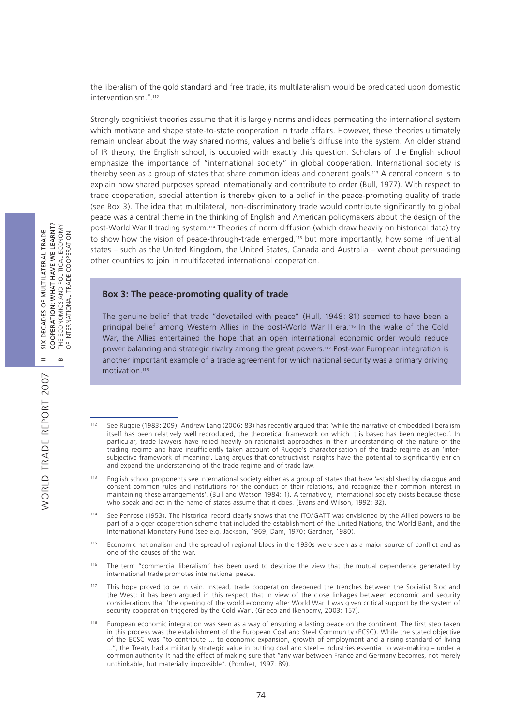the liberalism of the gold standard and free trade, its multilateralism would be predicated upon domestic interventionism.".112

Strongly cognitivist theories assume that it is largely norms and ideas permeating the international system which motivate and shape state-to-state cooperation in trade affairs. However, these theories ultimately remain unclear about the way shared norms, values and beliefs diffuse into the system. An older strand of IR theory, the English school, is occupied with exactly this question. Scholars of the English school emphasize the importance of "international society" in global cooperation. International society is thereby seen as a group of states that share common ideas and coherent goals.113 A central concern is to explain how shared purposes spread internationally and contribute to order (Bull, 1977). With respect to trade cooperation, special attention is thereby given to a belief in the peace-promoting quality of trade (see Box 3). The idea that multilateral, non-discriminatory trade would contribute significantly to global peace was a central theme in the thinking of English and American policymakers about the design of the post-World War II trading system.114 Theories of norm diffusion (which draw heavily on historical data) try to show how the vision of peace-through-trade emerged,115 but more importantly, how some influential states – such as the United Kingdom, the United States, Canada and Australia – went about persuading other countries to join in multifaceted international cooperation.

#### **Box 3: The peace-promoting quality of trade**

The genuine belief that trade "dovetailed with peace" (Hull, 1948: 81) seemed to have been a principal belief among Western Allies in the post-World War II era.116 In the wake of the Cold War, the Allies entertained the hope that an open international economic order would reduce power balancing and strategic rivalry among the great powers.117 Post-war European integration is another important example of a trade agreement for which national security was a primary driving motivation.118

- 115 Economic nationalism and the spread of regional blocs in the 1930s were seen as a major source of conflict and as one of the causes of the war.
- 116 The term "commercial liberalism" has been used to describe the view that the mutual dependence generated by international trade promotes international peace.
- 117 This hope proved to be in vain. Instead, trade cooperation deepened the trenches between the Socialist Bloc and the West: it has been argued in this respect that in view of the close linkages between economic and security considerations that 'the opening of the world economy after World War II was given critical support by the system of security cooperation triggered by the Cold War'. (Grieco and Ikenberry, 2003: 157).
- 118 European economic integration was seen as a way of ensuring a lasting peace on the continent. The first step taken in this process was the establishment of the European Coal and Steel Community (ECSC). While the stated objective of the ECSC was "to contribute ... to economic expansion, growth of employment and a rising standard of living ...", the Treaty had a militarily strategic value in putting coal and steel – industries essential to war-making – under a common authority. It had the effect of making sure that "any war between France and Germany becomes, not merely unthinkable, but materially impossible". (Pomfret, 1997: 89).

WORLD TRADE REPORT 2007

WORLD TRADE REPORT 2007

<sup>112</sup> See Ruggie (1983: 209). Andrew Lang (2006: 83) has recently argued that 'while the narrative of embedded liberalism itself has been relatively well reproduced, the theoretical framework on which it is based has been neglected.'. In particular, trade lawyers have relied heavily on rationalist approaches in their understanding of the nature of the trading regime and have insufficiently taken account of Ruggie's characterisation of the trade regime as an 'intersubjective framework of meaning'. Lang argues that constructivist insights have the potential to significantly enrich and expand the understanding of the trade regime and of trade law.

<sup>113</sup> English school proponents see international society either as a group of states that have 'established by dialogue and consent common rules and institutions for the conduct of their relations, and recognize their common interest in maintaining these arrangements'. (Bull and Watson 1984: 1). Alternatively, international society exists because those who speak and act in the name of states assume that it does. (Evans and Wilson, 1992: 32).

<sup>114</sup> See Penrose (1953). The historical record clearly shows that the ITO/GATT was envisioned by the Allied powers to be part of a bigger cooperation scheme that included the establishment of the United Nations, the World Bank, and the International Monetary Fund (see e.g. Jackson, 1969; Dam, 1970; Gardner, 1980).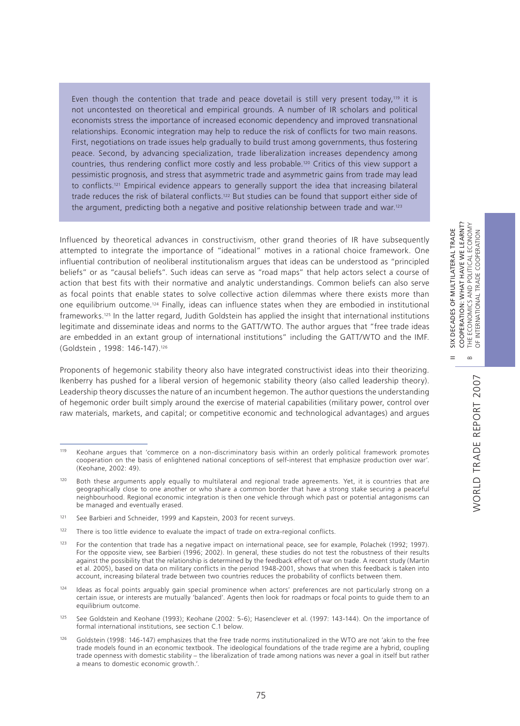Even though the contention that trade and peace dovetail is still very present today,<sup>119</sup> it is not uncontested on theoretical and empirical grounds. A number of IR scholars and political economists stress the importance of increased economic dependency and improved transnational relationships. Economic integration may help to reduce the risk of conflicts for two main reasons. First, negotiations on trade issues help gradually to build trust among governments, thus fostering peace. Second, by advancing specialization, trade liberalization increases dependency among countries, thus rendering conflict more costly and less probable.120 Critics of this view support a pessimistic prognosis, and stress that asymmetric trade and asymmetric gains from trade may lead to conflicts.<sup>121</sup> Empirical evidence appears to generally support the idea that increasing bilateral trade reduces the risk of bilateral conflicts.122 But studies can be found that support either side of the argument, predicting both a negative and positive relationship between trade and war.<sup>123</sup>

Influenced by theoretical advances in constructivism, other grand theories of IR have subsequently attempted to integrate the importance of "ideational" motives in a rational choice framework. One influential contribution of neoliberal institutionalism argues that ideas can be understood as "principled beliefs" or as "causal beliefs". Such ideas can serve as "road maps" that help actors select a course of action that best fits with their normative and analytic understandings. Common beliefs can also serve as focal points that enable states to solve collective action dilemmas where there exists more than one equilibrium outcome.124 Finally, ideas can influence states when they are embodied in institutional frameworks.125 In the latter regard, Judith Goldstein has applied the insight that international institutions legitimate and disseminate ideas and norms to the GATT/WTO. The author argues that "free trade ideas are embedded in an extant group of international institutions" including the GATT/WTO and the IMF. (Goldstein , 1998: 146-147).126

Proponents of hegemonic stability theory also have integrated constructivist ideas into their theorizing. Ikenberry has pushed for a liberal version of hegemonic stability theory (also called leadership theory). Leadership theory discusses the nature of an incumbent hegemon. The author questions the understanding of hegemonic order built simply around the exercise of material capabilities (military power, control over raw materials, markets, and capital; or competitive economic and technological advantages) and argues

<sup>119</sup> Keohane argues that 'commerce on a non-discriminatory basis within an orderly political framework promotes cooperation on the basis of enlightened national conceptions of self-interest that emphasize production over war'. (Keohane, 2002: 49).

<sup>120</sup> Both these arguments apply equally to multilateral and regional trade agreements. Yet, it is countries that are geographically close to one another or who share a common border that have a strong stake securing a peaceful neighbourhood. Regional economic integration is then one vehicle through which past or potential antagonisms can be managed and eventually erased.

<sup>&</sup>lt;sup>121</sup> See Barbieri and Schneider, 1999 and Kapstein, 2003 for recent surveys.

 $122$  There is too little evidence to evaluate the impact of trade on extra-regional conflicts.

<sup>&</sup>lt;sup>123</sup> For the contention that trade has a negative impact on international peace, see for example, Polachek (1992; 1997). For the opposite view, see Barbieri (1996; 2002). In general, these studies do not test the robustness of their results against the possibility that the relationship is determined by the feedback effect of war on trade. A recent study (Martin et al. 2005), based on data on military conflicts in the period 1948-2001, shows that when this feedback is taken into account, increasing bilateral trade between two countries reduces the probability of conflicts between them.

<sup>124</sup> Ideas as focal points arguably gain special prominence when actors' preferences are not particularly strong on a certain issue, or interests are mutually 'balanced'. Agents then look for roadmaps or focal points to guide them to an equilibrium outcome.

<sup>125</sup> See Goldstein and Keohane (1993); Keohane (2002: 5-6); Hasenclever et al. (1997: 143-144). On the importance of formal international institutions, see section C.1 below.

<sup>126</sup> Goldstein (1998: 146-147) emphasizes that the free trade norms institutionalized in the WTO are not 'akin to the free trade models found in an economic textbook. The ideological foundations of the trade regime are a hybrid, coupling trade openness with domestic stability – the liberalization of trade among nations was never a goal in itself but rather a means to domestic economic growth.'.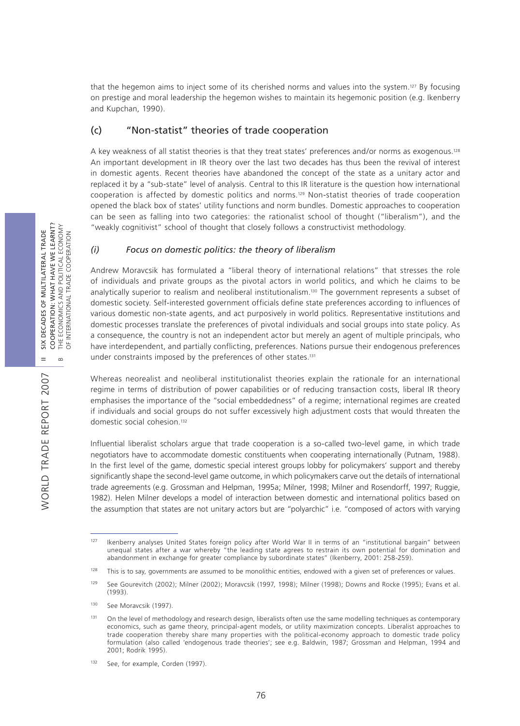that the hegemon aims to inject some of its cherished norms and values into the system.127 By focusing on prestige and moral leadership the hegemon wishes to maintain its hegemonic position (e.g. Ikenberry and Kupchan, 1990).

## (c) "Non-statist" theories of trade cooperation

A key weakness of all statist theories is that they treat states' preferences and/or norms as exogenous.128 An important development in IR theory over the last two decades has thus been the revival of interest in domestic agents. Recent theories have abandoned the concept of the state as a unitary actor and replaced it by a "sub-state" level of analysis. Central to this IR literature is the question how international cooperation is affected by domestic politics and norms.129 Non-statist theories of trade cooperation opened the black box of states' utility functions and norm bundles. Domestic approaches to cooperation can be seen as falling into two categories: the rationalist school of thought ("liberalism"), and the "weakly cognitivist" school of thought that closely follows a constructivist methodology.

## *(i) Focus on domestic politics: the theory of liberalism*

Andrew Moravcsik has formulated a "liberal theory of international relations" that stresses the role of individuals and private groups as the pivotal actors in world politics, and which he claims to be analytically superior to realism and neoliberal institutionalism.130 The government represents a subset of domestic society. Self-interested government officials define state preferences according to influences of various domestic non-state agents, and act purposively in world politics. Representative institutions and domestic processes translate the preferences of pivotal individuals and social groups into state policy. As a consequence, the country is not an independent actor but merely an agent of multiple principals, who have interdependent, and partially conflicting, preferences. Nations pursue their endogenous preferences under constraints imposed by the preferences of other states.<sup>131</sup>

Whereas neorealist and neoliberal institutionalist theories explain the rationale for an international regime in terms of distribution of power capabilities or of reducing transaction costs, liberal IR theory emphasises the importance of the "social embeddedness" of a regime; international regimes are created if individuals and social groups do not suffer excessively high adjustment costs that would threaten the domestic social cohesion.132

Influential liberalist scholars argue that trade cooperation is a so-called two-level game, in which trade negotiators have to accommodate domestic constituents when cooperating internationally (Putnam, 1988). In the first level of the game, domestic special interest groups lobby for policymakers' support and thereby significantly shape the second-level game outcome, in which policymakers carve out the details of international trade agreements (e.g. Grossman and Helpman, 1995a; Milner, 1998; Milner and Rosendorff, 1997; Ruggie, 1982). Helen Milner develops a model of interaction between domestic and international politics based on the assumption that states are not unitary actors but are "polyarchic" i.e. "composed of actors with varying

<sup>127</sup> Ikenberry analyses United States foreign policy after World War II in terms of an "institutional bargain" between unequal states after a war whereby "the leading state agrees to restrain its own potential for domination and abandonment in exchange for greater compliance by subordinate states" (Ikenberry, 2001: 258-259).

<sup>&</sup>lt;sup>128</sup> This is to say, governments are assumed to be monolithic entities, endowed with a given set of preferences or values.

<sup>129</sup> See Gourevitch (2002); Milner (2002); Moravcsik (1997, 1998); Milner (1998); Downs and Rocke (1995); Evans et al. (1993).

<sup>130</sup> See Moravcsik (1997).

<sup>&</sup>lt;sup>131</sup> On the level of methodology and research design, liberalists often use the same modelling techniques as contemporary economics, such as game theory, principal-agent models, or utility maximization concepts. Liberalist approaches to trade cooperation thereby share many properties with the political-economy approach to domestic trade policy formulation (also called 'endogenous trade theories'; see e.g. Baldwin, 1987; Grossman and Helpman, 1994 and 2001; Rodrik 1995).

<sup>132</sup> See, for example, Corden (1997).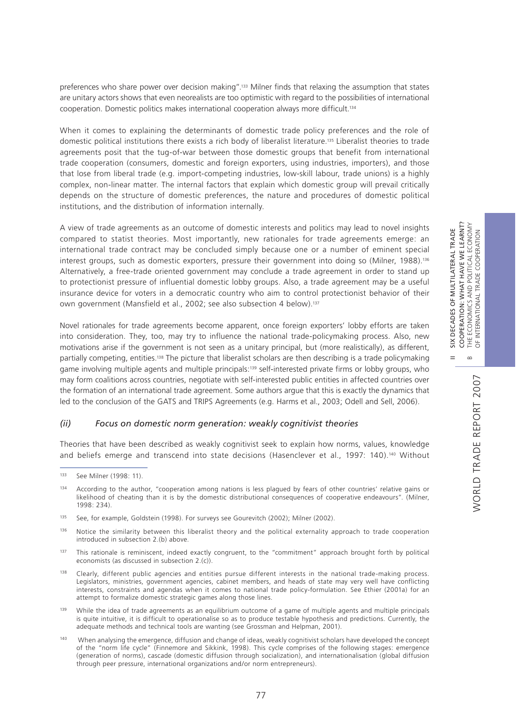COOPERATION: WHAT HAVE WE LEARNT?<br>THE ECONOMICS AND POLITICAL ECONOMY<br>OF INTERNATIONAL TRADE COOPERATION COOPERATION: WHAT HAVE WE LEARNT? B THE ECONOMICS AND POLITICAL ECONOMY II SIX DECADES OF MULTILATERAL TRADE DECADES OF MULTILATERAL TRADE OF INTERNATIONAL TRADE COOPERATION  $\frac{1}{2}$ 

 $\bf \infty$ 

 $=$ 

preferences who share power over decision making".<sup>133</sup> Milner finds that relaxing the assumption that states are unitary actors shows that even neorealists are too optimistic with regard to the possibilities of international cooperation. Domestic politics makes international cooperation always more difficult.134

When it comes to explaining the determinants of domestic trade policy preferences and the role of domestic political institutions there exists a rich body of liberalist literature.135 Liberalist theories to trade agreements posit that the tug-of-war between those domestic groups that benefit from international trade cooperation (consumers, domestic and foreign exporters, using industries, importers), and those that lose from liberal trade (e.g. import-competing industries, low-skill labour, trade unions) is a highly complex, non-linear matter. The internal factors that explain which domestic group will prevail critically depends on the structure of domestic preferences, the nature and procedures of domestic political institutions, and the distribution of information internally.

A view of trade agreements as an outcome of domestic interests and politics may lead to novel insights compared to statist theories. Most importantly, new rationales for trade agreements emerge: an international trade contract may be concluded simply because one or a number of eminent special interest groups, such as domestic exporters, pressure their government into doing so (Milner, 1988).136 Alternatively, a free-trade oriented government may conclude a trade agreement in order to stand up to protectionist pressure of influential domestic lobby groups. Also, a trade agreement may be a useful insurance device for voters in a democratic country who aim to control protectionist behavior of their own government (Mansfield et al., 2002; see also subsection 4 below).137

Novel rationales for trade agreements become apparent, once foreign exporters' lobby efforts are taken into consideration. They, too, may try to influence the national trade-policymaking process. Also, new motivations arise if the government is not seen as a unitary principal, but (more realistically), as different, partially competing, entities.138 The picture that liberalist scholars are then describing is a trade policymaking game involving multiple agents and multiple principals:139 self-interested private firms or lobby groups, who may form coalitions across countries, negotiate with self-interested public entities in affected countries over the formation of an international trade agreement. Some authors argue that this is exactly the dynamics that led to the conclusion of the GATS and TRIPS Agreements (e.g. Harms et al., 2003; Odell and Sell, 2006).

### *(ii) Focus on domestic norm generation: weakly cognitivist theories*

Theories that have been described as weakly cognitivist seek to explain how norms, values, knowledge and beliefs emerge and transcend into state decisions (Hasenclever et al., 1997: 140).140 Without

<sup>140</sup> When analysing the emergence, diffusion and change of ideas, weakly cognitivist scholars have developed the concept of the "norm life cycle" (Finnemore and Sikkink, 1998). This cycle comprises of the following stages: emergence (generation of norms), cascade (domestic diffusion through socialization), and internationalisation (global diffusion through peer pressure, international organizations and/or norm entrepreneurs).

<sup>133</sup> See Milner (1998: 11).

<sup>&</sup>lt;sup>134</sup> According to the author, "cooperation among nations is less plagued by fears of other countries' relative gains or likelihood of cheating than it is by the domestic distributional consequences of cooperative endeavours". (Milner, 1998: 234).

<sup>135</sup> See, for example, Goldstein (1998). For surveys see Gourevitch (2002); Milner (2002).

<sup>&</sup>lt;sup>136</sup> Notice the similarity between this liberalist theory and the political externality approach to trade cooperation introduced in subsection 2.(b) above.

<sup>&</sup>lt;sup>137</sup> This rationale is reminiscent, indeed exactly congruent, to the "commitment" approach brought forth by political economists (as discussed in subsection 2.(c)).

<sup>&</sup>lt;sup>138</sup> Clearly, different public agencies and entities pursue different interests in the national trade-making process. Legislators, ministries, government agencies, cabinet members, and heads of state may very well have conflicting interests, constraints and agendas when it comes to national trade policy-formulation. See Ethier (2001a) for an attempt to formalize domestic strategic games along those lines.

<sup>&</sup>lt;sup>139</sup> While the idea of trade agreements as an equilibrium outcome of a game of multiple agents and multiple principals is quite intuitive, it is difficult to operationalise so as to produce testable hypothesis and predictions. Currently, the adequate methods and technical tools are wanting (see Grossman and Helpman, 2001).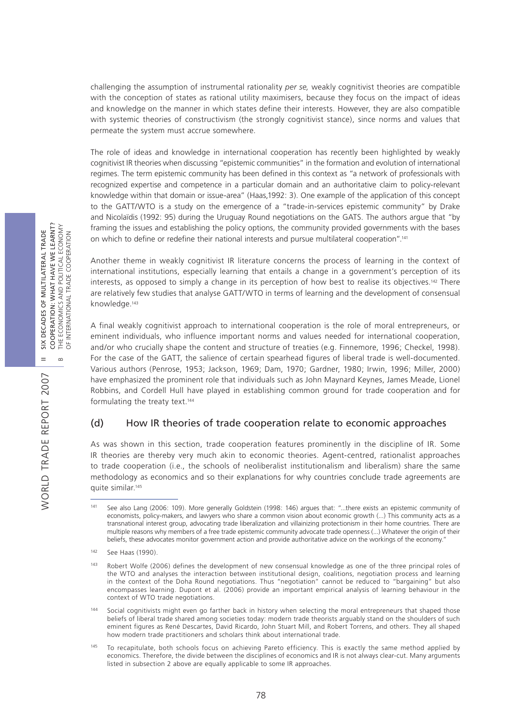challenging the assumption of instrumental rationality *per se,* weakly cognitivist theories are compatible with the conception of states as rational utility maximisers, because they focus on the impact of ideas and knowledge on the manner in which states define their interests. However, they are also compatible with systemic theories of constructivism (the strongly cognitivist stance), since norms and values that permeate the system must accrue somewhere.

The role of ideas and knowledge in international cooperation has recently been highlighted by weakly cognitivist IR theories when discussing "epistemic communities" in the formation and evolution of international regimes. The term epistemic community has been defined in this context as "a network of professionals with recognized expertise and competence in a particular domain and an authoritative claim to policy-relevant knowledge within that domain or issue-area" (Haas,1992: 3). One example of the application of this concept to the GATT/WTO is a study on the emergence of a "trade-in-services epistemic community" by Drake and Nicolaïdis (1992: 95) during the Uruguay Round negotiations on the GATS. The authors argue that "by framing the issues and establishing the policy options, the community provided governments with the bases on which to define or redefine their national interests and pursue multilateral cooperation".141

Another theme in weakly cognitivist IR literature concerns the process of learning in the context of international institutions, especially learning that entails a change in a government's perception of its interests, as opposed to simply a change in its perception of how best to realise its objectives.142 There are relatively few studies that analyse GATT/WTO in terms of learning and the development of consensual knowledge.143

A final weakly cognitivist approach to international cooperation is the role of moral entrepreneurs, or eminent individuals, who influence important norms and values needed for international cooperation, and/or who crucially shape the content and structure of treaties (e.g. Finnemore, 1996; Checkel, 1998). For the case of the GATT, the salience of certain spearhead figures of liberal trade is well-documented. Various authors (Penrose, 1953; Jackson, 1969; Dam, 1970; Gardner, 1980; Irwin, 1996; Miller, 2000) have emphasized the prominent role that individuals such as John Maynard Keynes, James Meade, Lionel Robbins, and Cordell Hull have played in establishing common ground for trade cooperation and for formulating the treaty text.144

## (d) How IR theories of trade cooperation relate to economic approaches

As was shown in this section, trade cooperation features prominently in the discipline of IR. Some IR theories are thereby very much akin to economic theories. Agent-centred, rationalist approaches to trade cooperation (i.e., the schools of neoliberalist institutionalism and liberalism) share the same methodology as economics and so their explanations for why countries conclude trade agreements are quite similar.145

78

WORLD TRADE REPORT 2007

See also Lang (2006: 109). More generally Goldstein (1998: 146) argues that: "...there exists an epistemic community of economists, policy-makers, and lawyers who share a common vision about economic growth (...) This community acts as a transnational interest group, advocating trade liberalization and villainizing protectionism in their home countries. There are multiple reasons why members of a free trade epistemic community advocate trade openness (...) Whatever the origin of their beliefs, these advocates monitor government action and provide authoritative advice on the workings of the economy."

<sup>142</sup> See Haas (1990).

<sup>143</sup> Robert Wolfe (2006) defines the development of new consensual knowledge as one of the three principal roles of the WTO and analyses the interaction between institutional design, coalitions, negotiation process and learning in the context of the Doha Round negotiations. Thus "negotiation" cannot be reduced to "bargaining" but also encompasses learning. Dupont et al. (2006) provide an important empirical analysis of learning behaviour in the context of WTO trade negotiations.

<sup>144</sup> Social cognitivists might even go farther back in history when selecting the moral entrepreneurs that shaped those beliefs of liberal trade shared among societies today: modern trade theorists arguably stand on the shoulders of such eminent figures as René Descartes, David Ricardo, John Stuart Mill, and Robert Torrens, and others. They all shaped how modern trade practitioners and scholars think about international trade.

To recapitulate, both schools focus on achieving Pareto efficiency. This is exactly the same method applied by economics. Therefore, the divide between the disciplines of economics and IR is not always clear-cut. Many arguments listed in subsection 2 above are equally applicable to some IR approaches.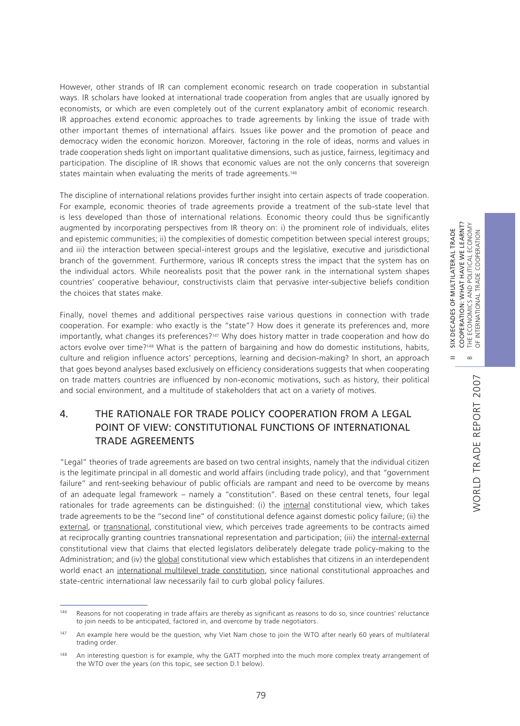However, other strands of IR can complement economic research on trade cooperation in substantial ways. IR scholars have looked at international trade cooperation from angles that are usually ignored by economists, or which are even completely out of the current explanatory ambit of economic research. IR approaches extend economic approaches to trade agreements by linking the issue of trade with other important themes of international affairs. Issues like power and the promotion of peace and democracy widen the economic horizon. Moreover, factoring in the role of ideas, norms and values in trade cooperation sheds light on important qualitative dimensions, such as justice, fairness, legitimacy and participation. The discipline of IR shows that economic values are not the only concerns that sovereign states maintain when evaluating the merits of trade agreements.<sup>146</sup>

The discipline of international relations provides further insight into certain aspects of trade cooperation. For example, economic theories of trade agreements provide a treatment of the sub-state level that is less developed than those of international relations. Economic theory could thus be significantly augmented by incorporating perspectives from IR theory on: i) the prominent role of individuals, elites and epistemic communities; ii) the complexities of domestic competition between special interest groups; and iii) the interaction between special-interest groups and the legislative, executive and jurisdictional branch of the government. Furthermore, various IR concepts stress the impact that the system has on the individual actors. While neorealists posit that the power rank in the international system shapes countries' cooperative behaviour, constructivists claim that pervasive inter-subjective beliefs condition the choices that states make.

Finally, novel themes and additional perspectives raise various questions in connection with trade cooperation. For example: who exactly is the "state"? How does it generate its preferences and, more importantly, what changes its preferences?<sup>147</sup> Why does history matter in trade cooperation and how do actors evolve over time?148 What is the pattern of bargaining and how do domestic institutions, habits, culture and religion influence actors' perceptions, learning and decision-making? In short, an approach that goes beyond analyses based exclusively on efficiency considerations suggests that when cooperating on trade matters countries are influenced by non-economic motivations, such as history, their political and social environment, and a multitude of stakeholders that act on a variety of motives.

# 4. THE RATIONALE FOR TRADE POLICY COOPERATION FROM A LEGAL POINT OF VIEW: CONSTITUTIONAL FUNCTIONS OF INTERNATIONAL TRADE AGREEMENTS

"Legal" theories of trade agreements are based on two central insights, namely that the individual citizen is the legitimate principal in all domestic and world affairs (including trade policy), and that "government failure" and rent-seeking behaviour of public officials are rampant and need to be overcome by means of an adequate legal framework – namely a "constitution". Based on these central tenets, four legal rationales for trade agreements can be distinguished: (i) the internal constitutional view, which takes trade agreements to be the "second line" of constitutional defence against domestic policy failure; (ii) the external, or transnational, constitutional view, which perceives trade agreements to be contracts aimed at reciprocally granting countries transnational representation and participation; (iii) the internal-external constitutional view that claims that elected legislators deliberately delegate trade policy-making to the Administration; and (iv) the global constitutional view which establishes that citizens in an interdependent world enact an international multilevel trade constitution, since national constitutional approaches and state-centric international law necessarily fail to curb global policy failures.

II SIX DECADES OF MULTILATERAL TRADE COOPERATION: WHAT HAVE WE LEARNT?

 $\frac{X}{2}$  $=$ 

DECADES OF MULTILATERAL TRADE

COOPERATION: WHAT HAVE WE LEARNT?

<sup>&</sup>lt;sup>146</sup> Reasons for not cooperating in trade affairs are thereby as significant as reasons to do so, since countries' reluctance to join needs to be anticipated, factored in, and overcome by trade negotiators.

<sup>&</sup>lt;sup>147</sup> An example here would be the question, why Viet Nam chose to join the WTO after nearly 60 years of multilateral trading order.

<sup>&</sup>lt;sup>148</sup> An interesting question is for example, why the GATT morphed into the much more complex treaty arrangement of the WTO over the years (on this topic, see section D.1 below).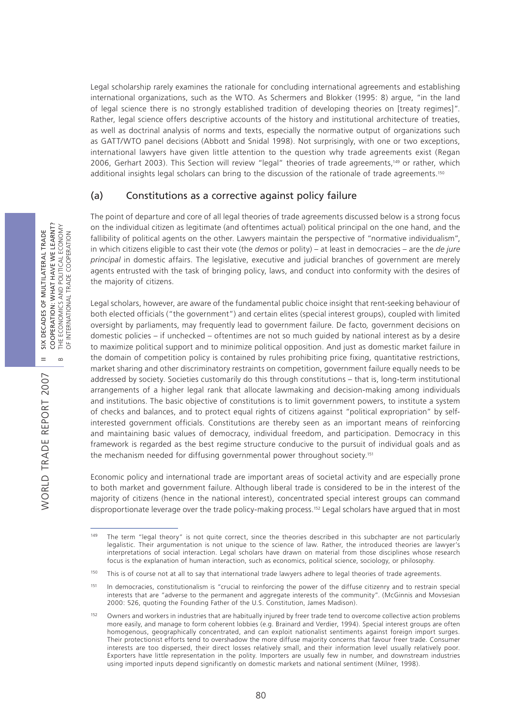Legal scholarship rarely examines the rationale for concluding international agreements and establishing international organizations, such as the WTO. As Schermers and Blokker (1995: 8) argue, "in the land of legal science there is no strongly established tradition of developing theories on [treaty regimes]". Rather, legal science offers descriptive accounts of the history and institutional architecture of treaties, as well as doctrinal analysis of norms and texts, especially the normative output of organizations such as GATT/WTO panel decisions (Abbott and Snidal 1998). Not surprisingly, with one or two exceptions, international lawyers have given little attention to the question why trade agreements exist (Regan 2006, Gerhart 2003). This Section will review "legal" theories of trade agreements,149 or rather, which additional insights legal scholars can bring to the discussion of the rationale of trade agreements.<sup>150</sup>

## (a) Constitutions as a corrective against policy failure

The point of departure and core of all legal theories of trade agreements discussed below is a strong focus on the individual citizen as legitimate (and oftentimes actual) political principal on the one hand, and the fallibility of political agents on the other. Lawyers maintain the perspective of "normative individualism", in which citizens eligible to cast their vote (the *demos* or polity) – at least in democracies – are the *de jure principal* in domestic affairs. The legislative, executive and judicial branches of government are merely agents entrusted with the task of bringing policy, laws, and conduct into conformity with the desires of the majority of citizens.

Legal scholars, however, are aware of the fundamental public choice insight that rent-seeking behaviour of both elected officials ("the government") and certain elites (special interest groups), coupled with limited oversight by parliaments, may frequently lead to government failure. De facto*,* government decisions on domestic policies – if unchecked – oftentimes are not so much guided by national interest as by a desire to maximize political support and to minimize political opposition. And just as domestic market failure in the domain of competition policy is contained by rules prohibiting price fixing, quantitative restrictions, market sharing and other discriminatory restraints on competition, government failure equally needs to be addressed by society. Societies customarily do this through constitutions – that is, long-term institutional arrangements of a higher legal rank that allocate lawmaking and decision-making among individuals and institutions. The basic objective of constitutions is to limit government powers, to institute a system of checks and balances, and to protect equal rights of citizens against "political expropriation" by selfinterested government officials. Constitutions are thereby seen as an important means of reinforcing and maintaining basic values of democracy, individual freedom, and participation. Democracy in this framework is regarded as the best regime structure conducive to the pursuit of individual goals and as the mechanism needed for diffusing governmental power throughout society.<sup>151</sup>

Economic policy and international trade are important areas of societal activity and are especially prone to both market and government failure. Although liberal trade is considered to be in the interest of the majority of citizens (hence in the national interest), concentrated special interest groups can command disproportionate leverage over the trade policy-making process.152 Legal scholars have argued that in most

<sup>&</sup>lt;sup>149</sup> The term "legal theory" is not quite correct, since the theories described in this subchapter are not particularly legalistic. Their argumentation is not unique to the science of law. Rather, the introduced theories are lawyer's interpretations of social interaction. Legal scholars have drawn on material from those disciplines whose research focus is the explanation of human interaction, such as economics, political science, sociology, or philosophy.

<sup>&</sup>lt;sup>150</sup> This is of course not at all to say that international trade lawyers adhere to legal theories of trade agreements.

<sup>151</sup> In democracies, constitutionalism is "crucial to reinforcing the power of the diffuse citizenry and to restrain special interests that are "adverse to the permanent and aggregate interests of the community". (McGinnis and Movsesian 2000: 526, quoting the Founding Father of the U.S. Constitution, James Madison).

<sup>152</sup> Owners and workers in industries that are habitually injured by freer trade tend to overcome collective action problems more easily, and manage to form coherent lobbies (e.g. Brainard and Verdier, 1994). Special interest groups are often homogenous, geographically concentrated, and can exploit nationalist sentiments against foreign import surges. Their protectionist efforts tend to overshadow the more diffuse majority concerns that favour freer trade. Consumer interests are too dispersed, their direct losses relatively small, and their information level usually relatively poor. Exporters have little representation in the polity. Importers are usually few in number, and downstream industries using imported inputs depend significantly on domestic markets and national sentiment (Milner, 1998).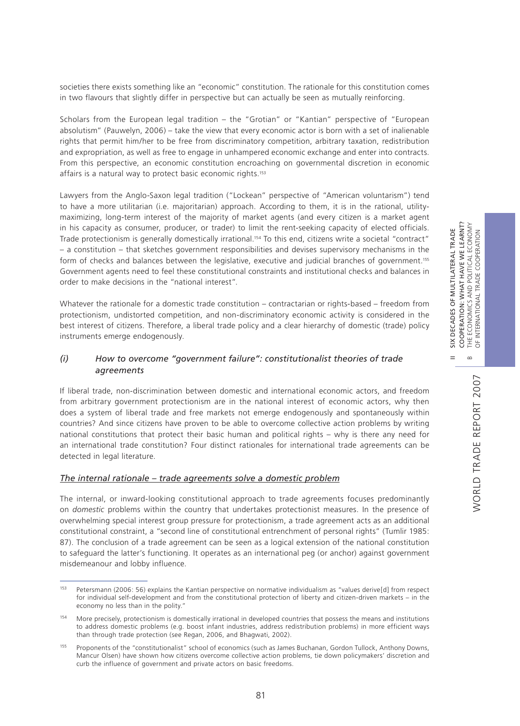societies there exists something like an "economic" constitution. The rationale for this constitution comes in two flavours that slightly differ in perspective but can actually be seen as mutually reinforcing.

Scholars from the European legal tradition – the "Grotian" or "Kantian" perspective of "European absolutism" (Pauwelyn, 2006) – take the view that every economic actor is born with a set of inalienable rights that permit him/her to be free from discriminatory competition, arbitrary taxation, redistribution and expropriation, as well as free to engage in unhampered economic exchange and enter into contracts. From this perspective, an economic constitution encroaching on governmental discretion in economic affairs is a natural way to protect basic economic rights.<sup>153</sup>

Lawyers from the Anglo-Saxon legal tradition ("Lockean" perspective of "American voluntarism") tend to have a more utilitarian (i.e. majoritarian) approach. According to them, it is in the rational, utilitymaximizing, long-term interest of the majority of market agents (and every citizen is a market agent in his capacity as consumer, producer, or trader) to limit the rent-seeking capacity of elected officials. Trade protectionism is generally domestically irrational.154 To this end, citizens write a societal "contract" – a constitution – that sketches government responsibilities and devises supervisory mechanisms in the form of checks and balances between the legislative, executive and judicial branches of government.155 Government agents need to feel these constitutional constraints and institutional checks and balances in order to make decisions in the "national interest".

Whatever the rationale for a domestic trade constitution – contractarian or rights-based – freedom from protectionism, undistorted competition, and non-discriminatory economic activity is considered in the best interest of citizens. Therefore, a liberal trade policy and a clear hierarchy of domestic (trade) policy instruments emerge endogenously.

## *(i) How to overcome "government failure": constitutionalist theories of trade agreements*

If liberal trade, non-discrimination between domestic and international economic actors, and freedom from arbitrary government protectionism are in the national interest of economic actors, why then does a system of liberal trade and free markets not emerge endogenously and spontaneously within countries? And since citizens have proven to be able to overcome collective action problems by writing national constitutions that protect their basic human and political rights – why is there any need for an international trade constitution? Four distinct rationales for international trade agreements can be detected in legal literature.

### *The internal rationale – trade agreements solve a domestic problem*

The internal, or inward-looking constitutional approach to trade agreements focuses predominantly on *domestic* problems within the country that undertakes protectionist measures. In the presence of overwhelming special interest group pressure for protectionism, a trade agreement acts as an additional constitutional constraint, a "second line of constitutional entrenchment of personal rights" (Tumlir 1985: 87). The conclusion of a trade agreement can be seen as a logical extension of the national constitution to safeguard the latter's functioning. It operates as an international peg (or anchor) against government misdemeanour and lobby influence.

II SIX DECADES OF MULTILATERAL TRADE

 $SIX$  $=$ 

DECADES OF MULTILATERAL TRADE

<sup>&</sup>lt;sup>153</sup> Petersmann (2006: 56) explains the Kantian perspective on normative individualism as "values derive[d] from respect for individual self-development and from the constitutional protection of liberty and citizen-driven markets – in the economy no less than in the polity."

<sup>154</sup> More precisely, protectionism is domestically irrational in developed countries that possess the means and institutions to address domestic problems (e.g. boost infant industries, address redistribution problems) in more efficient ways than through trade protection (see Regan, 2006, and Bhagwati, 2002).

Proponents of the "constitutionalist" school of economics (such as James Buchanan, Gordon Tullock, Anthony Downs, Mancur Olsen) have shown how citizens overcome collective action problems, tie down policymakers' discretion and curb the influence of government and private actors on basic freedoms.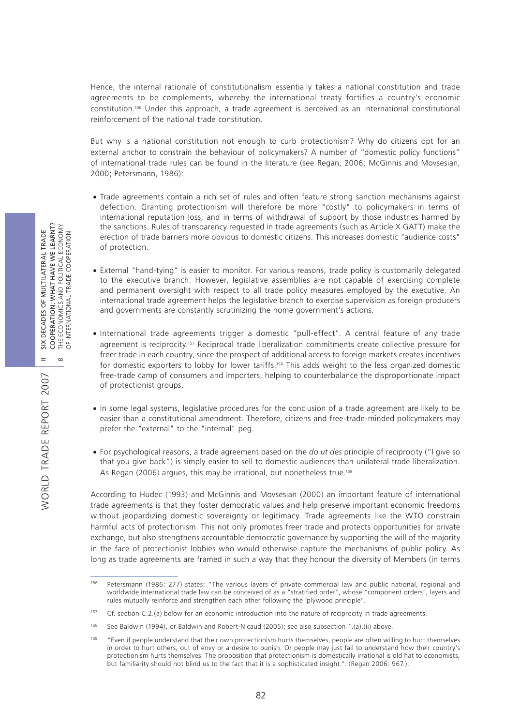Hence, the internal rationale of constitutionalism essentially takes a national constitution and trade agreements to be complements, whereby the international treaty fortifies a country's economic constitution.156 Under this approach, a trade agreement is perceived as an international constitutional reinforcement of the national trade constitution.

But why is a national constitution not enough to curb protectionism? Why do citizens opt for an external anchor to constrain the behaviour of policymakers? A number of "domestic policy functions" of international trade rules can be found in the literature (see Regan, 2006; McGinnis and Movsesian, 2000; Petersmann, 1986):

- Trade agreements contain a rich set of rules and often feature strong sanction mechanisms against defection. Granting protectionism will therefore be more "costly" to policymakers in terms of international reputation loss, and in terms of withdrawal of support by those industries harmed by the sanctions. Rules of transparency requested in trade agreements (such as Article X GATT) make the erection of trade barriers more obvious to domestic citizens. This increases domestic "audience costs" of protection.
- v External "hand-tying" is easier to monitor. For various reasons, trade policy is customarily delegated to the executive branch. However, legislative assemblies are not capable of exercising complete and permanent oversight with respect to all trade policy measures employed by the executive. An international trade agreement helps the legislative branch to exercise supervision as foreign producers and governments are constantly scrutinizing the home government's actions.
- v International trade agreements trigger a domestic "pull-effect". A central feature of any trade agreement is reciprocity.157 Reciprocal trade liberalization commitments create collective pressure for freer trade in each country, since the prospect of additional access to foreign markets creates incentives for domestic exporters to lobby for lower tariffs.158 This adds weight to the less organized domestic free-trade camp of consumers and importers, helping to counterbalance the disproportionate impact of protectionist groups.
- v In some legal systems, legislative procedures for the conclusion of a trade agreement are likely to be easier than a constitutional amendment. Therefore, citizens and free-trade-minded policymakers may prefer the "external" to the "internal" peg.
- v For psychological reasons, a trade agreement based on the *do ut des* principle of reciprocity ("I give so that you give back") is simply easier to sell to domestic audiences than unilateral trade liberalization. As Regan (2006) argues, this may be irrational, but nonetheless true.<sup>159</sup>

According to Hudec (1993) and McGinnis and Movsesian (2000) an important feature of international trade agreements is that they foster democratic values and help preserve important economic freedoms without jeopardizing domestic sovereignty or legitimacy. Trade agreements like the WTO constrain harmful acts of protectionism. This not only promotes freer trade and protects opportunities for private exchange, but also strengthens accountable democratic governance by supporting the will of the majority in the face of protectionist lobbies who would otherwise capture the mechanisms of public policy. As long as trade agreements are framed in such a way that they honour the diversity of Members (in terms

<sup>156</sup> Petersmann (1986: 277) states: "The various layers of private commercial law and public national, regional and worldwide international trade law can be conceived of as a "stratified order", whose "component orders", layers and rules mutually reinforce and strengthen each other following the 'plywood principle".

<sup>&</sup>lt;sup>157</sup> Cf. section C.2.(a) below for an economic introduction into the nature of reciprocity in trade agreements.

<sup>158</sup> See Baldwin (1994), or Baldwin and Robert-Nicaud (2005); see also subsection 1.(a).(ii) above.

<sup>159</sup> "Even if people understand that their own protectionism hurts themselves, people are often willing to hurt themselves in order to hurt others, out of envy or a desire to punish. Or people may just fail to understand how their country's protectionism hurts themselves. The proposition that protectionism is domestically irrational is old hat to economists, but familiarity should not blind us to the fact that it is a sophisticated insight.". (Regan 2006: 967.).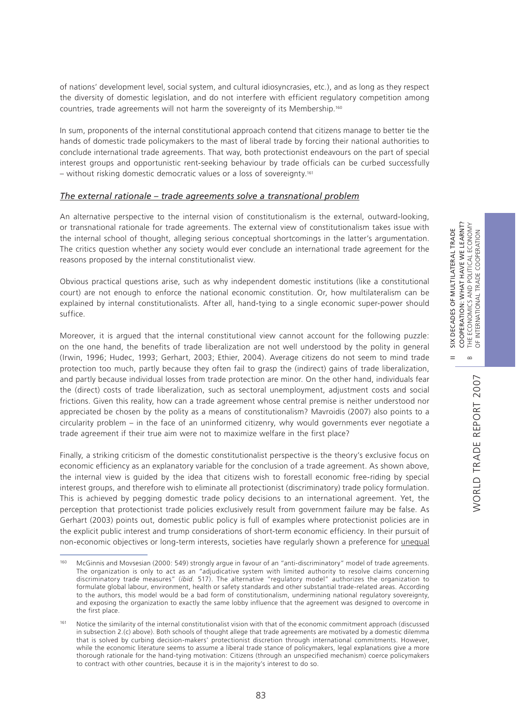$\infty$ 

 $=$ 

of nations' development level, social system, and cultural idiosyncrasies, etc.), and as long as they respect the diversity of domestic legislation, and do not interfere with efficient regulatory competition among countries, trade agreements will not harm the sovereignty of its Membership.160

In sum, proponents of the internal constitutional approach contend that citizens manage to better tie the hands of domestic trade policymakers to the mast of liberal trade by forcing their national authorities to conclude international trade agreements. That way, both protectionist endeavours on the part of special interest groups and opportunistic rent-seeking behaviour by trade officials can be curbed successfully – without risking domestic democratic values or a loss of sovereignty.161

#### *The external rationale – trade agreements solve a transnational problem*

An alternative perspective to the internal vision of constitutionalism is the external, outward-looking, or transnational rationale for trade agreements. The external view of constitutionalism takes issue with the internal school of thought, alleging serious conceptual shortcomings in the latter's argumentation. The critics question whether any society would ever conclude an international trade agreement for the reasons proposed by the internal constitutionalist view.

Obvious practical questions arise, such as why independent domestic institutions (like a constitutional court) are not enough to enforce the national economic constitution. Or, how multilateralism can be explained by internal constitutionalists. After all, hand-tying to a single economic super-power should suffice.

Moreover, it is argued that the internal constitutional view cannot account for the following puzzle: on the one hand, the benefits of trade liberalization are not well understood by the polity in general (Irwin, 1996; Hudec, 1993; Gerhart, 2003; Ethier, 2004). Average citizens do not seem to mind trade protection too much, partly because they often fail to grasp the (indirect) gains of trade liberalization, and partly because individual losses from trade protection are minor. On the other hand, individuals fear the (direct) costs of trade liberalization, such as sectoral unemployment, adjustment costs and social frictions. Given this reality, how can a trade agreement whose central premise is neither understood nor appreciated be chosen by the polity as a means of constitutionalism? Mavroidis (2007) also points to a circularity problem – in the face of an uninformed citizenry, why would governments ever negotiate a trade agreement if their true aim were not to maximize welfare in the first place?

Finally, a striking criticism of the domestic constitutionalist perspective is the theory's exclusive focus on economic efficiency as an explanatory variable for the conclusion of a trade agreement. As shown above, the internal view is guided by the idea that citizens wish to forestall economic free-riding by special interest groups, and therefore wish to eliminate all protectionist (discriminatory) trade policy formulation. This is achieved by pegging domestic trade policy decisions to an international agreement. Yet, the perception that protectionist trade policies exclusively result from government failure may be false. As Gerhart (2003) points out, domestic public policy is full of examples where protectionist policies are in the explicit public interest and trump considerations of short-term economic efficiency. In their pursuit of non-economic objectives or long-term interests, societies have regularly shown a preference for unequal

<sup>&</sup>lt;sup>160</sup> McGinnis and Movsesian (2000: 549) strongly argue in favour of an "anti-discriminatory" model of trade agreements. The organization is only to act as an "adjudicative system with limited authority to resolve claims concerning discriminatory trade measures" (*ibid.* 517). The alternative "regulatory model" authorizes the organization to formulate global labour, environment, health or safety standards and other substantial trade-related areas. According to the authors, this model would be a bad form of constitutionalism, undermining national regulatory sovereignty, and exposing the organization to exactly the same lobby influence that the agreement was designed to overcome in the first place.

<sup>&</sup>lt;sup>161</sup> Notice the similarity of the internal constitutionalist vision with that of the economic commitment approach (discussed in subsection 2.(c) above). Both schools of thought allege that trade agreements are motivated by a domestic dilemma that is solved by curbing decision-makers' protectionist discretion through international commitments. However, while the economic literature seems to assume a liberal trade stance of policymakers, legal explanations give a more thorough rationale for the hand-tying motivation: Citizens (through an unspecified mechanism) coerce policymakers to contract with other countries, because it is in the majority's interest to do so.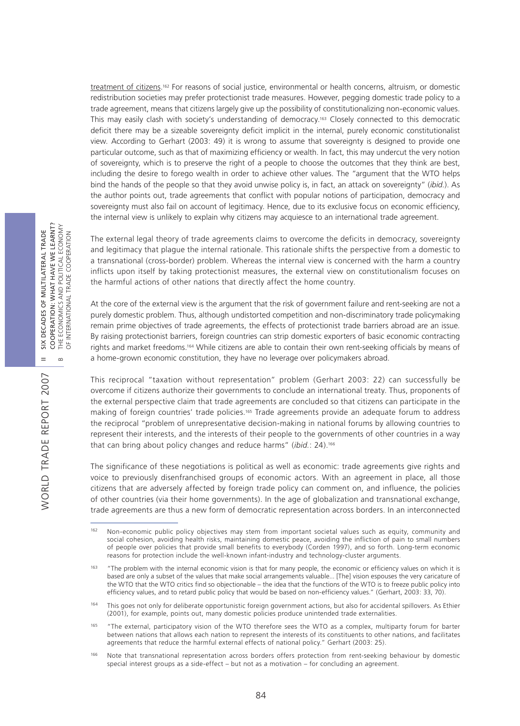treatment of citizens.162 For reasons of social justice, environmental or health concerns, altruism, or domestic redistribution societies may prefer protectionist trade measures. However, pegging domestic trade policy to a trade agreement, means that citizens largely give up the possibility of constitutionalizing non-economic values. This may easily clash with society's understanding of democracy.163 Closely connected to this democratic deficit there may be a sizeable sovereignty deficit implicit in the internal, purely economic constitutionalist view. According to Gerhart (2003: 49) it is wrong to assume that sovereignty is designed to provide one particular outcome, such as that of maximizing efficiency or wealth. In fact, this may undercut the very notion of sovereignty, which is to preserve the right of a people to choose the outcomes that they think are best, including the desire to forego wealth in order to achieve other values. The "argument that the WTO helps bind the hands of the people so that they avoid unwise policy is, in fact, an attack on sovereignty" (*ibid.*). As the author points out, trade agreements that conflict with popular notions of participation, democracy and sovereignty must also fail on account of legitimacy. Hence, due to its exclusive focus on economic efficiency, the internal view is unlikely to explain why citizens may acquiesce to an international trade agreement.

The external legal theory of trade agreements claims to overcome the deficits in democracy, sovereignty and legitimacy that plague the internal rationale. This rationale shifts the perspective from a domestic to a transnational (cross-border) problem. Whereas the internal view is concerned with the harm a country inflicts upon itself by taking protectionist measures, the external view on constitutionalism focuses on the harmful actions of other nations that directly affect the home country.

At the core of the external view is the argument that the risk of government failure and rent-seeking are not a purely domestic problem. Thus, although undistorted competition and non-discriminatory trade policymaking remain prime objectives of trade agreements, the effects of protectionist trade barriers abroad are an issue. By raising protectionist barriers, foreign countries can strip domestic exporters of basic economic contracting rights and market freedoms.164 While citizens are able to contain their own rent-seeking officials by means of a home-grown economic constitution, they have no leverage over policymakers abroad.

This reciprocal "taxation without representation" problem (Gerhart 2003: 22) can successfully be overcome if citizens authorize their governments to conclude an international treaty. Thus, proponents of the external perspective claim that trade agreements are concluded so that citizens can participate in the making of foreign countries' trade policies.165 Trade agreements provide an adequate forum to address the reciprocal "problem of unrepresentative decision-making in national forums by allowing countries to represent their interests, and the interests of their people to the governments of other countries in a way that can bring about policy changes and reduce harms" (*ibid.*: 24).166

The significance of these negotiations is political as well as economic: trade agreements give rights and voice to previously disenfranchised groups of economic actors. With an agreement in place, all those citizens that are adversely affected by foreign trade policy can comment on, and influence, the policies of other countries (via their home governments). In the age of globalization and transnational exchange, trade agreements are thus a new form of democratic representation across borders. In an interconnected

WORLD TRADE REPORT 2007

<sup>&</sup>lt;sup>162</sup> Non-economic public policy objectives may stem from important societal values such as equity, community and social cohesion, avoiding health risks, maintaining domestic peace, avoiding the infliction of pain to small numbers of people over policies that provide small benefits to everybody (Corden 1997), and so forth. Long-term economic reasons for protection include the well-known infant-industry and technology-cluster arguments.

<sup>&</sup>lt;sup>163</sup> "The problem with the internal economic vision is that for many people, the economic or efficiency values on which it is based are only a subset of the values that make social arrangements valuable... [The] vision espouses the very caricature of the WTO that the WTO critics find so objectionable – the idea that the functions of the WTO is to freeze public policy into efficiency values, and to retard public policy that would be based on non-efficiency values." (Gerhart, 2003: 33, 70).

This goes not only for deliberate opportunistic foreign government actions, but also for accidental spillovers. As Ethier (2001), for example, points out, many domestic policies produce unintended trade externalities.

<sup>165</sup> "The external, participatory vision of the WTO therefore sees the WTO as a complex, multiparty forum for barter between nations that allows each nation to represent the interests of its constituents to other nations, and facilitates agreements that reduce the harmful external effects of national policy." Gerhart (2003: 25).

<sup>166</sup> Note that transnational representation across borders offers protection from rent-seeking behaviour by domestic special interest groups as a side-effect – but not as a motivation – for concluding an agreement.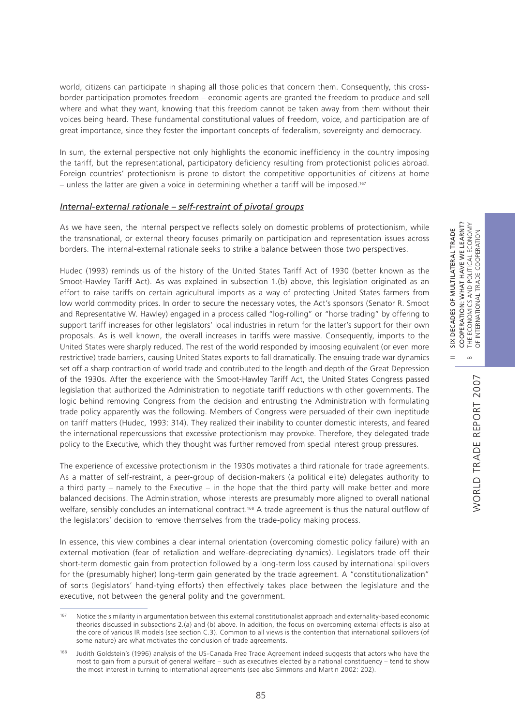world, citizens can participate in shaping all those policies that concern them. Consequently, this crossborder participation promotes freedom – economic agents are granted the freedom to produce and sell where and what they want, knowing that this freedom cannot be taken away from them without their voices being heard. These fundamental constitutional values of freedom, voice, and participation are of great importance, since they foster the important concepts of federalism, sovereignty and democracy.

In sum, the external perspective not only highlights the economic inefficiency in the country imposing the tariff, but the representational, participatory deficiency resulting from protectionist policies abroad. Foreign countries' protectionism is prone to distort the competitive opportunities of citizens at home – unless the latter are given a voice in determining whether a tariff will be imposed.<sup>167</sup>

#### *Internal-external rationale – self-restraint of pivotal groups*

As we have seen, the internal perspective reflects solely on domestic problems of protectionism, while the transnational, or external theory focuses primarily on participation and representation issues across borders. The internal-external rationale seeks to strike a balance between those two perspectives.

Hudec (1993) reminds us of the history of the United States Tariff Act of 1930 (better known as the Smoot-Hawley Tariff Act). As was explained in subsection 1.(b) above, this legislation originated as an effort to raise tariffs on certain agricultural imports as a way of protecting United States farmers from low world commodity prices. In order to secure the necessary votes, the Act's sponsors (Senator R. Smoot and Representative W. Hawley) engaged in a process called "log-rolling" or "horse trading" by offering to support tariff increases for other legislators' local industries in return for the latter's support for their own proposals. As is well known, the overall increases in tariffs were massive. Consequently, imports to the United States were sharply reduced. The rest of the world responded by imposing equivalent (or even more restrictive) trade barriers, causing United States exports to fall dramatically. The ensuing trade war dynamics set off a sharp contraction of world trade and contributed to the length and depth of the Great Depression of the 1930s. After the experience with the Smoot-Hawley Tariff Act, the United States Congress passed legislation that authorized the Administration to negotiate tariff reductions with other governments. The logic behind removing Congress from the decision and entrusting the Administration with formulating trade policy apparently was the following. Members of Congress were persuaded of their own ineptitude on tariff matters (Hudec, 1993: 314). They realized their inability to counter domestic interests, and feared the international repercussions that excessive protectionism may provoke. Therefore, they delegated trade policy to the Executive, which they thought was further removed from special interest group pressures.

The experience of excessive protectionism in the 1930s motivates a third rationale for trade agreements. As a matter of self-restraint, a peer-group of decision-makers (a political elite) delegates authority to a third party – namely to the Executive – in the hope that the third party will make better and more balanced decisions. The Administration, whose interests are presumably more aligned to overall national welfare, sensibly concludes an international contract.<sup>168</sup> A trade agreement is thus the natural outflow of the legislators' decision to remove themselves from the trade-policy making process.

In essence, this view combines a clear internal orientation (overcoming domestic policy failure) with an external motivation (fear of retaliation and welfare-depreciating dynamics). Legislators trade off their short-term domestic gain from protection followed by a long-term loss caused by international spillovers for the (presumably higher) long-term gain generated by the trade agreement. A "constitutionalization" of sorts (legislators' hand-tying efforts) then effectively takes place between the legislature and the executive, not between the general polity and the government.

II SIX DECADES OF MULTILATERAL TRADE

 $\frac{X}{2}$  $=$ 

DECADES OF MULTILATERAL TRADE

<sup>&</sup>lt;sup>167</sup> Notice the similarity in argumentation between this external constitutionalist approach and externality-based economic theories discussed in subsections 2.(a) and (b) above. In addition, the focus on overcoming external effects is also at the core of various IR models (see section C.3). Common to all views is the contention that international spillovers (of some nature) are what motivates the conclusion of trade agreements.

<sup>168</sup> Judith Goldstein's (1996) analysis of the US-Canada Free Trade Agreement indeed suggests that actors who have the most to gain from a pursuit of general welfare – such as executives elected by a national constituency – tend to show the most interest in turning to international agreements (see also Simmons and Martin 2002: 202).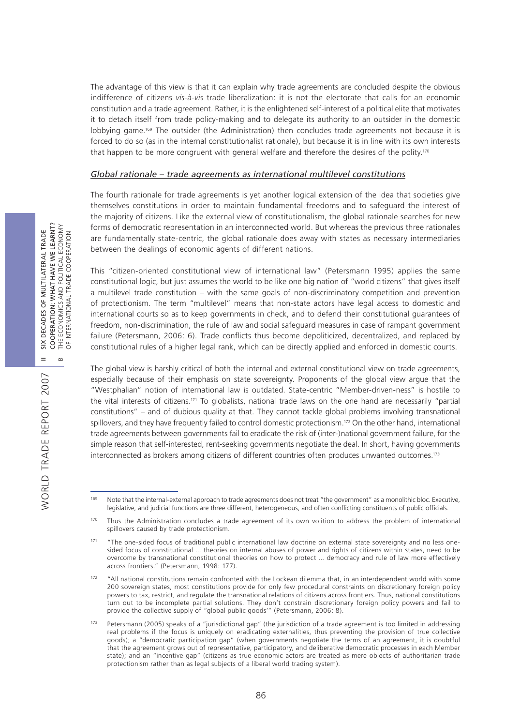The advantage of this view is that it can explain why trade agreements are concluded despite the obvious indifference of citizens *vis-à-vis* trade liberalization: it is not the electorate that calls for an economic constitution and a trade agreement. Rather, it is the enlightened self-interest of a political elite that motivates it to detach itself from trade policy-making and to delegate its authority to an outsider in the domestic lobbying game.169 The outsider (the Administration) then concludes trade agreements not because it is forced to do so (as in the internal constitutionalist rationale), but because it is in line with its own interests that happen to be more congruent with general welfare and therefore the desires of the polity.<sup>170</sup>

#### *Global rationale – trade agreements as international multilevel constitutions*

The fourth rationale for trade agreements is yet another logical extension of the idea that societies give themselves constitutions in order to maintain fundamental freedoms and to safeguard the interest of the majority of citizens. Like the external view of constitutionalism, the global rationale searches for new forms of democratic representation in an interconnected world. But whereas the previous three rationales are fundamentally state-centric, the global rationale does away with states as necessary intermediaries between the dealings of economic agents of different nations.

This "citizen-oriented constitutional view of international law" (Petersmann 1995) applies the same constitutional logic, but just assumes the world to be like one big nation of "world citizens" that gives itself a multilevel trade constitution – with the same goals of non-discriminatory competition and prevention of protectionism. The term "multilevel" means that non-state actors have legal access to domestic and international courts so as to keep governments in check, and to defend their constitutional guarantees of freedom, non-discrimination, the rule of law and social safeguard measures in case of rampant government failure (Petersmann, 2006: 6). Trade conflicts thus become depoliticized, decentralized, and replaced by constitutional rules of a higher legal rank, which can be directly applied and enforced in domestic courts.

The global view is harshly critical of both the internal and external constitutional view on trade agreements, especially because of their emphasis on state sovereignty. Proponents of the global view argue that the "Westphalian" notion of international law is outdated. State-centric "Member-driven-ness" is hostile to the vital interests of citizens.171 To globalists, national trade laws on the one hand are necessarily "partial constitutions" – and of dubious quality at that. They cannot tackle global problems involving transnational spillovers, and they have frequently failed to control domestic protectionism.<sup>172</sup> On the other hand, international trade agreements between governments fail to eradicate the risk of (inter-)national government failure, for the simple reason that self-interested, rent-seeking governments negotiate the deal. In short, having governments interconnected as brokers among citizens of different countries often produces unwanted outcomes.173

WORLD TRADE REPORT 2007

<sup>&</sup>lt;sup>169</sup> Note that the internal-external approach to trade agreements does not treat "the government" as a monolithic bloc. Executive, legislative, and judicial functions are three different, heterogeneous, and often conflicting constituents of public officials.

<sup>&</sup>lt;sup>170</sup> Thus the Administration concludes a trade agreement of its own volition to address the problem of international spillovers caused by trade protectionism.

<sup>171 &</sup>quot;The one-sided focus of traditional public international law doctrine on external state sovereignty and no less onesided focus of constitutional ... theories on internal abuses of power and rights of citizens within states, need to be overcome by transnational constitutional theories on how to protect ... democracy and rule of law more effectively across frontiers." (Petersmann, 1998: 177).

<sup>&</sup>lt;sup>172</sup> "All national constitutions remain confronted with the Lockean dilemma that, in an interdependent world with some 200 sovereign states, most constitutions provide for only few procedural constraints on discretionary foreign policy powers to tax, restrict, and regulate the transnational relations of citizens across frontiers. Thus, national constitutions turn out to be incomplete partial solutions. They don't constrain discretionary foreign policy powers and fail to provide the collective supply of "global public goods'" (Petersmann, 2006: 8).

<sup>173</sup> Petersmann (2005) speaks of a "jurisdictional gap" (the jurisdiction of a trade agreement is too limited in addressing real problems if the focus is uniquely on eradicating externalities, thus preventing the provision of true collective goods); a "democratic participation gap" (when governments negotiate the terms of an agreement, it is doubtful that the agreement grows out of representative, participatory, and deliberative democratic processes in each Member state); and an "incentive gap" (citizens as true economic actors are treated as mere objects of authoritarian trade protectionism rather than as legal subjects of a liberal world trading system).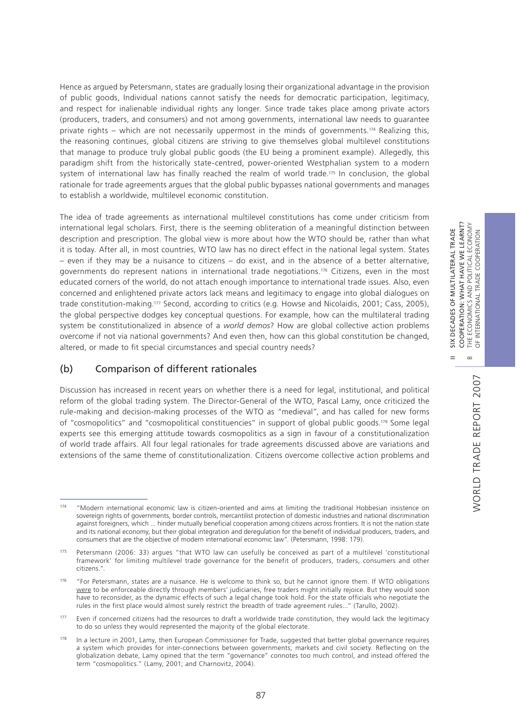Hence as argued by Petersmann, states are gradually losing their organizational advantage in the provision of public goods, Individual nations cannot satisfy the needs for democratic participation, legitimacy, and respect for inalienable individual rights any longer. Since trade takes place among private actors (producers, traders, and consumers) and not among governments, international law needs to guarantee private rights – which are not necessarily uppermost in the minds of governments.<sup>174</sup> Realizing this, the reasoning continues, global citizens are striving to give themselves global multilevel constitutions that manage to produce truly global public goods (the EU being a prominent example). Allegedly, this paradigm shift from the historically state-centred, power-oriented Westphalian system to a modern system of international law has finally reached the realm of world trade.<sup>175</sup> In conclusion, the global rationale for trade agreements argues that the global public bypasses national governments and manages to establish a worldwide, multilevel economic constitution.

The idea of trade agreements as international multilevel constitutions has come under criticism from international legal scholars. First, there is the seeming obliteration of a meaningful distinction between description and prescription. The global view is more about how the WTO should be, rather than what it is today. After all, in most countries, WTO law has no direct effect in the national legal system. States – even if they may be a nuisance to citizens – do exist, and in the absence of a better alternative, governments do represent nations in international trade negotiations.176 Citizens, even in the most educated corners of the world, do not attach enough importance to international trade issues. Also, even concerned and enlightened private actors lack means and legitimacy to engage into global dialogues on trade constitution-making.177 Second, according to critics (e.g. Howse and Nicolaidis, 2001; Cass, 2005), the global perspective dodges key conceptual questions. For example, how can the multilateral trading system be constitutionalized in absence of a *world demos*? How are global collective action problems overcome if not via national governments? And even then, how can this global constitution be changed, altered, or made to fit special circumstances and special country needs?

# (b) Comparison of different rationales

Discussion has increased in recent years on whether there is a need for legal, institutional, and political reform of the global trading system. The Director-General of the WTO, Pascal Lamy, once criticized the rule-making and decision-making processes of the WTO as "medieval", and has called for new forms of "cosmopolitics" and "cosmopolitical constituencies" in support of global public goods.178 Some legal experts see this emerging attitude towards cosmopolitics as a sign in favour of a constitutionalization of world trade affairs. All four legal rationales for trade agreements discussed above are variations and extensions of the same theme of constitutionalization. Citizens overcome collective action problems and

177 Even if concerned citizens had the resources to draft a worldwide trade constitution, they would lack the legitimacy to do so unless they would represented the majority of the global electorate.

II SIX DECADES OF MULTILATERAL TRADE COOPERATION: WHAT HAVE WE LEARNT?

 $=$ 

SIX DECADES OF MULTILATERAL TRADE

<sup>174</sup> "Modern international economic law is citizen-oriented and aims at limiting the traditional Hobbesian insistence on sovereign rights of governments, border controls, mercantilist protection of domestic industries and national discrimination against foreigners, which ... hinder mutually beneficial cooperation among citizens across frontiers. It is not the nation state and its national economy, but their global integration and deregulation for the benefit of individual producers, traders, and consumers that are the objective of modern international economic law". (Petersmann, 1998: 179).

<sup>175</sup> Petersmann (2006: 33) argues "that WTO law can usefully be conceived as part of a multilevel 'constitutional framework' for limiting multilevel trade governance for the benefit of producers, traders, consumers and other citizens.".

<sup>&</sup>lt;sup>176</sup> "For Petersmann, states are a nuisance. He is welcome to think so, but he cannot ignore them. If WTO obligations were to be enforceable directly through members' judiciaries, free traders might initially rejoice. But they would soon have to reconsider, as the dynamic effects of such a legal change took hold. For the state officials who negotiate the rules in the first place would almost surely restrict the breadth of trade agreement rules..." (Tarullo, 2002).

<sup>&</sup>lt;sup>178</sup> In a lecture in 2001, Lamy, then European Commissioner for Trade, suggested that better global governance requires a system which provides for inter-connections between governments, markets and civil society. Reflecting on the globalization debate, Lamy opined that the term "governance" connotes too much control, and instead offered the term "cosmopolitics." (Lamy, 2001; and Charnovitz, 2004).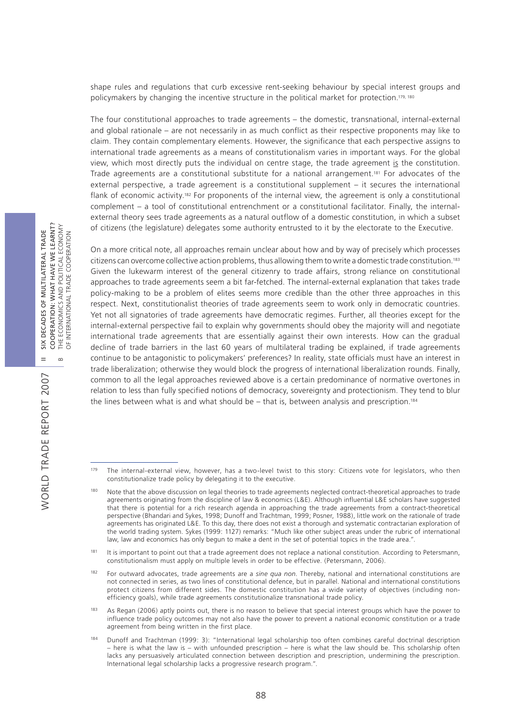shape rules and regulations that curb excessive rent-seeking behaviour by special interest groups and policymakers by changing the incentive structure in the political market for protection.<sup>179, 180</sup>

The four constitutional approaches to trade agreements – the domestic, transnational, internal-external and global rationale – are not necessarily in as much conflict as their respective proponents may like to claim. They contain complementary elements. However, the significance that each perspective assigns to international trade agreements as a means of constitutionalism varies in important ways. For the global view, which most directly puts the individual on centre stage, the trade agreement is the constitution. Trade agreements are a constitutional substitute for a national arrangement.181 For advocates of the external perspective, a trade agreement is a constitutional supplement – it secures the international flank of economic activity.182 For proponents of the internal view, the agreement is only a constitutional complement – a tool of constitutional entrenchment or a constitutional facilitator. Finally, the internalexternal theory sees trade agreements as a natural outflow of a domestic constitution, in which a subset of citizens (the legislature) delegates some authority entrusted to it by the electorate to the Executive.

On a more critical note, all approaches remain unclear about how and by way of precisely which processes citizens can overcome collective action problems, thus allowing them to write a domestic trade constitution.183 Given the lukewarm interest of the general citizenry to trade affairs, strong reliance on constitutional approaches to trade agreements seem a bit far-fetched. The internal-external explanation that takes trade policy-making to be a problem of elites seems more credible than the other three approaches in this respect. Next, constitutionalist theories of trade agreements seem to work only in democratic countries. Yet not all signatories of trade agreements have democratic regimes. Further, all theories except for the internal-external perspective fail to explain why governments should obey the majority will and negotiate international trade agreements that are essentially against their own interests. How can the gradual decline of trade barriers in the last 60 years of multilateral trading be explained, if trade agreements continue to be antagonistic to policymakers' preferences? In reality, state officials must have an interest in trade liberalization; otherwise they would block the progress of international liberalization rounds. Finally, common to all the legal approaches reviewed above is a certain predominance of normative overtones in relation to less than fully specified notions of democracy, sovereignty and protectionism. They tend to blur the lines between what is and what should be – that is, between analysis and prescription.<sup>184</sup>

WORLD TRADE REPORT 2007

**NORLD TRADE REPORT 2007** 

<sup>179</sup> The internal-external view, however, has a two-level twist to this story: Citizens vote for legislators, who then constitutionalize trade policy by delegating it to the executive.

<sup>180</sup> Note that the above discussion on legal theories to trade agreements neglected contract-theoretical approaches to trade agreements originating from the discipline of law & economics (L&E). Although influential L&E scholars have suggested that there is potential for a rich research agenda in approaching the trade agreements from a contract-theoretical perspective (Bhandari and Sykes, 1998; Dunoff and Trachtman, 1999; Posner, 1988), little work on the rationale of trade agreements has originated L&E. To this day, there does not exist a thorough and systematic contractarian exploration of the world trading system. Sykes (1999: 1127) remarks: "Much like other subject areas under the rubric of international law, law and economics has only begun to make a dent in the set of potential topics in the trade area.".

<sup>&</sup>lt;sup>181</sup> It is important to point out that a trade agreement does not replace a national constitution. According to Petersmann, constitutionalism must apply on multiple levels in order to be effective. (Petersmann, 2006).

<sup>182</sup> For outward advocates, trade agreements are a *sine qua non*. Thereby, national and international constitutions are not connected in series, as two lines of constitutional defence, but in parallel. National and international constitutions protect citizens from different sides. The domestic constitution has a wide variety of objectives (including nonefficiency goals), while trade agreements constitutionalize transnational trade policy.

<sup>183</sup> As Regan (2006) aptly points out, there is no reason to believe that special interest groups which have the power to influence trade policy outcomes may not also have the power to prevent a national economic constitution or a trade agreement from being written in the first place.

<sup>184</sup> Dunoff and Trachtman (1999: 3): "International legal scholarship too often combines careful doctrinal description – here is what the law is – with unfounded prescription – here is what the law should be. This scholarship often lacks any persuasively articulated connection between description and prescription, undermining the prescription. International legal scholarship lacks a progressive research program.".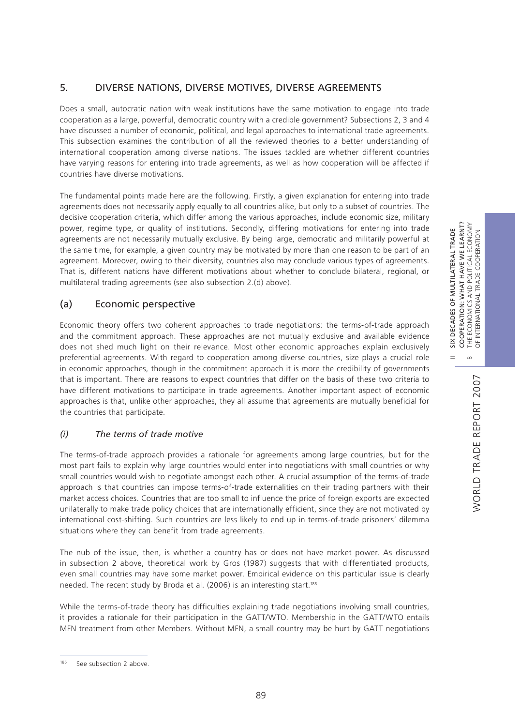# 5. DIVERSE NATIONS, DIVERSE MOTIVES, DIVERSE AGREEMENTS

Does a small, autocratic nation with weak institutions have the same motivation to engage into trade cooperation as a large, powerful, democratic country with a credible government? Subsections 2, 3 and 4 have discussed a number of economic, political, and legal approaches to international trade agreements. This subsection examines the contribution of all the reviewed theories to a better understanding of international cooperation among diverse nations. The issues tackled are whether different countries have varying reasons for entering into trade agreements, as well as how cooperation will be affected if countries have diverse motivations.

The fundamental points made here are the following. Firstly, a given explanation for entering into trade agreements does not necessarily apply equally to all countries alike, but only to a subset of countries. The decisive cooperation criteria, which differ among the various approaches, include economic size, military power, regime type, or quality of institutions. Secondly, differing motivations for entering into trade agreements are not necessarily mutually exclusive. By being large, democratic and militarily powerful at the same time, for example, a given country may be motivated by more than one reason to be part of an agreement. Moreover, owing to their diversity, countries also may conclude various types of agreements. That is, different nations have different motivations about whether to conclude bilateral, regional, or multilateral trading agreements (see also subsection 2.(d) above).

# (a) Economic perspective

Economic theory offers two coherent approaches to trade negotiations: the terms-of-trade approach and the commitment approach. These approaches are not mutually exclusive and available evidence does not shed much light on their relevance. Most other economic approaches explain exclusively preferential agreements. With regard to cooperation among diverse countries, size plays a crucial role in economic approaches, though in the commitment approach it is more the credibility of governments that is important. There are reasons to expect countries that differ on the basis of these two criteria to have different motivations to participate in trade agreements. Another important aspect of economic approaches is that, unlike other approaches, they all assume that agreements are mutually beneficial for the countries that participate.

## *(i) The terms of trade motive*

The terms-of-trade approach provides a rationale for agreements among large countries, but for the most part fails to explain why large countries would enter into negotiations with small countries or why small countries would wish to negotiate amongst each other. A crucial assumption of the terms-of-trade approach is that countries can impose terms-of-trade externalities on their trading partners with their market access choices. Countries that are too small to influence the price of foreign exports are expected unilaterally to make trade policy choices that are internationally efficient, since they are not motivated by international cost-shifting. Such countries are less likely to end up in terms-of-trade prisoners' dilemma situations where they can benefit from trade agreements.

The nub of the issue, then, is whether a country has or does not have market power. As discussed in subsection 2 above, theoretical work by Gros (1987) suggests that with differentiated products, even small countries may have some market power. Empirical evidence on this particular issue is clearly needed. The recent study by Broda et al. (2006) is an interesting start.185

While the terms-of-trade theory has difficulties explaining trade negotiations involving small countries, it provides a rationale for their participation in the GATT/WTO. Membership in the GATT/WTO entails MFN treatment from other Members. Without MFN, a small country may be hurt by GATT negotiations WORLD TRADE REPORT 2007

WORLD TRADE REPORT 2007

See subsection 2 above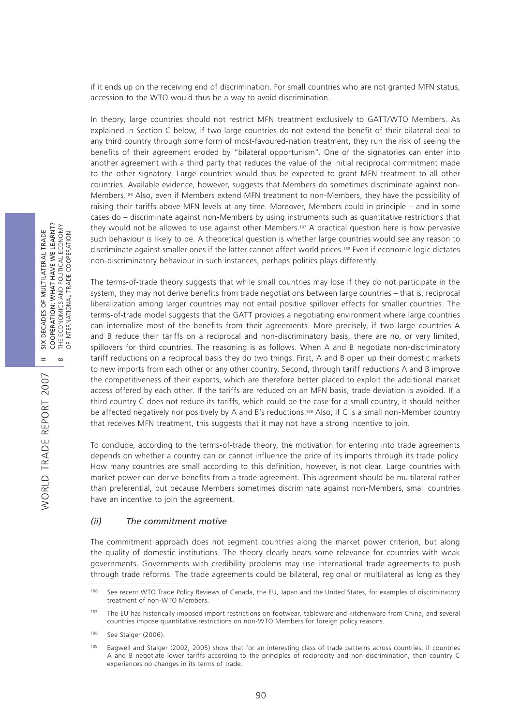if it ends up on the receiving end of discrimination. For small countries who are not granted MFN status, accession to the WTO would thus be a way to avoid discrimination.

In theory, large countries should not restrict MFN treatment exclusively to GATT/WTO Members. As explained in Section C below, if two large countries do not extend the benefit of their bilateral deal to any third country through some form of most-favoured-nation treatment, they run the risk of seeing the benefits of their agreement eroded by "bilateral opportunism". One of the signatories can enter into another agreement with a third party that reduces the value of the initial reciprocal commitment made to the other signatory. Large countries would thus be expected to grant MFN treatment to all other countries. Available evidence, however, suggests that Members do sometimes discriminate against non-Members.186 Also, even if Members extend MFN treatment to non-Members, they have the possibility of raising their tariffs above MFN levels at any time. Moreover, Members could in principle – and in some cases do – discriminate against non-Members by using instruments such as quantitative restrictions that they would not be allowed to use against other Members.187 A practical question here is how pervasive such behaviour is likely to be. A theoretical question is whether large countries would see any reason to discriminate against smaller ones if the latter cannot affect world prices.188 Even if economic logic dictates non-discriminatory behaviour in such instances, perhaps politics plays differently.

The terms-of-trade theory suggests that while small countries may lose if they do not participate in the system, they may not derive benefits from trade negotiations between large countries – that is, reciprocal liberalization among larger countries may not entail positive spillover effects for smaller countries. The terms-of-trade model suggests that the GATT provides a negotiating environment where large countries can internalize most of the benefits from their agreements. More precisely, if two large countries A and B reduce their tariffs on a reciprocal and non-discriminatory basis, there are no, or very limited, spillovers for third countries. The reasoning is as follows. When A and B negotiate non-discriminatory tariff reductions on a reciprocal basis they do two things. First, A and B open up their domestic markets to new imports from each other or any other country. Second, through tariff reductions A and B improve the competitiveness of their exports, which are therefore better placed to exploit the additional market access offered by each other. If the tariffs are reduced on an MFN basis, trade deviation is avoided. If a third country C does not reduce its tariffs, which could be the case for a small country, it should neither be affected negatively nor positively by A and B's reductions.189 Also, if C is a small non-Member country that receives MFN treatment, this suggests that it may not have a strong incentive to join.

To conclude, according to the terms-of-trade theory, the motivation for entering into trade agreements depends on whether a country can or cannot influence the price of its imports through its trade policy. How many countries are small according to this definition, however, is not clear. Large countries with market power can derive benefits from a trade agreement. This agreement should be multilateral rather than preferential, but because Members sometimes discriminate against non-Members, small countries have an incentive to join the agreement.

#### *(ii) The commitment motive*

The commitment approach does not segment countries along the market power criterion, but along the quality of domestic institutions. The theory clearly bears some relevance for countries with weak governments. Governments with credibility problems may use international trade agreements to push through trade reforms. The trade agreements could be bilateral, regional or multilateral as long as they

<sup>186</sup> See recent WTO Trade Policy Reviews of Canada, the EU, Japan and the United States, for examples of discriminatory treatment of non-WTO Members.

<sup>&</sup>lt;sup>187</sup> The EU has historically imposed import restrictions on footwear, tableware and kitchenware from China, and several countries impose quantitative restrictions on non-WTO Members for foreign policy reasons.

<sup>188</sup> See Staiger (2006).

<sup>189</sup> Bagwell and Staiger (2002, 2005) show that for an interesting class of trade patterns across countries, if countries A and B negotiate lower tariffs according to the principles of reciprocity and non-discrimination, then country C experiences no changes in its terms of trade.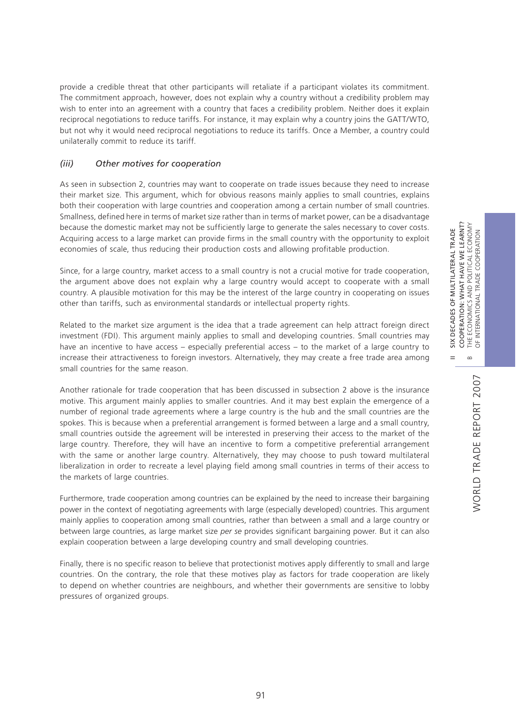II SIX DECADES OF MULTILATERAL TRADE COOPERATION: WHAT HAVE WE LEARNT?

 $\frac{X}{2}$  $=$ 

DECADES OF MULTILATERAL TRADE

COOPERATION: WHAT HAVE WE LEARNT?

provide a credible threat that other participants will retaliate if a participant violates its commitment. The commitment approach, however, does not explain why a country without a credibility problem may wish to enter into an agreement with a country that faces a credibility problem. Neither does it explain reciprocal negotiations to reduce tariffs. For instance, it may explain why a country joins the GATT/WTO, but not why it would need reciprocal negotiations to reduce its tariffs. Once a Member, a country could unilaterally commit to reduce its tariff.

## *(iii) Other motives for cooperation*

As seen in subsection 2, countries may want to cooperate on trade issues because they need to increase their market size. This argument, which for obvious reasons mainly applies to small countries, explains both their cooperation with large countries and cooperation among a certain number of small countries. Smallness, defined here in terms of market size rather than in terms of market power, can be a disadvantage because the domestic market may not be sufficiently large to generate the sales necessary to cover costs. Acquiring access to a large market can provide firms in the small country with the opportunity to exploit economies of scale, thus reducing their production costs and allowing profitable production.

Since, for a large country, market access to a small country is not a crucial motive for trade cooperation, the argument above does not explain why a large country would accept to cooperate with a small country. A plausible motivation for this may be the interest of the large country in cooperating on issues other than tariffs, such as environmental standards or intellectual property rights.

Related to the market size argument is the idea that a trade agreement can help attract foreign direct investment (FDI). This argument mainly applies to small and developing countries. Small countries may have an incentive to have access – especially preferential access – to the market of a large country to increase their attractiveness to foreign investors. Alternatively, they may create a free trade area among small countries for the same reason.

Another rationale for trade cooperation that has been discussed in subsection 2 above is the insurance motive. This argument mainly applies to smaller countries. And it may best explain the emergence of a number of regional trade agreements where a large country is the hub and the small countries are the spokes. This is because when a preferential arrangement is formed between a large and a small country, small countries outside the agreement will be interested in preserving their access to the market of the large country. Therefore, they will have an incentive to form a competitive preferential arrangement with the same or another large country. Alternatively, they may choose to push toward multilateral liberalization in order to recreate a level playing field among small countries in terms of their access to the markets of large countries.

Furthermore, trade cooperation among countries can be explained by the need to increase their bargaining power in the context of negotiating agreements with large (especially developed) countries. This argument mainly applies to cooperation among small countries, rather than between a small and a large country or between large countries, as large market size *per se* provides significant bargaining power. But it can also explain cooperation between a large developing country and small developing countries.

Finally, there is no specific reason to believe that protectionist motives apply differently to small and large countries. On the contrary, the role that these motives play as factors for trade cooperation are likely to depend on whether countries are neighbours, and whether their governments are sensitive to lobby pressures of organized groups.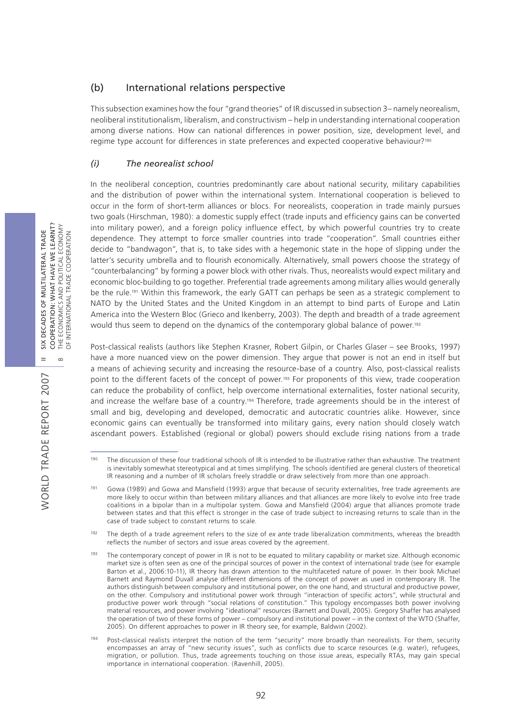## (b) International relations perspective

This subsection examines how the four "grand theories" of IR discussed in subsection 3– namely neorealism, neoliberal institutionalism, liberalism, and constructivism – help in understanding international cooperation among diverse nations. How can national differences in power position, size, development level, and regime type account for differences in state preferences and expected cooperative behaviour?<sup>190</sup>

## *(i) The neorealist school*

In the neoliberal conception, countries predominantly care about national security, military capabilities and the distribution of power within the international system. International cooperation is believed to occur in the form of short-term alliances or blocs. For neorealists, cooperation in trade mainly pursues two goals (Hirschman, 1980): a domestic supply effect (trade inputs and efficiency gains can be converted into military power), and a foreign policy influence effect, by which powerful countries try to create dependence. They attempt to force smaller countries into trade "cooperation". Small countries either decide to "bandwagon", that is, to take sides with a hegemonic state in the hope of slipping under the latter's security umbrella and to flourish economically. Alternatively, small powers choose the strategy of "counterbalancing" by forming a power block with other rivals. Thus, neorealists would expect military and economic bloc-building to go together. Preferential trade agreements among military allies would generally be the rule.191 Within this framework, the early GATT can perhaps be seen as a strategic complement to NATO by the United States and the United Kingdom in an attempt to bind parts of Europe and Latin America into the Western Bloc (Grieco and Ikenberry, 2003). The depth and breadth of a trade agreement would thus seem to depend on the dynamics of the contemporary global balance of power.<sup>192</sup>

Post-classical realists (authors like Stephen Krasner, Robert Gilpin, or Charles Glaser – see Brooks, 1997) have a more nuanced view on the power dimension. They argue that power is not an end in itself but a means of achieving security and increasing the resource-base of a country. Also, post-classical realists point to the different facets of the concept of power.193 For proponents of this view, trade cooperation can reduce the probability of conflict, help overcome international externalities, foster national security, and increase the welfare base of a country.<sup>194</sup> Therefore, trade agreements should be in the interest of small and big, developing and developed, democratic and autocratic countries alike. However, since economic gains can eventually be transformed into military gains, every nation should closely watch ascendant powers. Established (regional or global) powers should exclude rising nations from a trade

<sup>&</sup>lt;sup>190</sup> The discussion of these four traditional schools of IR is intended to be illustrative rather than exhaustive. The treatment is inevitably somewhat stereotypical and at times simplifying. The schools identified are general clusters of theoretical IR reasoning and a number of IR scholars freely straddle or draw selectively from more than one approach.

<sup>&</sup>lt;sup>191</sup> Gowa (1989) and Gowa and Mansfield (1993) argue that because of security externalities, free trade agreements are more likely to occur within than between military alliances and that alliances are more likely to evolve into free trade coalitions in a bipolar than in a multipolar system. Gowa and Mansfield (2004) argue that alliances promote trade between states and that this effect is stronger in the case of trade subject to increasing returns to scale than in the case of trade subject to constant returns to scale.

<sup>192</sup> The depth of a trade agreement refers to the size of *ex ante* trade liberalization commitments, whereas the breadth reflects the number of sectors and issue areas covered by the agreement.

<sup>&</sup>lt;sup>193</sup> The contemporary concept of power in IR is not to be equated to military capability or market size. Although economic market size is often seen as one of the principal sources of power in the context of international trade (see for example Barton et al., 2006:10-11), IR theory has drawn attention to the multifaceted nature of power. In their book Michael Barnett and Raymond Duvall analyse different dimensions of the concept of power as used in contemporary IR. The authors distinguish between compulsory and institutional power, on the one hand, and structural and productive power, on the other. Compulsory and institutional power work through "interaction of specific actors", while structural and productive power work through "social relations of constitution." This typology encompasses both power involving material resources, and power involving "ideational" resources (Barnett and Duvall, 2005). Gregory Shaffer has analysed the operation of two of these forms of power – compulsory and institutional power – in the context of the WTO (Shaffer, 2005). On different approaches to power in IR theory see, for example, Baldwin (2002).

<sup>194</sup> Post-classical realists interpret the notion of the term "security" more broadly than neorealists. For them, security encompasses an array of "new security issues", such as conflicts due to scarce resources (e.g. water), refugees, migration, or pollution. Thus, trade agreements touching on those issue areas, especially RTAs, may gain special importance in international cooperation. (Ravenhill, 2005).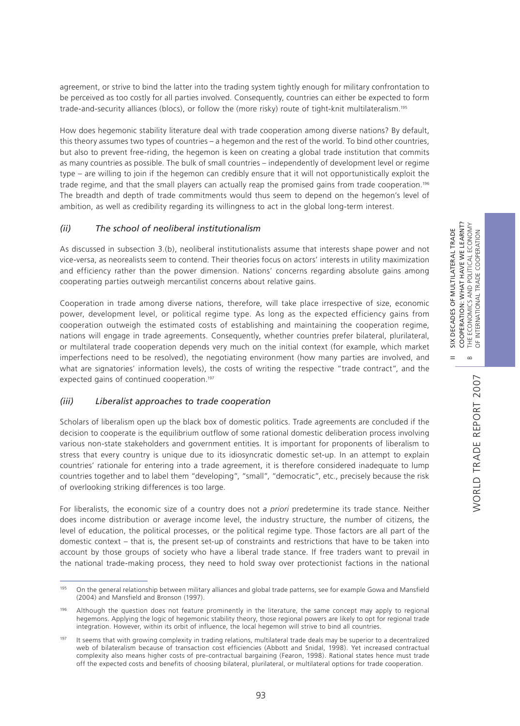$\infty$ 

 $=$ 

WORLD TRADE REPORT 2007

WORLD TRADE REPORT 2007

agreement, or strive to bind the latter into the trading system tightly enough for military confrontation to be perceived as too costly for all parties involved. Consequently, countries can either be expected to form trade-and-security alliances (blocs), or follow the (more risky) route of tight-knit multilateralism.195

How does hegemonic stability literature deal with trade cooperation among diverse nations? By default, this theory assumes two types of countries – a hegemon and the rest of the world. To bind other countries, but also to prevent free-riding, the hegemon is keen on creating a global trade institution that commits as many countries as possible. The bulk of small countries – independently of development level or regime type – are willing to join if the hegemon can credibly ensure that it will not opportunistically exploit the trade regime, and that the small players can actually reap the promised gains from trade cooperation.<sup>196</sup> The breadth and depth of trade commitments would thus seem to depend on the hegemon's level of ambition, as well as credibility regarding its willingness to act in the global long-term interest.

## *(ii) The school of neoliberal institutionalism*

As discussed in subsection 3.(b), neoliberal institutionalists assume that interests shape power and not vice-versa, as neorealists seem to contend. Their theories focus on actors' interests in utility maximization and efficiency rather than the power dimension. Nations' concerns regarding absolute gains among cooperating parties outweigh mercantilist concerns about relative gains.

Cooperation in trade among diverse nations, therefore, will take place irrespective of size, economic power, development level, or political regime type. As long as the expected efficiency gains from cooperation outweigh the estimated costs of establishing and maintaining the cooperation regime, nations will engage in trade agreements. Consequently, whether countries prefer bilateral, plurilateral, or multilateral trade cooperation depends very much on the initial context (for example, which market imperfections need to be resolved), the negotiating environment (how many parties are involved, and what are signatories' information levels), the costs of writing the respective "trade contract", and the expected gains of continued cooperation.<sup>197</sup>

### *(iii) Liberalist approaches to trade cooperation*

Scholars of liberalism open up the black box of domestic politics. Trade agreements are concluded if the decision to cooperate is the equilibrium outflow of some rational domestic deliberation process involving various non-state stakeholders and government entities. It is important for proponents of liberalism to stress that every country is unique due to its idiosyncratic domestic set-up. In an attempt to explain countries' rationale for entering into a trade agreement, it is therefore considered inadequate to lump countries together and to label them "developing", "small", "democratic", etc., precisely because the risk of overlooking striking differences is too large.

For liberalists, the economic size of a country does not *a priori* predetermine its trade stance. Neither does income distribution or average income level, the industry structure, the number of citizens, the level of education, the political processes, or the political regime type. Those factors are all part of the domestic context – that is, the present set-up of constraints and restrictions that have to be taken into account by those groups of society who have a liberal trade stance. If free traders want to prevail in the national trade-making process, they need to hold sway over protectionist factions in the national

<sup>&</sup>lt;sup>195</sup> On the general relationship between military alliances and global trade patterns, see for example Gowa and Mansfield (2004) and Mansfield and Bronson (1997).

<sup>&</sup>lt;sup>196</sup> Although the question does not feature prominently in the literature, the same concept may apply to regional hegemons. Applying the logic of hegemonic stability theory, those regional powers are likely to opt for regional trade integration. However, within its orbit of influence, the local hegemon will strive to bind all countries.

<sup>&</sup>lt;sup>197</sup> It seems that with growing complexity in trading relations, multilateral trade deals may be superior to a decentralized web of bilateralism because of transaction cost efficiencies (Abbott and Snidal, 1998). Yet increased contractual complexity also means higher costs of pre-contractual bargaining (Fearon, 1998). Rational states hence must trade off the expected costs and benefits of choosing bilateral, plurilateral, or multilateral options for trade cooperation.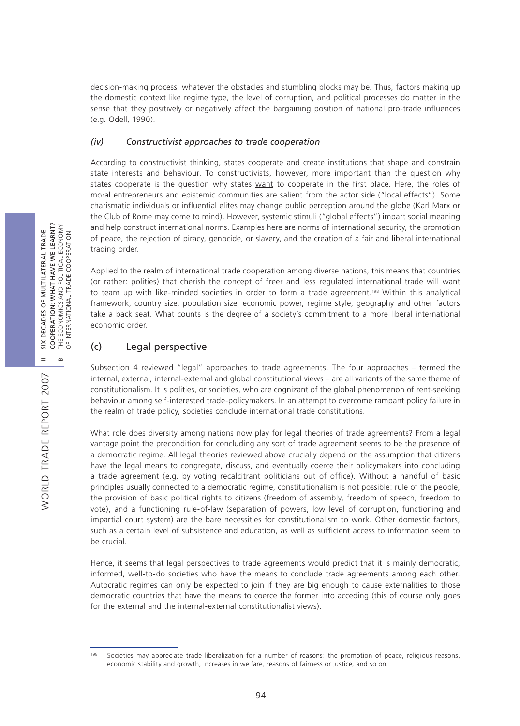decision-making process, whatever the obstacles and stumbling blocks may be. Thus, factors making up the domestic context like regime type, the level of corruption, and political processes do matter in the sense that they positively or negatively affect the bargaining position of national pro-trade influences (e.g. Odell, 1990).

## *(iv) Constructivist approaches to trade cooperation*

According to constructivist thinking, states cooperate and create institutions that shape and constrain state interests and behaviour. To constructivists, however, more important than the question why states cooperate is the question why states want to cooperate in the first place. Here, the roles of moral entrepreneurs and epistemic communities are salient from the actor side ("local effects"). Some charismatic individuals or influential elites may change public perception around the globe (Karl Marx or the Club of Rome may come to mind). However, systemic stimuli ("global effects") impart social meaning and help construct international norms. Examples here are norms of international security, the promotion of peace, the rejection of piracy, genocide, or slavery, and the creation of a fair and liberal international trading order.

Applied to the realm of international trade cooperation among diverse nations, this means that countries (or rather: polities) that cherish the concept of freer and less regulated international trade will want to team up with like-minded societies in order to form a trade agreement.<sup>198</sup> Within this analytical framework, country size, population size, economic power, regime style, geography and other factors take a back seat. What counts is the degree of a society's commitment to a more liberal international economic order.

## (c) Legal perspective

Subsection 4 reviewed "legal" approaches to trade agreements. The four approaches – termed the internal, external, internal-external and global constitutional views – are all variants of the same theme of constitutionalism. It is polities, or societies, who are cognizant of the global phenomenon of rent-seeking behaviour among self-interested trade-policymakers. In an attempt to overcome rampant policy failure in the realm of trade policy, societies conclude international trade constitutions.

What role does diversity among nations now play for legal theories of trade agreements? From a legal vantage point the precondition for concluding any sort of trade agreement seems to be the presence of a democratic regime. All legal theories reviewed above crucially depend on the assumption that citizens have the legal means to congregate, discuss, and eventually coerce their policymakers into concluding a trade agreement (e.g. by voting recalcitrant politicians out of office). Without a handful of basic principles usually connected to a democratic regime, constitutionalism is not possible: rule of the people, the provision of basic political rights to citizens (freedom of assembly, freedom of speech, freedom to vote), and a functioning rule-of-law (separation of powers, low level of corruption, functioning and impartial court system) are the bare necessities for constitutionalism to work. Other domestic factors, such as a certain level of subsistence and education, as well as sufficient access to information seem to be crucial.

Hence, it seems that legal perspectives to trade agreements would predict that it is mainly democratic, informed, well-to-do societies who have the means to conclude trade agreements among each other. Autocratic regimes can only be expected to join if they are big enough to cause externalities to those democratic countries that have the means to coerce the former into acceding (this of course only goes for the external and the internal-external constitutionalist views).

<sup>&</sup>lt;sup>198</sup> Societies may appreciate trade liberalization for a number of reasons: the promotion of peace, religious reasons, economic stability and growth, increases in welfare, reasons of fairness or justice, and so on.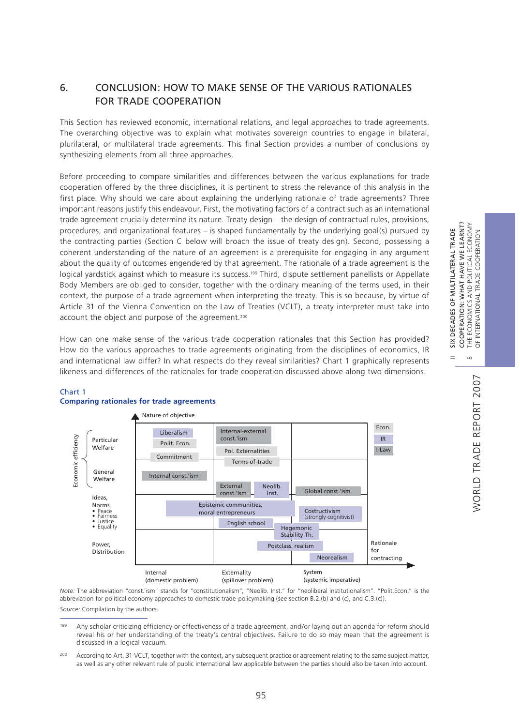# **NORLD TRADE REPORT 2007** WORLD TRADE REPORT 2007

II SIX DECADES OF MULTILATERAL TRADE COOPERATION: WHAT HAVE WE LEARNT? B THE ECONOMICS AND POLITICAL ECONOMY OF INTERNATIONAL TRADE COOPERATION

 $=$ 

SIX DECADES OF MULTILATERAL TRADE

COOPERATION: WHAT HAVE WE LEARNT?

POLITICAL ECONOMY

THE ECONOMICS AND POLITICAL ECONOM<br>OF INTERNATIONAL TRADE COOPERATION

 $\infty$ 

# 6. CONCLUSION: HOW TO MAKE SENSE OF THE VARIOUS RATIONALES FOR TRADE COOPERATION

This Section has reviewed economic, international relations, and legal approaches to trade agreements. The overarching objective was to explain what motivates sovereign countries to engage in bilateral, plurilateral, or multilateral trade agreements. This final Section provides a number of conclusions by synthesizing elements from all three approaches.

Before proceeding to compare similarities and differences between the various explanations for trade cooperation offered by the three disciplines, it is pertinent to stress the relevance of this analysis in the first place. Why should we care about explaining the underlying rationale of trade agreements? Three important reasons justify this endeavour. First, the motivating factors of a contract such as an international trade agreement crucially determine its nature. Treaty design – the design of contractual rules, provisions, procedures, and organizational features – is shaped fundamentally by the underlying goal(s) pursued by the contracting parties (Section C below will broach the issue of treaty design). Second, possessing a coherent understanding of the nature of an agreement is a prerequisite for engaging in any argument about the quality of outcomes engendered by that agreement. The rationale of a trade agreement is the logical yardstick against which to measure its success.<sup>199</sup> Third, dispute settlement panellists or Appellate Body Members are obliged to consider, together with the ordinary meaning of the terms used, in their context, the purpose of a trade agreement when interpreting the treaty. This is so because, by virtue of Article 31 of the Vienna Convention on the Law of Treaties (VCLT), a treaty interpreter must take into account the object and purpose of the agreement.<sup>200</sup>

How can one make sense of the various trade cooperation rationales that this Section has provided? How do the various approaches to trade agreements originating from the disciplines of economics, IR and international law differ? In what respects do they reveal similarities? Chart 1 graphically represents likeness and differences of the rationales for trade cooperation discussed above along two dimensions.



#### Chart 1 **Comparing rationales for trade agreements**

*Note:* The abbreviation "const.'ism" stands for "constitutionalism", "Neolib. Inst." for "neoliberal institutionalism". "Polit.Econ." is the abbreviation for political economy approaches to domestic trade-policymaking (see section B.2.(b) and (c), and C.3.(c)). *Source:* Compilation by the authors.

<sup>199</sup> Any scholar criticizing efficiency or effectiveness of a trade agreement, and/or laying out an agenda for reform should reveal his or her understanding of the treaty's central objectives. Failure to do so may mean that the agreement is discussed in a logical vacuum.

<sup>&</sup>lt;sup>200</sup> According to Art. 31 VCLT, together with the context, any subsequent practice or agreement relating to the same subject matter, as well as any other relevant rule of public international law applicable between the parties should also be taken into account.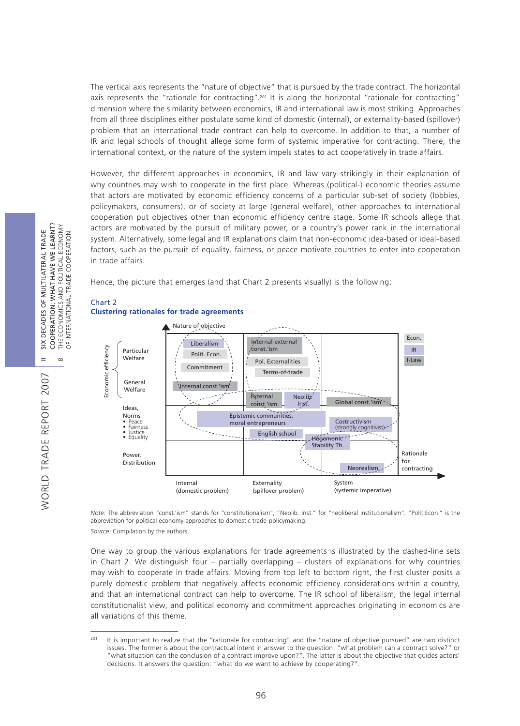The vertical axis represents the "nature of objective" that is pursued by the trade contract. The horizontal axis represents the "rationale for contracting".201 It is along the horizontal "rationale for contracting" dimension where the similarity between economics, IR and international law is most striking. Approaches from all three disciplines either postulate some kind of domestic (internal), or externality-based (spillover) problem that an international trade contract can help to overcome. In addition to that, a number of IR and legal schools of thought allege some form of systemic imperative for contracting. There, the international context, or the nature of the system impels states to act cooperatively in trade affairs.

However, the different approaches in economics, IR and law vary strikingly in their explanation of why countries may wish to cooperate in the first place. Whereas (political-) economic theories assume that actors are motivated by economic efficiency concerns of a particular sub-set of society (lobbies, policymakers, consumers), or of society at large (general welfare), other approaches to international cooperation put objectives other than economic efficiency centre stage. Some IR schools allege that actors are motivated by the pursuit of military power, or a country's power rank in the international system. Alternatively, some legal and IR explanations claim that non-economic idea-based or ideal-based factors, such as the pursuit of equality, fairness, or peace motivate countries to enter into cooperation in trade affairs.

Hence, the picture that emerges (and that Chart 2 presents visually) is the following:



# Chart 2

*Note:* The abbreviation "const.'ism" stands for "constitutionalism", "Neolib. Inst." for "neoliberal institutionalism". "Polit.Econ." is the abbreviation for political economy approaches to domestic trade-policymaking. *Source:* Compilation by the authors.

One way to group the various explanations for trade agreements is illustrated by the dashed-line sets in Chart 2. We distinguish four – partially overlapping – clusters of explanations for why countries may wish to cooperate in trade affairs. Moving from top left to bottom right, the first cluster posits a purely domestic problem that negatively affects economic efficiency considerations within a country, and that an international contract can help to overcome. The IR school of liberalism, the legal internal constitutionalist view, and political economy and commitment approaches originating in economics are all variations of this theme.

<sup>&</sup>lt;sup>201</sup> It is important to realize that the "rationale for contracting" and the "nature of objective pursued" are two distinct issues. The former is about the contractual intent in answer to the question: "what problem can a contract solve?" or "what situation can the conclusion of a contract improve upon?". The latter is about the objective that guides actors' decisions. It answers the question: "what do we want to achieve by cooperating?".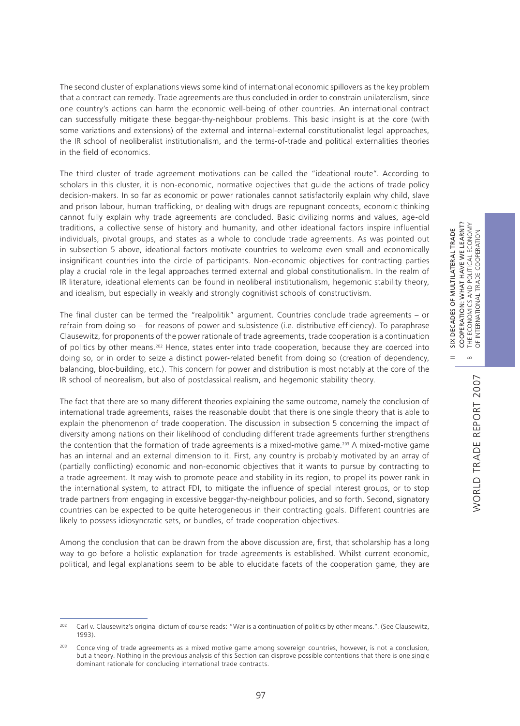The second cluster of explanations views some kind of international economic spillovers as the key problem that a contract can remedy. Trade agreements are thus concluded in order to constrain unilateralism, since one country's actions can harm the economic well-being of other countries. An international contract can successfully mitigate these beggar-thy-neighbour problems. This basic insight is at the core (with some variations and extensions) of the external and internal-external constitutionalist legal approaches, the IR school of neoliberalist institutionalism, and the terms-of-trade and political externalities theories in the field of economics.

The third cluster of trade agreement motivations can be called the "ideational route". According to scholars in this cluster, it is non-economic, normative objectives that guide the actions of trade policy decision-makers. In so far as economic or power rationales cannot satisfactorily explain why child, slave and prison labour, human trafficking, or dealing with drugs are repugnant concepts, economic thinking cannot fully explain why trade agreements are concluded. Basic civilizing norms and values, age-old traditions, a collective sense of history and humanity, and other ideational factors inspire influential individuals, pivotal groups, and states as a whole to conclude trade agreements. As was pointed out in subsection 5 above, ideational factors motivate countries to welcome even small and economically insignificant countries into the circle of participants. Non-economic objectives for contracting parties play a crucial role in the legal approaches termed external and global constitutionalism. In the realm of IR literature, ideational elements can be found in neoliberal institutionalism, hegemonic stability theory, and idealism, but especially in weakly and strongly cognitivist schools of constructivism.

The final cluster can be termed the "realpolitik" argument. Countries conclude trade agreements – or refrain from doing so – for reasons of power and subsistence (i.e. distributive efficiency). To paraphrase Clausewitz, for proponents of the power rationale of trade agreements, trade cooperation is a continuation of politics by other means.202 Hence, states enter into trade cooperation, because they are coerced into doing so, or in order to seize a distinct power-related benefit from doing so (creation of dependency, balancing, bloc-building, etc.). This concern for power and distribution is most notably at the core of the IR school of neorealism, but also of postclassical realism, and hegemonic stability theory.

The fact that there are so many different theories explaining the same outcome, namely the conclusion of international trade agreements, raises the reasonable doubt that there is one single theory that is able to explain the phenomenon of trade cooperation. The discussion in subsection 5 concerning the impact of diversity among nations on their likelihood of concluding different trade agreements further strengthens the contention that the formation of trade agreements is a mixed-motive game.203 A mixed-motive game has an internal and an external dimension to it. First, any country is probably motivated by an array of (partially conflicting) economic and non-economic objectives that it wants to pursue by contracting to a trade agreement. It may wish to promote peace and stability in its region, to propel its power rank in the international system, to attract FDI, to mitigate the influence of special interest groups, or to stop trade partners from engaging in excessive beggar-thy-neighbour policies, and so forth. Second, signatory countries can be expected to be quite heterogeneous in their contracting goals. Different countries are likely to possess idiosyncratic sets, or bundles, of trade cooperation objectives.

Among the conclusion that can be drawn from the above discussion are, first, that scholarship has a long way to go before a holistic explanation for trade agreements is established. Whilst current economic, political, and legal explanations seem to be able to elucidate facets of the cooperation game, they are

<sup>&</sup>lt;sup>202</sup> Carl v. Clausewitz's original dictum of course reads: "War is a continuation of politics by other means.". (See Clausewitz, 1993).

<sup>&</sup>lt;sup>203</sup> Conceiving of trade agreements as a mixed motive game among sovereign countries, however, is not a conclusion, but a theory. Nothing in the previous analysis of this Section can disprove possible contentions that there is one single dominant rationale for concluding international trade contracts.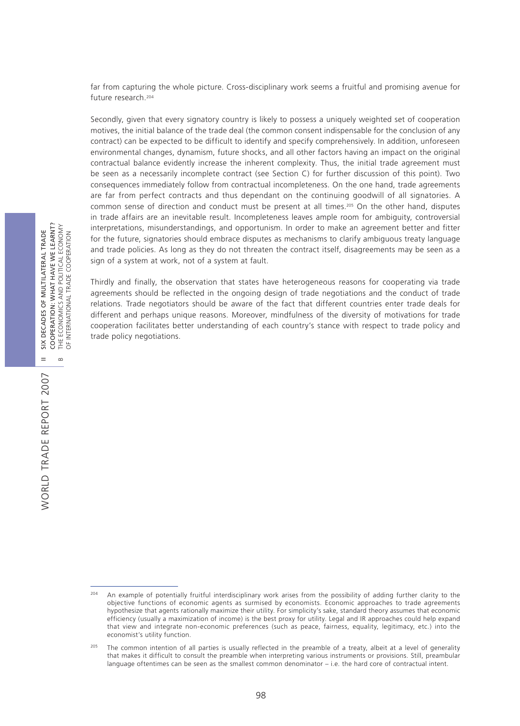far from capturing the whole picture. Cross-disciplinary work seems a fruitful and promising avenue for future research.204

Secondly, given that every signatory country is likely to possess a uniquely weighted set of cooperation motives, the initial balance of the trade deal (the common consent indispensable for the conclusion of any contract) can be expected to be difficult to identify and specify comprehensively. In addition, unforeseen environmental changes, dynamism, future shocks, and all other factors having an impact on the original contractual balance evidently increase the inherent complexity. Thus, the initial trade agreement must be seen as a necessarily incomplete contract (see Section C) for further discussion of this point). Two consequences immediately follow from contractual incompleteness. On the one hand, trade agreements are far from perfect contracts and thus dependant on the continuing goodwill of all signatories. A common sense of direction and conduct must be present at all times.205 On the other hand, disputes in trade affairs are an inevitable result. Incompleteness leaves ample room for ambiguity, controversial interpretations, misunderstandings, and opportunism. In order to make an agreement better and fitter for the future, signatories should embrace disputes as mechanisms to clarify ambiguous treaty language and trade policies. As long as they do not threaten the contract itself, disagreements may be seen as a sign of a system at work, not of a system at fault.

Thirdly and finally, the observation that states have heterogeneous reasons for cooperating via trade agreements should be reflected in the ongoing design of trade negotiations and the conduct of trade relations. Trade negotiators should be aware of the fact that different countries enter trade deals for different and perhaps unique reasons. Moreover, mindfulness of the diversity of motivations for trade cooperation facilitates better understanding of each country's stance with respect to trade policy and trade policy negotiations.

<sup>&</sup>lt;sup>204</sup> An example of potentially fruitful interdisciplinary work arises from the possibility of adding further clarity to the objective functions of economic agents as surmised by economists. Economic approaches to trade agreements hypothesize that agents rationally maximize their utility. For simplicity's sake, standard theory assumes that economic efficiency (usually a maximization of income) is the best proxy for utility. Legal and IR approaches could help expand that view and integrate non-economic preferences (such as peace, fairness, equality, legitimacy, etc.) into the economist's utility function.

The common intention of all parties is usually reflected in the preamble of a treaty, albeit at a level of generality that makes it difficult to consult the preamble when interpreting various instruments or provisions. Still, preambular language oftentimes can be seen as the smallest common denominator – i.e. the hard core of contractual intent.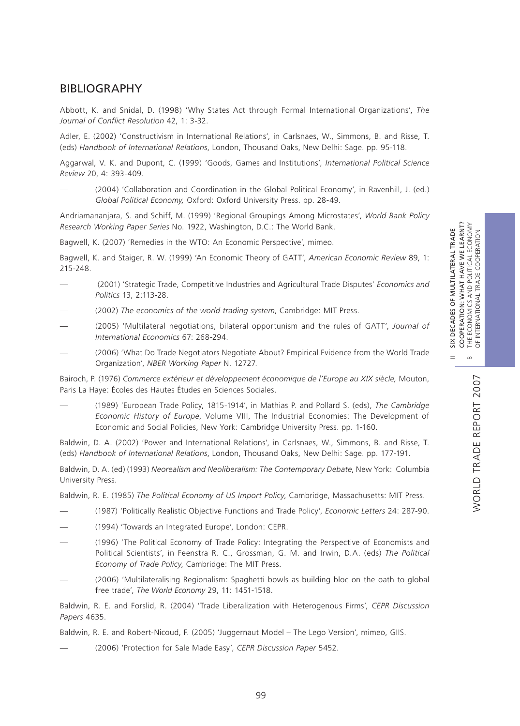II SIX DECADES OF MULTILATERAL TRADE

 $=$ 

SIX DECADES OF MULTILATERAL TRADE

# BIBLIOGRAPHY

Abbott, K. and Snidal, D. (1998) 'Why States Act through Formal International Organizations', *The Journal of Conflict Resolution* 42, 1: 3-32.

Adler, E. (2002) 'Constructivism in International Relations', in Carlsnaes, W., Simmons, B. and Risse, T. (eds) *Handbook of International Relations*, London, Thousand Oaks, New Delhi: Sage. pp. 95-118.

Aggarwal, V. K. and Dupont, C. (1999) 'Goods, Games and Institutions', *International Political Science Review* 20, 4: 393-409.

— (2004) 'Collaboration and Coordination in the Global Political Economy', in Ravenhill, J. (ed.) *Global Political Economy,* Oxford: Oxford University Press. pp. 28-49.

Andriamananjara, S. and Schiff, M. (1999) 'Regional Groupings Among Microstates', *World Bank Policy Research Working Paper Series* No. 1922, Washington, D.C.: The World Bank.

Bagwell, K. (2007) 'Remedies in the WTO: An Economic Perspective', mimeo.

Bagwell, K. and Staiger, R. W. (1999) 'An Economic Theory of GATT', *American Economic Review* 89, 1: 215-248.

- (2001) 'Strategic Trade, Competitive Industries and Agricultural Trade Disputes' *Economics and Politics* 13, 2:113-28.
- (2002) *The economics of the world trading system*, Cambridge: MIT Press.
- (2005) 'Multilateral negotiations, bilateral opportunism and the rules of GATT', *Journal of International Economics* 67: 268-294.
- (2006) 'What Do Trade Negotiators Negotiate About? Empirical Evidence from the World Trade Organization', *NBER Working Paper* N. 12727.

Bairoch, P. (1976) *Commerce extérieur et développement économique de l'Europe au XIX siècle,* Mouton, Paris La Haye: Écoles des Hautes Études en Sciences Sociales.

— (1989) 'European Trade Policy, 1815-1914', in Mathias P. and Pollard S. (eds), *The Cambridge Economic History of Europe*, Volume VIII, The Industrial Economies: The Development of Economic and Social Policies, New York: Cambridge University Press. pp. 1-160.

Baldwin, D. A. (2002) 'Power and International Relations', in Carlsnaes, W., Simmons, B. and Risse, T. (eds) *Handbook of International Relations*, London, Thousand Oaks, New Delhi: Sage. pp. 177-191.

Baldwin, D. A. (ed) (1993) *Neorealism and Neoliberalism: The Contemporary Debate*, New York: Columbia University Press.

Baldwin, R. E. (1985) *The Political Economy of US Import Policy*, Cambridge, Massachusetts: MIT Press.

- (1987) 'Politically Realistic Objective Functions and Trade Policy', *Economic Letters* 24: 287-90.
- (1994) 'Towards an Integrated Europe', London: CEPR.
- (1996) 'The Political Economy of Trade Policy: Integrating the Perspective of Economists and Political Scientists', in Feenstra R. C., Grossman, G. M. and Irwin, D.A. (eds) *The Political Economy of Trade Policy*, Cambridge: The MIT Press.
- (2006) 'Multilateralising Regionalism: Spaghetti bowls as building bloc on the oath to global free trade', *The World Economy* 29, 11: 1451-1518.

Baldwin, R. E. and Forslid, R. (2004) 'Trade Liberalization with Heterogenous Firms', *CEPR Discussion Papers* 4635.

Baldwin, R. E. and Robert-Nicoud, F. (2005) 'Juggernaut Model – The Lego Version', mimeo, GIIS.

— (2006) 'Protection for Sale Made Easy', *CEPR Discussion Paper* 5452.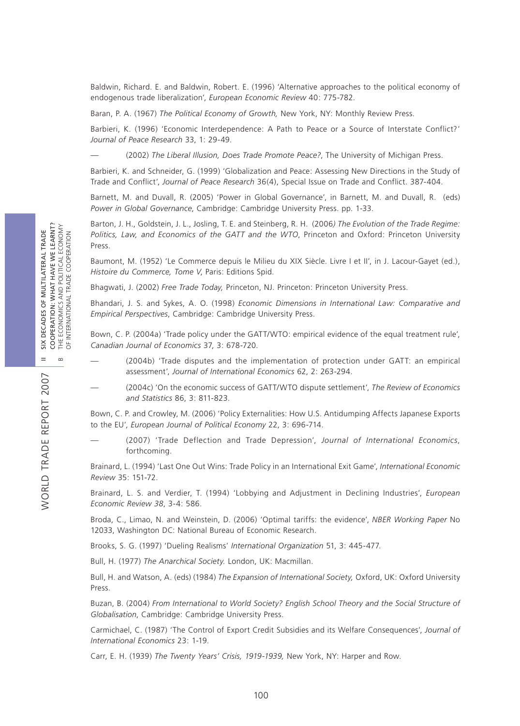Baldwin, Richard. E. and Baldwin, Robert. E. (1996) 'Alternative approaches to the political economy of endogenous trade liberalization', *European Economic Review* 40: 775-782.

Baran, P. A. (1967) *The Political Economy of Growth,* New York, NY: Monthly Review Press.

Barbieri, K. (1996) 'Economic Interdependence: A Path to Peace or a Source of Interstate Conflict?' *Journal of Peace Research* 33, 1: 29-49.

— (2002) *The Liberal Illusion, Does Trade Promote Peace?*, The University of Michigan Press.

Barbieri, K. and Schneider, G. (1999) 'Globalization and Peace: Assessing New Directions in the Study of Trade and Conflict', *Journal of Peace Research* 36(4), Special Issue on Trade and Conflict. 387-404.

Barnett, M. and Duvall, R. (2005) 'Power in Global Governance', in Barnett, M. and Duvall, R. (eds) *Power in Global Governance*, Cambridge: Cambridge University Press. pp. 1-33.

Barton, J. H., Goldstein, J. L., Josling, T. E. and Steinberg, R. H. (2006*) The Evolution of the Trade Regime: Politics, Law, and Economics of the GATT and the WTO*, Princeton and Oxford: Princeton University Press.

Baumont, M. (1952) 'Le Commerce depuis le Milieu du XIX Siècle. Livre I et II', in J. Lacour-Gayet (ed.), *Histoire du Commerce, Tome V*, Paris: Editions Spid.

Bhagwati, J. (2002) *Free Trade Today,* Princeton, NJ. Princeton: Princeton University Press.

Bhandari, J. S. and Sykes, A. O. (1998) *Economic Dimensions in International Law: Comparative and Empirical Perspectives*, Cambridge: Cambridge University Press.

Bown, C. P. (2004a) 'Trade policy under the GATT/WTO: empirical evidence of the equal treatment rule', *Canadian Journal of Economics* 37, 3: 678-720.

- (2004b) 'Trade disputes and the implementation of protection under GATT: an empirical assessment', *Journal of International Economics* 62, 2: 263-294.
- (2004c) 'On the economic success of GATT/WTO dispute settlement', *The Review of Economics and Statistics* 86, 3: 811-823.

Bown, C. P. and Crowley, M. (2006) 'Policy Externalities: How U.S. Antidumping Affects Japanese Exports to the EU', *European Journal of Political Economy* 22, 3: 696-714.

— (2007) 'Trade Deflection and Trade Depression', *Journal of International Economics*, forthcoming.

Brainard, L. (1994) 'Last One Out Wins: Trade Policy in an International Exit Game', *International Economic Review* 35: 151-72.

Brainard, L. S. and Verdier, T. (1994) 'Lobbying and Adjustment in Declining Industries', *European Economic Review 38*, 3-4: 586.

Broda, C., Limao, N. and Weinstein, D. (2006) 'Optimal tariffs: the evidence', *NBER Working Paper* No 12033, Washington DC: National Bureau of Economic Research.

Brooks, S. G. (1997) 'Dueling Realisms' *International Organization* 51, 3: 445-477.

Bull, H. (1977) *The Anarchical Society.* London, UK: Macmillan.

Bull, H. and Watson, A. (eds) (1984) *The Expansion of International Society,* Oxford, UK: Oxford University Press.

Buzan, B. (2004) *From International to World Society? English School Theory and the Social Structure of Globalisation*, Cambridge: Cambridge University Press.

Carmichael, C. (1987) 'The Control of Export Credit Subsidies and its Welfare Consequences', *Journal of International Economics* 23: 1-19.

Carr, E. H. (1939) *The Twenty Years' Crisis, 1919-1939,* New York, NY: Harper and Row.

WORLD TRADE REPORT 2007

**NORLD TRADE REPORT 2007**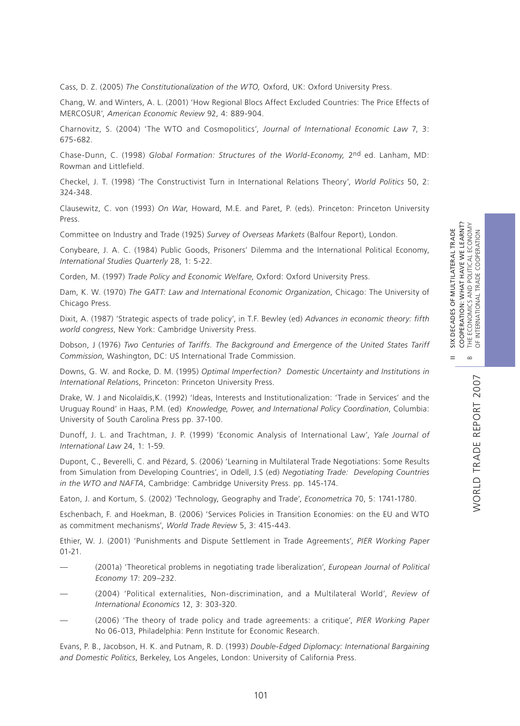II SIX DECADES OF MULTILATERAL TRADE

Cass, D. Z. (2005) *The Constitutionalization of the WTO,* Oxford, UK: Oxford University Press.

Chang, W. and Winters, A. L. (2001) 'How Regional Blocs Affect Excluded Countries: The Price Effects of MERCOSUR', *American Economic Review* 92, 4: 889-904.

Charnovitz, S. (2004) 'The WTO and Cosmopolitics', *Journal of International Economic Law* 7, 3: 675-682.

Chase-Dunn, C. (1998) *Global Formation: Structures of the World-Economy,* 2nd ed. Lanham, MD: Rowman and Littlefield.

Checkel, J. T. (1998) 'The Constructivist Turn in International Relations Theory', *World Politics* 50, 2: 324-348.

Clausewitz, C. von (1993) *On War*, Howard, M.E. and Paret, P. (eds). Princeton: Princeton University Press.

Committee on Industry and Trade (1925) *Survey of Overseas Markets* (Balfour Report), London.

Conybeare, J. A. C. (1984) Public Goods, Prisoners' Dilemma and the International Political Economy, *International Studies Quarterly* 28, 1: 5-22.

Corden, M. (1997) *Trade Policy and Economic Welfare*, Oxford: Oxford University Press.

Dam, K. W. (1970) *The GATT: Law and International Economic Organization*, Chicago: The University of Chicago Press.

Dixit, A. (1987) 'Strategic aspects of trade policy', in T.F. Bewley (ed) *Advances in economic theory: fifth world congress*, New York: Cambridge University Press.

Dobson, J (1976) *Two Centuries of Tariffs. The Background and Emergence of the United States Tariff Commission*, Washington, DC: US International Trade Commission.

Downs, G. W. and Rocke, D. M. (1995) *Optimal Imperfection? Domestic Uncertainty and Institutions in International Relation*s, Princeton: Princeton University Press.

Drake, W. J and Nicolaïdis,K. (1992) 'Ideas, Interests and Institutionalization: 'Trade in Services' and the Uruguay Round' in Haas, P.M. (ed) *Knowledge, Power, and International Policy Coordination*, Columbia: University of South Carolina Press pp. 37-100.

Dunoff, J. L. and Trachtman, J. P. (1999) 'Economic Analysis of International Law', *Yale Journal of International Law* 24, 1: 1-59.

Dupont, C., Beverelli, C. and Pézard, S. (2006) 'Learning in Multilateral Trade Negotiations: Some Results from Simulation from Developing Countries', in Odell, J.S (ed) *Negotiating Trade: Developing Countries in the WTO and NAFTA*, Cambridge: Cambridge University Press. pp. 145-174.

Eaton, J. and Kortum, S. (2002) 'Technology, Geography and Trade', *Econometrica* 70, 5: 1741-1780.

Eschenbach, F. and Hoekman, B. (2006) 'Services Policies in Transition Economies: on the EU and WTO as commitment mechanisms', *World Trade Review* 5, 3: 415-443.

Ethier, W. J. (2001) 'Punishments and Dispute Settlement in Trade Agreements', *PIER Working Paper* 01-21.

- (2001a) 'Theoretical problems in negotiating trade liberalization', *European Journal of Political Economy* 17: 209–232.
- (2004) 'Political externalities, Non-discrimination, and a Multilateral World', *Review of International Economics* 12, 3: 303-320.
- (2006) 'The theory of trade policy and trade agreements: a critique', *PIER Working Paper*  No 06-013, Philadelphia: Penn Institute for Economic Research.

Evans, P. B., Jacobson, H. K. and Putnam, R. D. (1993) *Double-Edged Diplomacy: International Bargaining and Domestic Politics*, Berkeley, Los Angeles, London: University of California Press.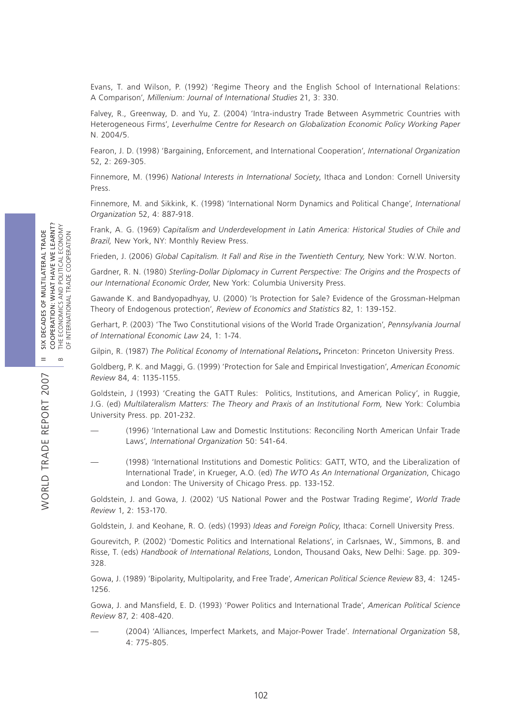Evans, T. and Wilson, P. (1992) 'Regime Theory and the English School of International Relations: A Comparison', *Millenium: Journal of International Studies* 21, 3: 330.

Falvey, R., Greenway, D. and Yu, Z. (2004) 'Intra-industry Trade Between Asymmetric Countries with Heterogeneous Firms', *Leverhulme Centre for Research on Globalization Economic Policy Working Paper* N. 2004/5.

Fearon, J. D. (1998) 'Bargaining, Enforcement, and International Cooperation', *International Organization* 52, 2: 269-305.

Finnemore, M. (1996) *National Interests in International Society*, Ithaca and London: Cornell University Press.

Finnemore, M. and Sikkink, K. (1998) 'International Norm Dynamics and Political Change', *International Organization* 52, 4: 887-918.

Frank, A. G. (1969) *Capitalism and Underdevelopment in Latin America: Historical Studies of Chile and Brazil,* New York, NY: Monthly Review Press.

Frieden, J. (2006) *Global Capitalism. It Fall and Rise in the Twentieth Century,* New York: W.W. Norton.

Gardner, R. N. (1980) *Sterling-Dollar Diplomacy in Current Perspective: The Origins and the Prospects of our International Economic Order*, New York: Columbia University Press.

Gawande K. and Bandyopadhyay, U. (2000) 'Is Protection for Sale? Evidence of the Grossman-Helpman Theory of Endogenous protection', *Review of Economics and Statistics* 82, 1: 139-152.

Gerhart, P. (2003) 'The Two Constitutional visions of the World Trade Organization', *Pennsylvania Journal of International Economic Law* 24, 1: 1-74.

Gilpin, R. (1987) *The Political Economy of International Relations***,** Princeton: Princeton University Press.

Goldberg, P. K. and Maggi, G. (1999) 'Protection for Sale and Empirical Investigation', *American Economic Review* 84, 4: 1135-1155.

Goldstein, J (1993) 'Creating the GATT Rules: Politics, Institutions, and American Policy', in Ruggie, J.G. (ed) *Multilateralism Matters: The Theory and Praxis of an Institutional Form, New York: Columbia* University Press. pp. 201-232.

- (1996) 'International Law and Domestic Institutions: Reconciling North American Unfair Trade Laws', *International Organization* 50: 541-64.
- (1998) 'International Institutions and Domestic Politics: GATT, WTO, and the Liberalization of International Trade', in Krueger, A.O. (ed) *The WTO As An International Organization*, Chicago and London: The University of Chicago Press. pp. 133-152.

Goldstein, J. and Gowa, J. (2002) 'US National Power and the Postwar Trading Regime', *World Trade Review* 1, 2: 153-170.

Goldstein, J. and Keohane, R. O. (eds) (1993) *Ideas and Foreign Policy*, Ithaca: Cornell University Press.

Gourevitch, P. (2002) 'Domestic Politics and International Relations', in Carlsnaes, W., Simmons, B. and Risse, T. (eds) *Handbook of International Relations*, London, Thousand Oaks, New Delhi: Sage. pp. 309- 328.

Gowa, J. (1989) 'Bipolarity, Multipolarity, and Free Trade', *American Political Science Review* 83, 4: 1245- 1256.

Gowa, J. and Mansfield, E. D. (1993) 'Power Politics and International Trade', *American Political Science Review* 87, 2: 408-420.

— (2004) 'Alliances, Imperfect Markets, and Major-Power Trade'. *International Organization* 58, 4: 775-805.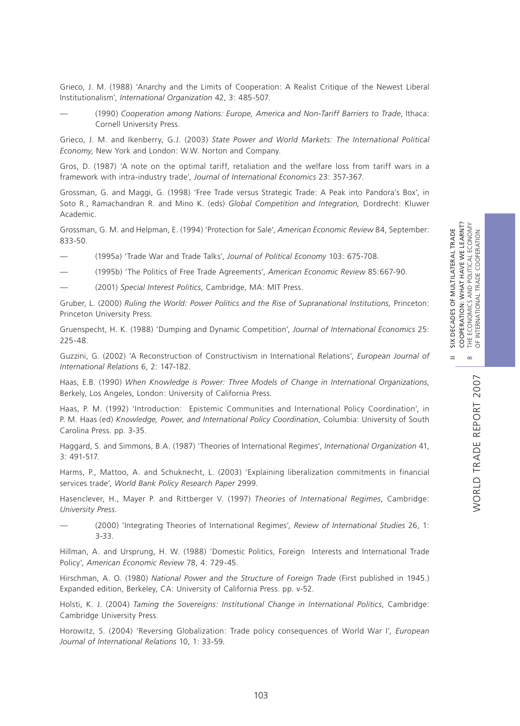WORLD TRADE REPORT 2007

WORLD TRADE REPORT 2007

II SIX DECADES OF MULTILATERAL TRADE

Grieco, J. M. (1988) 'Anarchy and the Limits of Cooperation: A Realist Critique of the Newest Liberal Institutionalism', *International Organization* 42, 3: 485-507.

— (1990) *Cooperation among Nations: Europe, America and Non-Tariff Barriers to Trade*, Ithaca: Cornell University Press.

Grieco, J. M. and Ikenberry, G.J. (2003) *State Power and World Markets: The International Political Economy*, New York and London: W.W. Norton and Company.

Gros, D. (1987) 'A note on the optimal tariff, retaliation and the welfare loss from tariff wars in a framework with intra-industry trade', *Journal of International Economics* 23: 357-367.

Grossman, G. and Maggi, G. (1998) 'Free Trade versus Strategic Trade: A Peak into Pandora's Box', in Soto R., Ramachandran R. and Mino K. (eds) *Global Competition and Integration,* Dordrecht: Kluwer Academic.

Grossman, G. M. and Helpman, E. (1994) 'Protection for Sale', *American Economic Review* 84, September: 833-50.

— (1995a) 'Trade War and Trade Talks', *Journal of Political Economy* 103: 675-708.

— (1995b) 'The Politics of Free Trade Agreements', *American Economic Review* 85:667-90.

— (2001) *Special Interest Politics*, Cambridge, MA: MIT Press.

Gruber, L. (2000) *Ruling the World: Power Politics and the Rise of Supranational Institutions,* Princeton: Princeton University Press*.*

Gruenspecht, H. K. (1988) 'Dumping and Dynamic Competition', *Journal of International Economics* 25: 225-48.

Guzzini, G. (2002) 'A Reconstruction of Constructivism in International Relations', *European Journal of International Relations* 6, 2: 147-182.

Haas, E.B. (1990) *When Knowledge is Power: Three Models of Change in International Organizations*, Berkely, Los Angeles, London: University of California Press.

Haas, P. M. (1992) 'Introduction: Epistemic Communities and International Policy Coordination', in P. M. Haas (ed) *Knowledge, Power, and International Policy Coordination*, Columbia: University of South Carolina Press. pp. 3-35.

Haggard, S. and Simmons, B.A. (1987) 'Theories of International Regimes', *International Organization* 41,  $3:491 - 517$ 

Harms, P., Mattoo, A. and Schuknecht, L. (2003) 'Explaining liberalization commitments in financial services trade', *World Bank Policy Research Paper* 2999.

Hasenclever, H., Mayer P. and Rittberger V. (1997) *Theories of International Regimes*, Cambridge: *University Press*.

— (2000) 'Integrating Theories of International Regimes', *Review of International Studies* 26, 1: 3-33.

Hillman, A. and Ursprung, H. W. (1988) 'Domestic Politics, Foreign Interests and International Trade Policy', *American Economic Review* 78, 4: 729-45.

Hirschman, A. O. (1980) *National Power and the Structure of Foreign Trade* (First published in 1945.) Expanded edition, Berkeley, CA: University of California Press. pp. v-52.

Holsti, K. J. (2004) *Taming the Sovereigns: Institutional Change in International Politics*, Cambridge: Cambridge University Press.

Horowitz, S. (2004) 'Reversing Globalization: Trade policy consequences of World War I', *European Journal of International Relations* 10, 1: 33-59.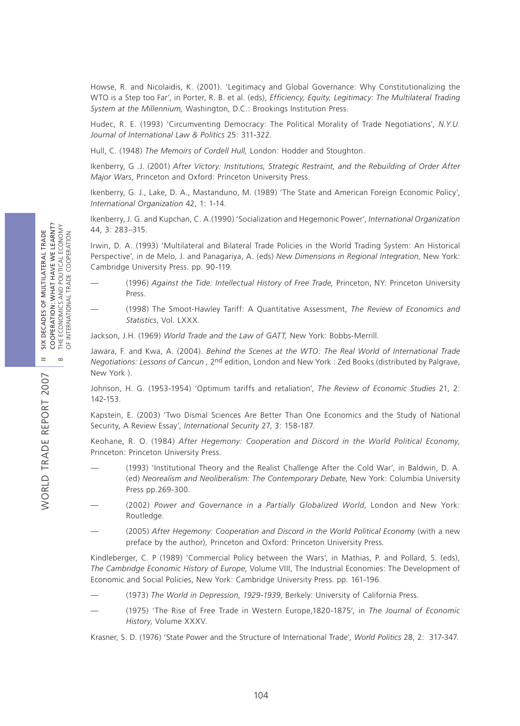Howse, R. and Nicolaidis, K. (2001). 'Legitimacy and Global Governance: Why Constitutionalizing the WTO is a Step too Far', in Porter, R. B. et al. (eds), *Efficiency, Equity, Legitimacy: The Multilateral Trading System at the Millennium,* Washington, D.C.: Brookings Institution Press.

Hudec, R. E. (1993) 'Circumventing Democracy: The Political Morality of Trade Negotiations', *N.Y.U. Journal of International Law & Politics* 25: 311-322.

Hull, C. (1948) *The Memoirs of Cordell Hull,* London: Hodder and Stoughton.

Ikenberry, G .J. (2001) *After Victory: Institutions, Strategic Restraint, and the Rebuilding of Order After Major Wars*, Princeton and Oxford: Princeton University Press.

Ikenberry, G. J., Lake, D. A., Mastanduno, M. (1989) 'The State and American Foreign Economic Policy', *International Organization* 42, 1: 1-14.

Ikenberry, J. G. and Kupchan, C. A.(1990) 'Socialization and Hegemonic Power', *International Organization* 44, 3: 283–315.

Irwin, D. A. (1993) 'Multilateral and Bilateral Trade Policies in the World Trading System: An Historical Perspective', in de Melo, J. and Panagariya, A. (eds) *New Dimensions in Regional Integration*, New York: Cambridge University Press. pp. 90-119.

- (1996) *Against the Tide: Intellectual History of Free Trade,* Princeton, NY: Princeton University Press.
- (1998) The Smoot-Hawley Tariff: A Quantitative Assessment, *The Review of Economics and Statistics*, Vol. LXXX.

Jackson, J.H. (1969) *World Trade and the Law of GATT,* New York: Bobbs-Merrill.

Jawara, F. and Kwa, A. (2004). *Behind the Scenes at the WTO: The Real World of International Trade Negotiations: Lessons of Cancun ,* 2nd edition, London and New York : Zed Books (distributed by Palgrave, New York ).

Johnson, H. G. (1953-1954) 'Optimum tariffs and retaliation', *The Review of Economic Studies* 21, 2: 142-153.

Kapstein, E. (2003) 'Two Dismal Sciences Are Better Than One Economics and the Study of National Security, A Review Essay', *International Security* 27, 3: 158-187.

Keohane, R. O. (1984) *After Hegemony: Cooperation and Discord in the World Political Economy*, Princeton: Princeton University Press.

- (1993) 'Institutional Theory and the Realist Challenge After the Cold War', in Baldwin, D. A. (ed) *Neorealism and Neoliberalism: The Contemporary Debate*, New York: Columbia University Press pp.269-300.
- (2002) *Power and Governance in a Partially Globalized World*, London and New York: Routledge.
- (2005) *After Hegemony: Cooperation and Discord in the World Political Economy* (with a new preface by the author)*,* Princeton and Oxford: Princeton University Press*.*

Kindleberger, C. P (1989) 'Commercial Policy between the Wars', in Mathias, P. and Pollard, S. (eds), *The Cambridge Economic History of Europe*, Volume VIII, The Industrial Economies: The Development of Economic and Social Policies, New York: Cambridge University Press. pp. 161-196.

- (1973) *The World in Depression*, *1929-1939*, Berkely: University of California Press.
- (1975) 'The Rise of Free Trade in Western Europe,1820-1875', in *The Journal of Economic History*, Volume XXXV.

Krasner, S. D. (1976) 'State Power and the Structure of International Trade', *World Politics* 28, 2: 317-347.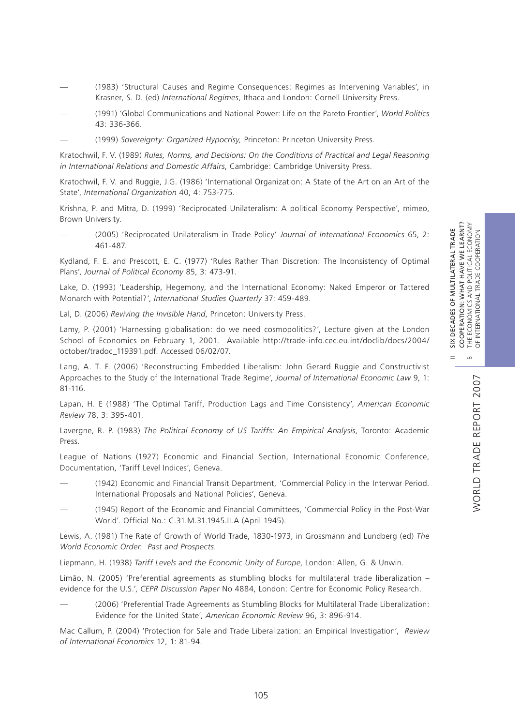II SIX DECADES OF MULTILATERAL TRADE

- (1983) 'Structural Causes and Regime Consequences: Regimes as Intervening Variables', in Krasner, S. D. (ed) *International Regimes*, Ithaca and London: Cornell University Press.
- (1991) 'Global Communications and National Power: Life on the Pareto Frontier', *World Politics* 43: 336-366.
- (1999) *Sovereignty: Organized Hypocrisy,* Princeton: Princeton University Press*.*

Kratochwil, F. V. (1989) *Rules, Norms, and Decisions: On the Conditions of Practical and Legal Reasoning in International Relations and Domestic Affairs*, Cambridge: Cambridge University Press.

Kratochwil, F. V. and Ruggie, J.G. (1986) 'International Organization: A State of the Art on an Art of the State', *International Organization* 40, 4: 753-775.

Krishna, P. and Mitra, D. (1999) 'Reciprocated Unilateralism: A political Economy Perspective', mimeo, Brown University.

— (2005) 'Reciprocated Unilateralism in Trade Policy' *Journal of International Economics* 65, 2: 461-487.

Kydland, F. E. and Prescott, E. C. (1977) 'Rules Rather Than Discretion: The Inconsistency of Optimal Plans', *Journal of Political Economy* 85, 3: 473-91.

Lake, D. (1993) 'Leadership, Hegemony, and the International Economy: Naked Emperor or Tattered Monarch with Potential?', *International Studies Quarterly* 37: 459-489.

Lal, D. (2006) *Reviving the Invisible Hand*, Princeton: University Press.

Lamy, P. (2001) 'Harnessing globalisation: do we need cosmopolitics?', Lecture given at the London School of Economics on February 1, 2001. Available http://trade-info.cec.eu.int/doclib/docs/2004/ october/tradoc\_119391.pdf. Accessed 06/02/07.

Lang, A. T. F. (2006) 'Reconstructing Embedded Liberalism: John Gerard Ruggie and Constructivist Approaches to the Study of the International Trade Regime', *Journal of International Economic Law* 9, 1: 81-116.

Lapan, H. E (1988) 'The Optimal Tariff, Production Lags and Time Consistency', *American Economic Review* 78, 3: 395-401.

Lavergne, R. P. (1983) *The Political Economy of US Tariffs: An Empirical Analysis*, Toronto: Academic Press.

League of Nations (1927) Economic and Financial Section, International Economic Conference, Documentation, 'Tariff Level Indices', Geneva.

- (1942) Economic and Financial Transit Department, 'Commercial Policy in the Interwar Period. International Proposals and National Policies', Geneva.
- (1945) Report of the Economic and Financial Committees, 'Commercial Policy in the Post-War World'. Official No.: C.31.M.31.1945.II.A (April 1945).

Lewis, A. (1981) The Rate of Growth of World Trade, 1830-1973, in Grossmann and Lundberg (ed) *The World Economic Order. Past and Prospects*.

Liepmann, H. (1938) *Tariff Levels and the Economic Unity of Europe*, London: Allen, G. & Unwin.

Limão, N. (2005) 'Preferential agreements as stumbling blocks for multilateral trade liberalization – evidence for the U.S.', *CEPR Discussion Paper* No 4884, London: Centre for Economic Policy Research.

— (2006) 'Preferential Trade Agreements as Stumbling Blocks for Multilateral Trade Liberalization: Evidence for the United State', *American Economic Review* 96, 3: 896-914.

Mac Callum, P. (2004) 'Protection for Sale and Trade Liberalization: an Empirical Investigation', *Review of International Economics* 12, 1: 81-94.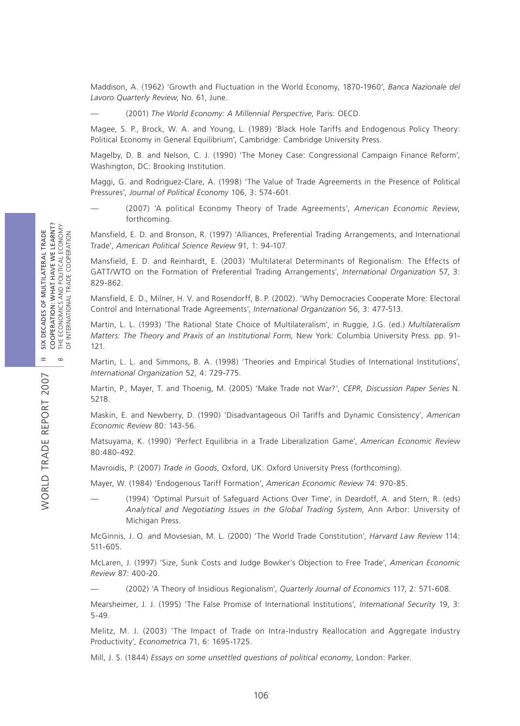Maddison, A. (1962) 'Growth and Fluctuation in the World Economy, 1870-1960', *Banca Nazionale del Lavoro Quarterly Review*, No. 61, June.

— (2001) *The World Economy: A Millennial Perspective*, Paris: OECD.

Magee, S. P., Brock, W. A. and Young, L. (1989) 'Black Hole Tariffs and Endogenous Policy Theory: Political Economy in General Equilibrium', Cambridge: Cambridge University Press.

Magelby, D. B. and Nelson, C. J. (1990) 'The Money Case: Congressional Campaign Finance Reform', Washington, DC: Brooking Institution.

Maggi, G. and Rodriguez-Clare, A. (1998) 'The Value of Trade Agreements in the Presence of Political Pressures', *Journal of Political Economy* 106, 3: 574-601.

— (2007) 'A political Economy Theory of Trade Agreements', *American Economic Review*, forthcoming.

Mansfield, E. D. and Bronson, R. (1997) 'Alliances, Preferential Trading Arrangements, and International Trade', *American Political Science Review* 91, 1: 94-107.

Mansfield, E. D. and Reinhardt, E. (2003) 'Multilateral Determinants of Regionalism: The Effects of GATT/WTO on the Formation of Preferential Trading Arrangements', *International Organization* 57, 3: 829-862.

Mansfield, E. D., Milner, H. V. and Rosendorff, B. P. (2002). 'Why Democracies Cooperate More: Electoral Control and International Trade Agreements', *International Organization* 56, 3: 477-513.

Martin, L. L. (1993) 'The Rational State Choice of Multilateralism', in Ruggie, J.G. (ed.) *Multilateralism Matters: The Theory and Praxis of an Institutional Form,* New York: Columbia University Press. pp. 91- 121.

Martin, L. L. and Simmons, B. A. (1998) 'Theories and Empirical Studies of International Institutions', *International Organization* 52, 4: 729-775.

Martin, P., Mayer, T. and Thoenig, M. (2005) 'Make Trade not War?', *CEPR, Discussion Paper Series* N. 5218.

Maskin, E. and Newberry, D. (1990) 'Disadvantageous Oil Tariffs and Dynamic Consistency', *American Economic Review* 80: 143-56.

Matsuyama, K. (1990) 'Perfect Equilibria in a Trade Liberalization Game', *American Economic Review* 80:480-492.

Mavroidis, P. (2007) *Trade in Goods*, Oxford, UK: Oxford University Press (forthcoming).

Mayer, W. (1984) 'Endogenous Tariff Formation', *American Economic Review* 74: 970-85.

— (1994) 'Optimal Pursuit of Safeguard Actions Over Time', in Deardoff, A. and Stern, R. (eds) *Analytical and Negotiating Issues in the Global Trading System*, Ann Arbor: University of Michigan Press.

McGinnis, J. O. and Movsesian, M. L. (2000) 'The World Trade Constitution', *Harvard Law Review* 114: 511-605.

McLaren, J. (1997) 'Size, Sunk Costs and Judge Bowker's Objection to Free Trade', *American Economic Review* 87: 400-20.

— (2002) 'A Theory of Insidious Regionalism', *Quarterly Journal of Economics* 117, 2: 571-608.

Mearsheimer, J. J. (1995) 'The False Promise of International Institutions', *International Security* 19, 3: 5-49.

Melitz, M. J. (2003) 'The Impact of Trade on Intra-Industry Reallocation and Aggregate Industry Productivity', *Econometrica* 71, 6: 1695-1725.

Mill, J. S. (1844) *Essays on some unsettled questions of political economy*, London: Parker.

WORLD TRADE REPORT 2007

**NORLD TRADE REPORT 2007**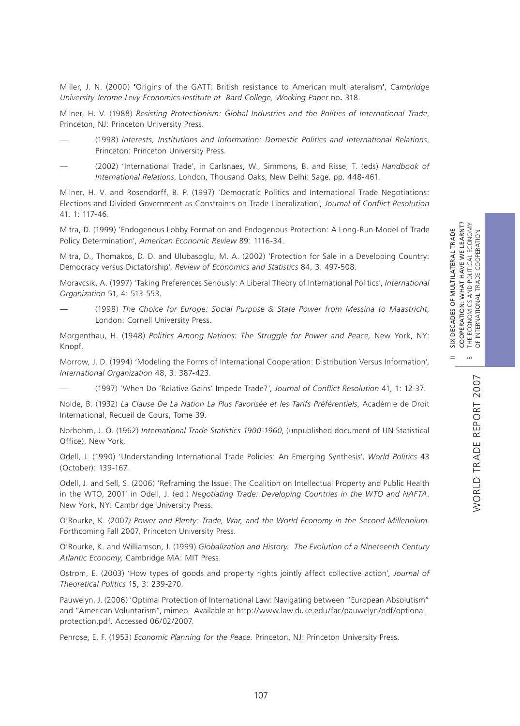WORLD TRADE REPORT 2007

WORLD TRADE REPORT 2007

II SIX DECADES OF MULTILATERAL TRADE

Miller, J. N. (2000) **'**Origins of the GATT: British resistance to American multilateralism**'**, *Cambridge University Jerome Levy Economics Institute at Bard College, Working Paper* no**.** 318.

Milner, H. V. (1988) *Resisting Protectionism: Global Industries and the Politics of International Trade*, Princeton, NJ: Princeton University Press.

- (1998) *Interests, Institutions and Information: Domestic Politics and International Relations*, Princeton: Princeton University Press.
- (2002) 'International Trade', in Carlsnaes, W., Simmons, B. and Risse, T. (eds) *Handbook of International Relations*, London, Thousand Oaks, New Delhi: Sage. pp. 448-461.

Milner, H. V. and Rosendorff, B. P. (1997) 'Democratic Politics and International Trade Negotiations: Elections and Divided Government as Constraints on Trade Liberalization', *Journal of Conflict Resolution* 41, 1: 117-46.

Mitra, D. (1999) 'Endogenous Lobby Formation and Endogenous Protection: A Long-Run Model of Trade Policy Determination', *American Economic Review* 89: 1116-34.

Mitra, D., Thomakos, D. D. and Ulubasoglu, M. A. (2002) 'Protection for Sale in a Developing Country: Democracy versus Dictatorship', *Review of Economics and Statistics* 84, 3: 497-508.

Moravcsik, A. (1997) 'Taking Preferences Seriously: A Liberal Theory of International Politics', *International Organization* 51, 4: 513-553.

— (1998) *The Choice for Europe: Social Purpose & State Power from Messina to Maastricht*, London: Cornell University Press.

Morgenthau, H. (1948) *Politics Among Nations: The Struggle for Power and Peace,* New York, NY: Knopf.

Morrow, J. D. (1994) 'Modeling the Forms of International Cooperation: Distribution Versus Information', *International Organization* 48, 3: 387-423.

— (1997) 'When Do 'Relative Gains' Impede Trade?', *Journal of Conflict Resolution* 41, 1: 12-37.

Nolde, B. (1932) *La Clause De La Nation La Plus Favorisée et les Tarifs Préférentiels*, Académie de Droit International, Recueil de Cours, Tome 39.

Norbohm, J. O. (1962) *International Trade Statistics 1900-1960*, (unpublished document of UN Statistical Office), New York.

Odell, J. (1990) 'Understanding International Trade Policies: An Emerging Synthesis', *World Politics* 43 (October): 139-167.

Odell, J. and Sell, S. (2006) 'Reframing the Issue: The Coalition on Intellectual Property and Public Health in the WTO, 2001' in Odell, J. (ed.) *Negotiating Trade: Developing Countries in the WTO and NAFTA*. New York, NY: Cambridge University Press.

O'Rourke, K. (2007*) Power and Plenty: Trade, War, and the World Economy in the Second Millennium*. Forthcoming Fall 2007, Princeton University Press.

O'Rourke, K. and Williamson, J. (1999) *Globalization and History. The Evolution of a Nineteenth Century Atlantic Economy,* Cambridge MA: MIT Press.

Ostrom, E. (2003) 'How types of goods and property rights jointly affect collective action', *Journal of Theoretical Politics* 15, 3: 239-270.

Pauwelyn, J. (2006) 'Optimal Protection of International Law: Navigating between "European Absolutism" and "American Voluntarism", mimeo. Available at http://www.law.duke.edu/fac/pauwelyn/pdf/optional\_ protection.pdf. Accessed 06/02/2007.

Penrose, E. F. (1953) *Economic Planning for the Peace.* Princeton, NJ: Princeton University Press.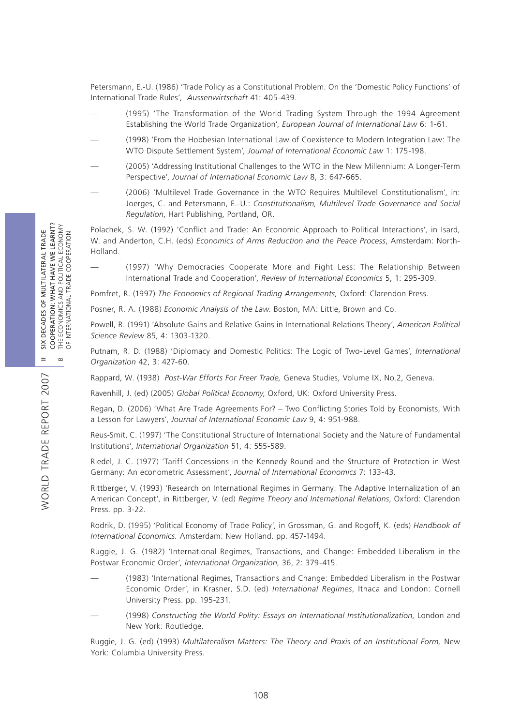Petersmann, E.-U. (1986) 'Trade Policy as a Constitutional Problem. On the 'Domestic Policy Functions' of International Trade Rules', *Aussenwirtschaft* 41: 405-439.

- (1995) 'The Transformation of the World Trading System Through the 1994 Agreement Establishing the World Trade Organization', *European Journal of International Law* 6: 1-61.
- (1998) 'From the Hobbesian International Law of Coexistence to Modern Integration Law: The WTO Dispute Settlement System', *Journal of International Economic Law* 1: 175-198.
- (2005) 'Addressing Institutional Challenges to the WTO in the New Millennium: A Longer-Term Perspective', *Journal of International Economic Law* 8, 3: 647-665.
- (2006) 'Multilevel Trade Governance in the WTO Requires Multilevel Constitutionalism', in: Joerges, C. and Petersmann, E.-U.: *Constitutionalism, Multilevel Trade Governance and Social Regulation*, Hart Publishing, Portland, OR.

Polachek, S. W. (1992) 'Conflict and Trade: An Economic Approach to Political Interactions', in Isard, W. and Anderton, C.H. (eds) *Economics of Arms Reduction and the Peace Process*, Amsterdam: North-Holland.

— (1997) 'Why Democracies Cooperate More and Fight Less: The Relationship Between International Trade and Cooperation', *Review of International Economics* 5, 1: 295-309.

Pomfret, R. (1997) *The Economics of Regional Trading Arrangements,* Oxford: Clarendon Press.

Posner, R. A. (1988) *Economic Analysis of the Law*. Boston, MA: Little, Brown and Co.

Powell, R. (1991) 'Absolute Gains and Relative Gains in International Relations Theory', *American Political Science Review* 85, 4: 1303-1320.

Putnam, R. D. (1988) 'Diplomacy and Domestic Politics: The Logic of Two-Level Games', *International Organization* 42, 3: 427-60.

Rappard, W. (1938) *Post-War Efforts For Freer Trade,* Geneva Studies, Volume IX, No.2, Geneva.

Ravenhill, J. (ed) (2005) *Global Political Economy*, Oxford, UK: Oxford University Press.

Regan, D. (2006) 'What Are Trade Agreements For? – Two Conflicting Stories Told by Economists, With a Lesson for Lawyers', *Journal of International Economic Law* 9, 4: 951-988.

Reus-Smit, C. (1997) 'The Constitutional Structure of International Society and the Nature of Fundamental Institutions', *International Organization* 51, 4: 555-589.

Riedel, J. C. (1977) 'Tariff Concessions in the Kennedy Round and the Structure of Protection in West Germany: An econometric Assessment', *Journal of International Economics* 7: 133-43.

Rittberger, V. (1993) 'Research on International Regimes in Germany: The Adaptive Internalization of an American Concept', in Rittberger, V. (ed) *Regime Theory and International Relations*, Oxford: Clarendon Press. pp. 3-22.

Rodrik, D. (1995) 'Political Economy of Trade Policy', in Grossman, G. and Rogoff, K. (eds) *Handbook of International Economics.* Amsterdam: New Holland. pp. 457-1494.

Ruggie, J. G. (1982) 'International Regimes, Transactions, and Change: Embedded Liberalism in the Postwar Economic Order', *International Organization*, 36, 2: 379-415.

- (1983) 'International Regimes, Transactions and Change: Embedded Liberalism in the Postwar Economic Order', in Krasner, S.D. (ed) *International Regimes*, Ithaca and London: Cornell University Press. pp. 195-231.
- (1998) *Constructing the World Polity: Essays on International Institutionalization*, London and New York: Routledge.

Ruggie, J. G. (ed) (1993) *Multilateralism Matters: The Theory and Praxis of an Institutional Form,* New York: Columbia University Press*.*

WORLD TRADE REPORT 2007

**NORLD TRADE REPORT 2007**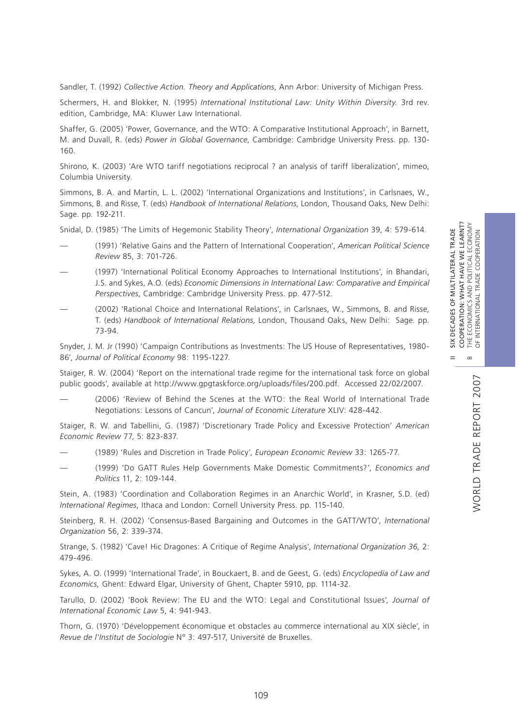WORLD TRADE REPORT 2007

WORLD TRADE REPORT 2007

II SIX DECADES OF MULTILATERAL TRADE

Sandler, T. (1992) *Collective Action. Theory and Applications*, Ann Arbor: University of Michigan Press.

Schermers, H. and Blokker, N. (1995) *International Institutional Law: Unity Within Diversity.* 3rd rev. edition, Cambridge, MA: Kluwer Law International.

Shaffer, G. (2005) 'Power, Governance, and the WTO: A Comparative Institutional Approach', in Barnett, M. and Duvall, R. (eds) *Power in Global Governance*, Cambridge: Cambridge University Press. pp. 130- 160.

Shirono, K. (2003) 'Are WTO tariff negotiations reciprocal ? an analysis of tariff liberalization', mimeo, Columbia University.

Simmons, B. A. and Martin, L. L. (2002) 'International Organizations and Institutions', in Carlsnaes, W., Simmons, B. and Risse, T. (eds) *Handbook of International Relations*, London, Thousand Oaks, New Delhi: Sage. pp. 192-211.

Snidal, D. (1985) 'The Limits of Hegemonic Stability Theory', *International Organization* 39, 4: 579-614.

- (1991) 'Relative Gains and the Pattern of International Cooperation', *American Political Science Review* 85, 3: 701-726.
- (1997) 'International Political Economy Approaches to International Institutions', in Bhandari, J.S. and Sykes, A.O. (eds) *Economic Dimensions in International Law: Comparative and Empirical Perspectives*, Cambridge: Cambridge University Press. pp. 477-512.
- (2002) 'Rational Choice and International Relations', in Carlsnaes, W., Simmons, B. and Risse, T. (eds) *Handbook of International Relations*, London, Thousand Oaks, New Delhi: Sage. pp. 73-94.

Snyder, J. M. Jr (1990) 'Campaign Contributions as Investments: The US House of Representatives, 1980- 86', *Journal of Political Economy* 98: 1195-1227.

Staiger, R. W. (2004) 'Report on the international trade regime for the international task force on global public goods', available at http://www.gpgtaskforce.org/uploads/files/200.pdf. Accessed 22/02/2007.

(2006) 'Review of Behind the Scenes at the WTO: the Real World of International Trade Negotiations: Lessons of Cancun', *Journal of Economic Literature* XLIV: 428-442.

Staiger, R. W. and Tabellini, G. (1987) 'Discretionary Trade Policy and Excessive Protection' *American Economic Review* 77, 5: 823-837.

- (1989) 'Rules and Discretion in Trade Policy', *European Economic Review* 33: 1265-77.
- (1999) 'Do GATT Rules Help Governments Make Domestic Commitments?', *Economics and Politics* 11, 2: 109-144.

Stein, A. (1983) 'Coordination and Collaboration Regimes in an Anarchic World', in Krasner, S.D. (ed) *International Regimes*, Ithaca and London: Cornell University Press. pp. 115-140.

Steinberg, R. H. (2002) 'Consensus-Based Bargaining and Outcomes in the GATT/WTO', *International Organization* 56, 2: 339-374.

Strange, S. (1982) 'Cave! Hic Dragones: A Critique of Regime Analysis', *International Organization 36,* 2: 479-496.

Sykes, A. O. (1999) 'International Trade', in Bouckaert, B. and de Geest, G. (eds) *Encyclopedia of Law and Economics,* Ghent: Edward Elgar, University of Ghent, Chapter 5910, pp. 1114-32.

Tarullo, D. (2002) 'Book Review: The EU and the WTO: Legal and Constitutional Issues'*, Journal of International Economic Law* 5, 4: 941-943.

Thorn, G. (1970) 'Développement économique et obstacles au commerce international au XIX siècle', in *Revue de l'Institut de Sociologie* N° 3: 497-517, Université de Bruxelles.